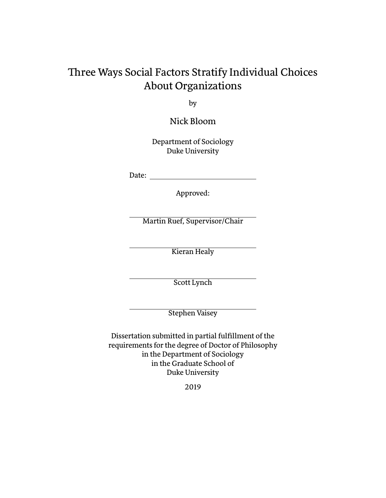## Three Ways Social Factors Stratify Individual Choices About Organizations

by

Nick Bloom

Department of Sociology Duke University

Date:

Approved:

Martin Ruef, Supervisor/Chair

Kieran Healy

Scott Lynch

Stephen Vaisey

Dissertation submitted in partial fulfillment of the requirements for the degree of Doctor of Philosophy in the Department of Sociology in the Graduate School of Duke University

2019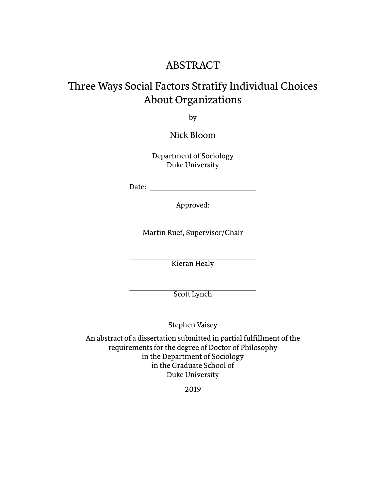## **ABSTRACT**

## Three Ways Social Factors Stratify Individual Choices About Organizations

by

Nick Bloom

Department of Sociology Duke University

Date: the contract of the contract of the contract of the contract of the contract of the contract of the contract of the contract of the contract of the contract of the contract of the contract of the contract of the cont

Approved:

Martin Ruef, Supervisor/Chair

Kieran Healy

Scott Lynch

Stephen Vaisey

An abstract of a dissertation submitted in partial fulfillment of the requirements for the degree of Doctor of Philosophy in the Department of Sociology in the Graduate School of Duke University

2019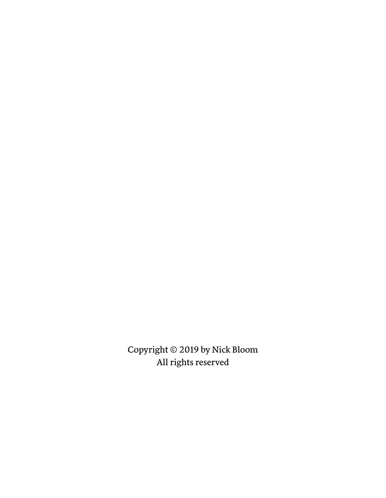Copyright © 2019 by Nick Bloom All rights reserved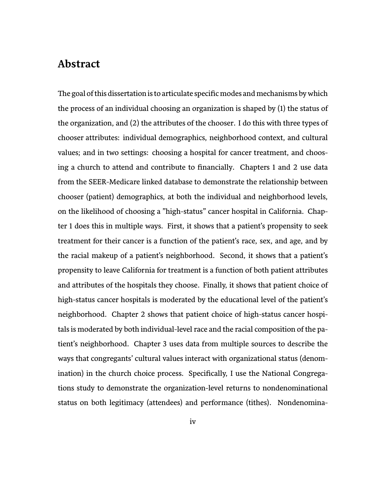### <span id="page-3-0"></span>**Abstract**

The goal of this dissertation is to articulate specific modes and mechanisms by which the process of an individual choosing an organization is shaped by (1) the status of the organization, and (2) the attributes of the chooser. I do this with three types of chooser aŧributes: individual demographics, neighborhood context, and cultural values; and in two settings: choosing a hospital for cancer treatment, and choosing a church to attend and contribute to financially. Chapters 1 and 2 use data from the SEER-Medicare linked database to demonstrate the relationship between chooser (patient) demographics, at both the individual and neighborhood levels, on the likelihood of choosing a "high-status" cancer hospital in California. Chapter 1 does this in multiple ways. First, it shows that a patient's propensity to seek treatment for their cancer is a function of the patient's race, sex, and age, and by the racial makeup of a patient's neighborhood. Second, it shows that a patient's propensity to leave California for treatment is a function of both patient aŧributes and attributes of the hospitals they choose. Finally, it shows that patient choice of high-status cancer hospitals is moderated by the educational level of the patient's neighborhood. Chapter 2 shows that patient choice of high-status cancer hospitals is moderated by both individual-level race and the racial composition of the patient's neighborhood. Chapter 3 uses data from multiple sources to describe the ways that congregants' cultural values interact with organizational status (denomination) in the church choice process. Specifically, I use the National Congregations study to demonstrate the organization-level returns to nondenominational status on both legitimacy (attendees) and performance (tithes). Nondenomina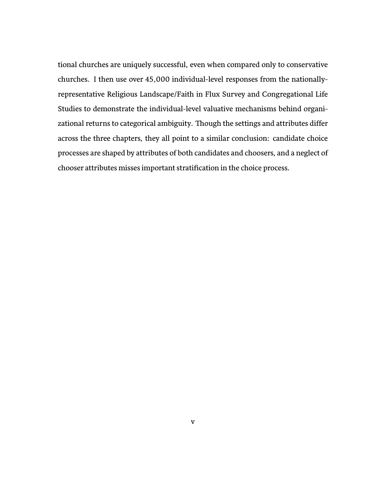tional churches are uniquely successful, even when compared only to conservative churches. I then use over 45,000 individual-level responses from the nationallyrepresentative Religious Landscape/Faith in Flux Survey and Congregational Life Studies to demonstrate the individual-level valuative mechanisms behind organizational returns to categorical ambiguity. Though the settings and attributes differ across the three chapters, they all point to a similar conclusion: candidate choice processes are shaped by attributes of both candidates and choosers, and a neglect of chooser attributes misses important stratification in the choice process.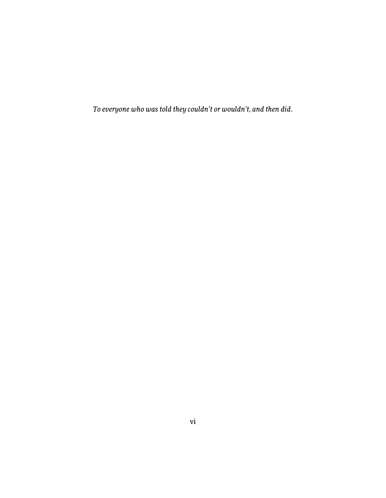*To everyone who was told they couldn't or wouldn't, and then did.*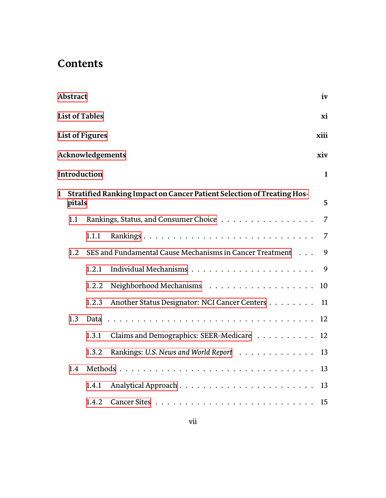## **Contents**

|              | <b>Abstract</b>                                                                  |                        |                                                          | iv             |
|--------------|----------------------------------------------------------------------------------|------------------------|----------------------------------------------------------|----------------|
|              |                                                                                  | <b>List of Tables</b>  |                                                          | xi             |
|              |                                                                                  | <b>List of Figures</b> |                                                          | xiii           |
|              |                                                                                  | Acknowledgements       |                                                          | xiv            |
|              |                                                                                  | Introduction           |                                                          | $\mathbf{1}$   |
| $\mathbf{1}$ | Stratified Ranking Impact on Cancer Patient Selection of Treating Hos-<br>pitals |                        |                                                          | 5              |
|              | 1.1                                                                              |                        | Rankings, Status, and Consumer Choice                    | 7              |
|              |                                                                                  | 1.1.1                  | Rankings                                                 | $\overline{7}$ |
|              | 1.2                                                                              |                        | SES and Fundamental Cause Mechanisms in Cancer Treatment | 9              |
|              |                                                                                  | 1.2.1                  |                                                          | 9              |
|              |                                                                                  | 1.2.2                  |                                                          | 10             |
|              |                                                                                  | 1.2.3                  | Another Status Designator: NCI Cancer Centers            | - 11           |
|              | 1.3                                                                              |                        | Data $\ldots$                                            | 12             |
|              |                                                                                  | 1.3.1                  | Claims and Demographics: SEER-Medicare                   | 12             |
|              |                                                                                  | 1.3.2                  | Rankings: U.S. News and World Report                     | 13             |
|              | 1.4                                                                              |                        |                                                          | 13             |
|              |                                                                                  | 1.4.1                  |                                                          | 13             |
|              |                                                                                  | 1.4.2                  |                                                          | 15             |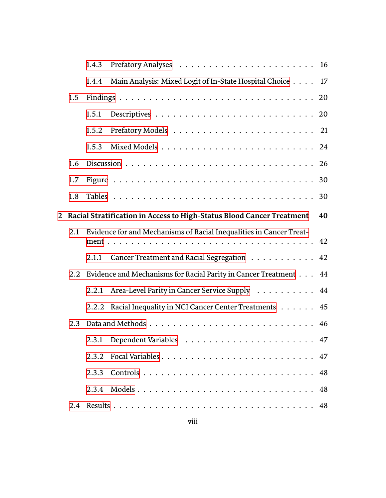|               | 1.4.3 |                                                                         |    |
|---------------|-------|-------------------------------------------------------------------------|----|
|               | 1.4.4 | Main Analysis: Mixed Logit of In-State Hospital Choice 17               |    |
| 1.5           |       |                                                                         |    |
|               | 1.5.1 |                                                                         |    |
|               | 1.5.2 |                                                                         |    |
|               | 1.5.3 |                                                                         |    |
| 1.6           |       |                                                                         |    |
| 1.7           |       |                                                                         |    |
| 1.8           |       |                                                                         |    |
|               |       | 2 Racial Stratification in Access to High-Status Blood Cancer Treatment | 40 |
| 2.1           |       | Evidence for and Mechanisms of Racial Inequalities in Cancer Treat-     |    |
|               | 2.1.1 | Cancer Treatment and Racial Segregation 42                              |    |
| $2.2^{\circ}$ |       | Evidence and Mechanisms for Racial Parity in Cancer Treatment 44        |    |
|               | 2.2.1 | Area-Level Parity in Cancer Service Supply 44                           |    |
|               | 2.2.2 | Racial Inequality in NCI Cancer Center Treatments 45                    |    |
| 2.3           |       |                                                                         |    |
|               | 2.3.1 |                                                                         |    |
|               |       |                                                                         |    |
|               |       |                                                                         | 48 |
|               |       | 2.3.4 Models                                                            | 48 |
| 2.4           |       |                                                                         |    |
|               |       |                                                                         |    |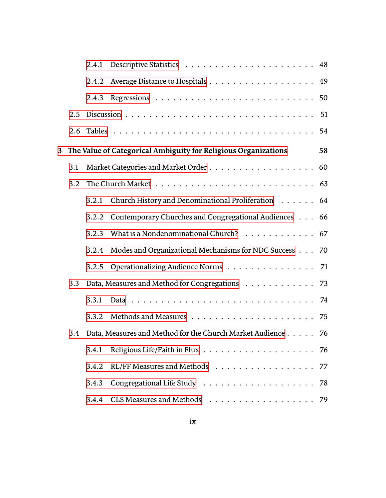|             |     | 2.4.1 |                                                                |    |
|-------------|-----|-------|----------------------------------------------------------------|----|
|             |     | 2.4.2 |                                                                |    |
|             |     | 2.4.3 |                                                                |    |
|             | 2.5 |       |                                                                |    |
|             | 2.6 |       |                                                                |    |
| $3^{\circ}$ |     |       | The Value of Categorical Ambiguity for Religious Organizations | 58 |
|             | 3.1 |       |                                                                |    |
|             | 3.2 |       |                                                                |    |
|             |     | 3.2.1 | Church History and Denominational Proliferation 64             |    |
|             |     | 3.2.2 | Contemporary Churches and Congregational Audiences 66          |    |
|             |     | 3.2.3 | What is a Nondenominational Church? 67                         |    |
|             |     | 3.2.4 | Modes and Organizational Mechanisms for NDC Success 70         |    |
|             |     | 3.2.5 | Operationalizing Audience Norms 71                             |    |
|             | 3.3 |       | Data, Measures and Method for Congregations 73                 |    |
|             |     | 3.3.1 |                                                                |    |
|             |     | 3.3.2 |                                                                |    |
|             | 3.4 |       | Data, Measures and Method for the Church Market Audience 76    |    |
|             |     | 3.4.1 |                                                                |    |
|             |     | 3.4.2 | RL/FF Measures and Methods 77                                  |    |
|             |     | 3.4.3 |                                                                | 78 |
|             |     | 3.4.4 |                                                                |    |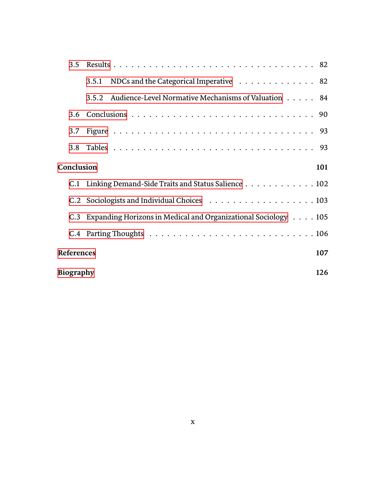|                         | 3.5.1 NDCs and the Categorical Imperative 82                       |  |  |
|-------------------------|--------------------------------------------------------------------|--|--|
|                         | 3.5.2 Audience-Level Normative Mechanisms of Valuation 84          |  |  |
|                         |                                                                    |  |  |
|                         |                                                                    |  |  |
|                         |                                                                    |  |  |
| Conclusion              |                                                                    |  |  |
|                         | C.1 Linking Demand-Side Traits and Status Salience 102             |  |  |
|                         | C.2 Sociologists and Individual Choices 103                        |  |  |
|                         | C.3 Expanding Horizons in Medical and Organizational Sociology 105 |  |  |
|                         |                                                                    |  |  |
|                         | <b>References</b>                                                  |  |  |
| 126<br><b>Biography</b> |                                                                    |  |  |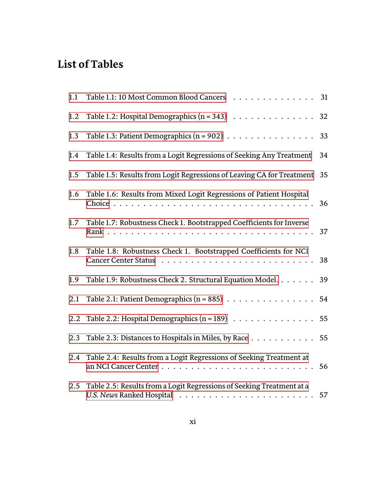# <span id="page-10-0"></span>**List of Tables**

| 1.1 | Table 1.1: 10 Most Common Blood Cancers                                  | 31 |
|-----|--------------------------------------------------------------------------|----|
| 1.2 | Table 1.2: Hospital Demographics $(n = 343)$                             | 32 |
| 1.3 | Table 1.3: Patient Demographics $(n = 902)$                              | 33 |
| 1.4 | Table 1.4: Results from a Logit Regressions of Seeking Any Treatment     | 34 |
| 1.5 | Table 1.5: Results from Logit Regressions of Leaving CA for Treatment    | 35 |
| 1.6 | Table 1.6: Results from Mixed Logit Regressions of Patient Hospital      | 36 |
| 1.7 | Table 1.7: Robustness Check 1. Bootstrapped Coefficients for Inverse     | 37 |
| 1.8 | Table 1.8: Robustness Check 1. Bootstrapped Coefficients for NCI         | 38 |
| 1.9 | Table 1.9: Robustness Check 2. Structural Equation Model.                | 39 |
| 2.1 |                                                                          | 54 |
| 2.2 | Table 2.2: Hospital Demographics (n = 189) $\ldots \ldots \ldots \ldots$ | 55 |
| 2.3 | Table 2.3: Distances to Hospitals in Miles, by Race                      | 55 |
| 2.4 | Table 2.4: Results from a Logit Regressions of Seeking Treatment at      | 56 |
| 2.5 | Table 2.5: Results from a Logit Regressions of Seeking Treatment at a    | 57 |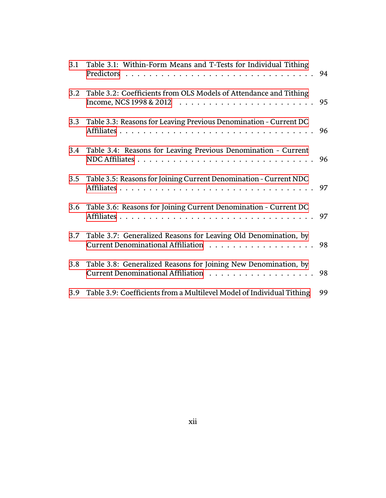| 3.1 | Table 3.1: Within-Form Means and T-Tests for Individual Tithing                                                                                 | 94 |
|-----|-------------------------------------------------------------------------------------------------------------------------------------------------|----|
| 3.2 | Table 3.2: Coefficients from OLS Models of Attendance and Tithing<br>Income, NCS 1998 & 2012 $\ldots \ldots \ldots \ldots \ldots \ldots \ldots$ | 95 |
| 3.3 | Table 3.3: Reasons for Leaving Previous Denomination - Current DC                                                                               | 96 |
| 3.4 | Table 3.4: Reasons for Leaving Previous Denomination - Current                                                                                  | 96 |
| 3.5 | Table 3.5: Reasons for Joining Current Denomination - Current NDC                                                                               |    |
| 3.6 | Table 3.6: Reasons for Joining Current Denomination - Current DC                                                                                | 97 |
| 3.7 | Table 3.7: Generalized Reasons for Leaving Old Denomination, by                                                                                 | 98 |
| 3.8 | Table 3.8: Generalized Reasons for Joining New Denomination, by                                                                                 | 98 |
| 3.9 | Table 3.9: Coefficients from a Multilevel Model of Individual Tithing                                                                           | 99 |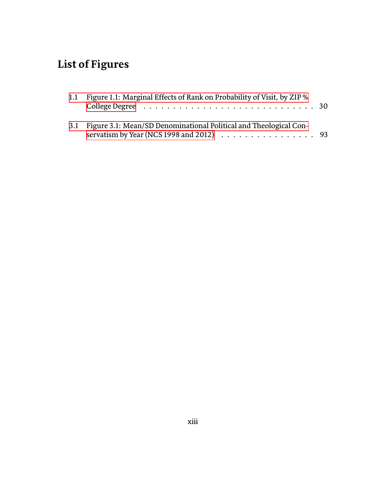# <span id="page-12-0"></span>**List of Figures**

| 1.1 | Figure 1.1: Marginal Effects of Rank on Probability of Visit, by ZIP %                                                                                |  |
|-----|-------------------------------------------------------------------------------------------------------------------------------------------------------|--|
|     | 3.1 Figure 3.1: Mean/SD Denominational Political and Theological Con-<br>servatism by Year (NCS 1998 and 2012) $\ldots \ldots \ldots \ldots \ldots$ . |  |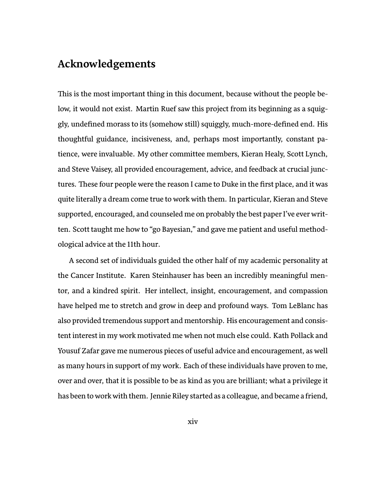## <span id="page-13-0"></span>**Acknowledgements**

This is the most important thing in this document, because without the people below, it would not exist. Martin Ruef saw this project from its beginning as a squiggly, undefined morass to its (somehow still) squiggly, much-more-defined end. His thoughtful guidance, incisiveness, and, perhaps most importantly, constant patience, were invaluable. My other committee members, Kieran Healy, Scott Lynch, and Steve Vaisey, all provided encouragement, advice, and feedback at crucial junctures. These four people were the reason I came to Duke in the first place, and it was quite literally a dream come true to work with them. In particular, Kieran and Steve supported, encouraged, and counseled me on probably the best paper I've ever written. Scott taught me how to "go Bayesian," and gave me patient and useful methodological advice at the 11th hour.

A second set of individuals guided the other half of my academic personality at the Cancer Institute. Karen Steinhauser has been an incredibly meaningful mentor, and a kindred spirit. Her intellect, insight, encouragement, and compassion have helped me to stretch and grow in deep and profound ways. Tom LeBlanc has also provided tremendous support and mentorship. His encouragement and consistent interest in my work motivated me when not much else could. Kath Pollack and Yousuf Zafar gave me numerous pieces of useful advice and encouragement, as well as many hours in support of my work. Each of these individuals have proven to me, over and over, that it is possible to be as kind as you are brilliant; what a privilege it has been to work with them. Jennie Riley started as a colleague, and became a friend,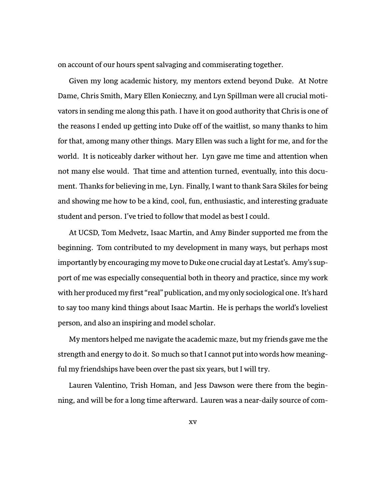on account of our hours spent salvaging and commiserating together.

Given my long academic history, my mentors extend beyond Duke. At Notre Dame, Chris Smith, Mary Ellen Konieczny, and Lyn Spillman were all crucial motivators in sending me along this path. I have it on good authority that Chris is one of the reasons I ended up getting into Duke off of the waitlist, so many thanks to him for that, among many other things. Mary Ellen was such a light for me, and for the world. It is noticeably darker without her. Lyn gave me time and attention when not many else would. That time and attention turned, eventually, into this document. Thanks for believing in me, Lyn. Finally, I want to thank Sara Skiles for being and showing me how to be a kind, cool, fun, enthusiastic, and interesting graduate student and person. I've tried to follow that model as best I could.

At UCSD, Tom Medvetz, Isaac Martin, and Amy Binder supported me from the beginning. Tom contributed to my development in many ways, but perhaps most importantly by encouraging my move to Duke one crucial day at Lestat's. Amy's support of me was especially consequential both in theory and practice, since my work with her produced my first "real" publication, and my only sociological one. It's hard to say too many kind things about Isaac Martin. He is perhaps the world's loveliest person, and also an inspiring and model scholar.

My mentors helped me navigate the academic maze, but my friends gave me the strength and energy to do it. So much so that I cannot put into words how meaningful my friendships have been over the past six years, but I will try.

Lauren Valentino, Trish Homan, and Jess Dawson were there from the beginning, and will be for a long time afterward. Lauren was a near-daily source of com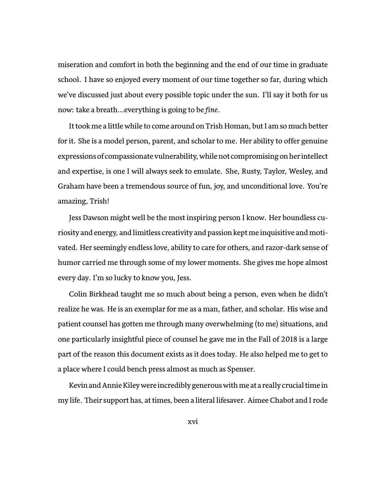miseration and comfort in both the beginning and the end of our time in graduate school. I have so enjoyed every moment of our time together so far, during which we've discussed just about every possible topic under the sun. I'll say it both for us now: take a breath...everything is going to be *fine*.

It took me a little while to come around on Trish Homan, but I am so much better for it. She is a model person, parent, and scholar to me. Her ability to offer genuine expressions of compassionate vulnerability, while not compromising on her intellect and expertise, is one I will always seek to emulate. She, Rusty, Taylor, Wesley, and Graham have been a tremendous source of fun, joy, and unconditional love. You're amazing, Trish!

Jess Dawson might well be the most inspiring person I know. Her boundless curiosity and energy, and limitless creativity and passion kept me inquisitive and motivated. Her seemingly endless love, ability to care for others, and razor-dark sense of humor carried me through some of my lower moments. She gives me hope almost every day. I'm so lucky to know you, Jess.

Colin Birkhead taught me so much about being a person, even when he didn't realize he was. He is an exemplar for me as a man, father, and scholar. His wise and patient counsel has gotten me through many overwhelming (to me) situations, and one particularly insightful piece of counsel he gave me in the Fall of 2018 is a large part of the reason this document exists as it does today. He also helped me to get to a place where I could bench press almost as much as Spenser.

Kevin and Annie Kiley were incredibly generous with me at a really crucial time in my life. Their support has, at times, been a literal lifesaver. Aimee Chabot and I rode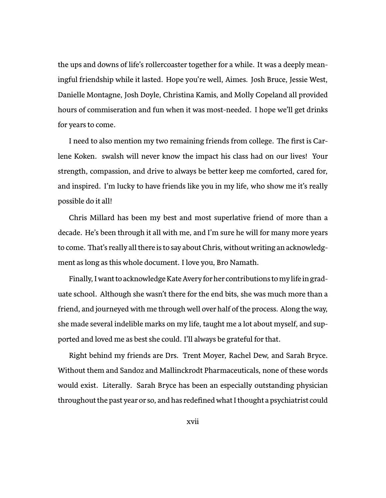the ups and downs of life's rollercoaster together for a while. It was a deeply meaningful friendship while it lasted. Hope you're well, Aimes. Josh Bruce, Jessie West, Danielle Montagne, Josh Doyle, Christina Kamis, and Molly Copeland all provided hours of commiseration and fun when it was most-needed. I hope we'll get drinks for years to come.

I need to also mention my two remaining friends from college. The first is Carlene Koken. swalsh will never know the impact his class had on our lives! Your strength, compassion, and drive to always be better keep me comforted, cared for, and inspired. I'm lucky to have friends like you in my life, who show me it's really possible do it all!

Chris Millard has been my best and most superlative friend of more than a decade. He's been through it all with me, and I'm sure he will for many more years to come. That's really all there is to say about Chris, without writing an acknowledgment as long as this whole document. I love you, Bro Namath.

Finally, I want to acknowledge Kate Avery for her contributions to my life in graduate school. Although she wasn't there for the end bits, she was much more than a friend, and journeyed with me through well over half of the process. Along the way, she made several indelible marks on my life, taught me a lot about myself, and supported and loved me as best she could. I'll always be grateful for that.

Right behind my friends are Drs. Trent Moyer, Rachel Dew, and Sarah Bryce. Without them and Sandoz and Mallinckrodt Pharmaceuticals, none of these words would exist. Literally. Sarah Bryce has been an especially outstanding physician throughout the past year or so, and has redefined what I thought a psychiatrist could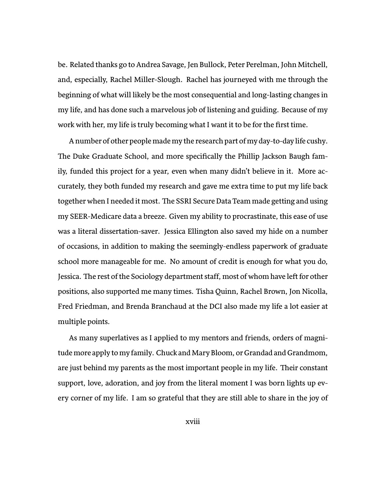be. Related thanks go to Andrea Savage, Jen Bullock, Peter Perelman, John Mitchell, and, especially, Rachel Miller-Slough. Rachel has journeyed with me through the beginning of what will likely be the most consequential and long-lasting changes in my life, and has done such a marvelous job of listening and guiding. Because of my work with her, my life is truly becoming what I want it to be for the first time.

A number of other people made my the research part of my day-to-day life cushy. The Duke Graduate School, and more specifically the Phillip Jackson Baugh family, funded this project for a year, even when many didn't believe in it. More accurately, they both funded my research and gave me extra time to put my life back together when I needed it most. The SSRI Secure Data Team made getting and using my SEER-Medicare data a breeze. Given my ability to procrastinate, this ease of use was a literal dissertation-saver. Jessica Ellington also saved my hide on a number of occasions, in addition to making the seemingly-endless paperwork of graduate school more manageable for me. No amount of credit is enough for what you do, Jessica. The rest of the Sociology department staff, most of whom have left for other positions, also supported me many times. Tisha Quinn, Rachel Brown, Jon Nicolla, Fred Friedman, and Brenda Branchaud at the DCI also made my life a lot easier at multiple points.

As many superlatives as I applied to my mentors and friends, orders of magnitude more apply to my family. Chuck and Mary Bloom, or Grandad and Grandmom, are just behind my parents as the most important people in my life. Their constant support, love, adoration, and joy from the literal moment I was born lights up every corner of my life. I am so grateful that they are still able to share in the joy of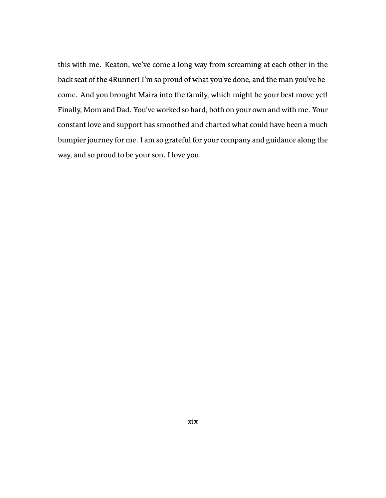this with me. Keaton, we've come a long way from screaming at each other in the back seat of the 4Runner! I'm so proud of what you've done, and the man you've become. And you brought Maíra into the family, which might be your best move yet! Finally, Mom and Dad. You've worked so hard, both on your own and with me. Your constant love and support has smoothed and charted what could have been a much bumpier journey for me. I am so grateful for your company and guidance along the way, and so proud to be your son. I love you.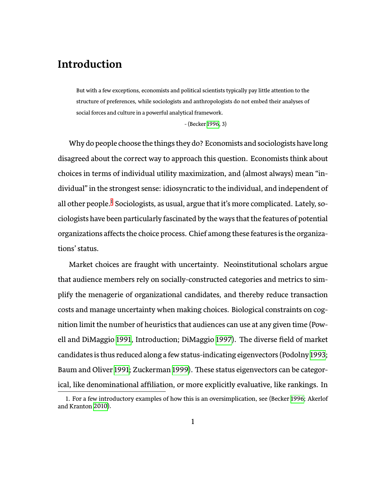## <span id="page-19-0"></span>**Introduction**

But with a few exceptions, economists and political scientists typically pay little attention to the structure of preferences, while sociologists and anthropologists do not embed their analyses of social forces and culture in a powerful analytical framework.

- (Becker [1996](#page-125-0), 3)

Why do people choose the things they do? Economists and sociologists have long disagreed about the correct way to approach this question. Economists think about choices in terms of individual utility maximization, and (almost always) mean "individual" in the strongest sense: idiosyncratic to the individual, and independent of all other people.<sup>[1](#page-19-1)</sup> Sociologists, as usual, argue that it's more complicated. Lately, sociologists have been particularly fascinated by the ways that the features of potential organizations affects the choice process. Chief among these features is the organizations' status.

Market choices are fraught with uncertainty. Neoinstitutional scholars argue that audience members rely on socially-constructed categories and metrics to simplify the menagerie of organizational candidates, and thereby reduce transaction costs and manage uncertainty when making choices. Biological constraints on cognition limit the number of heuristics that audiences can use at any given time (Pow-ell and DiMaggio [1991](#page-138-0), Introduction; DiMaggio [1997\)](#page-128-0). The diverse field of market candidates is thus reduced along a few status-indicating eigenvectors (Podolny [1993;](#page-138-1) Baum and Oliver [1991;](#page-125-1) Zuckerman [1999\)](#page-143-0). These status eigenvectors can be categorical, like denominational affiliation, or more explicitly evaluative, like rankings. In

<span id="page-19-1"></span><sup>1.</sup> For a few introductory examples of how this is an oversimplication, see (Becker [1996](#page-125-0); Akerlof and Kranton [2010\)](#page-125-2).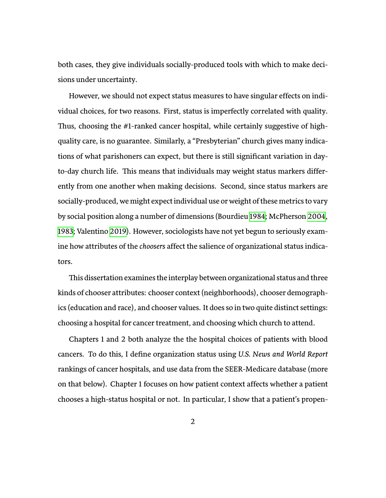both cases, they give individuals socially-produced tools with which to make decisions under uncertainty.

However, we should not expect status measures to have singular effects on individual choices, for two reasons. First, status is imperfectly correlated with quality. Thus, choosing the #1-ranked cancer hospital, while certainly suggestive of highquality care, is no guarantee. Similarly, a "Presbyterian" church gives many indications of what parishoners can expect, but there is still significant variation in dayto-day church life. This means that individuals may weight status markers differently from one another when making decisions. Second, since status markers are socially-produced, we might expect individual use or weight of these metrics to vary by social position along a number of dimensions (Bourdieu [1984;](#page-126-0) McPherson [2004](#page-135-0), [1983](#page-135-1); Valentino [2019](#page-142-0)). However, sociologists have not yet begun to seriously examine how attributes of the *choosers* affect the salience of organizational status indicators.

This dissertation examines the interplay between organizational status and three kinds of chooser attributes: chooser context (neighborhoods), chooser demographics (education and race), and chooser values. It does so in two quite distinct settings: choosing a hospital for cancer treatment, and choosing which church to attend.

Chapters 1 and 2 both analyze the the hospital choices of patients with blood cancers. To do this, I define organization status using *U.S. News and World Report* rankings of cancer hospitals, and use data from the SEER-Medicare database (more on that below). Chapter 1 focuses on how patient context affects whether a patient chooses a high-status hospital or not. In particular, I show that a patient's propen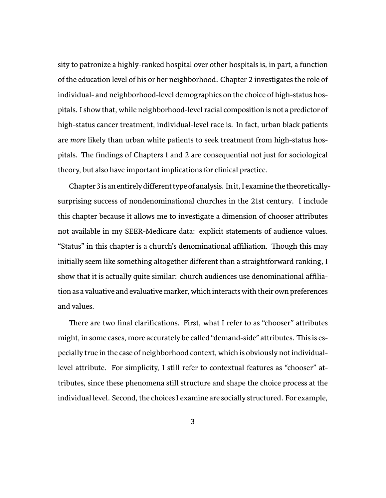sity to patronize a highly-ranked hospital over other hospitals is, in part, a function of the education level of his or her neighborhood. Chapter 2 investigates the role of individual- and neighborhood-level demographics on the choice of high-status hospitals. I show that, while neighborhood-level racial composition is not a predictor of high-status cancer treatment, individual-level race is. In fact, urban black patients are *more* likely than urban white patients to seek treatment from high-status hospitals. The findings of Chapters 1 and 2 are consequential not just for sociological theory, but also have important implications for clinical practice.

Chapter 3 is an entirely different type of analysis. In it, I examine the theoreticallysurprising success of nondenominational churches in the 21st century. I include this chapter because it allows me to investigate a dimension of chooser attributes not available in my SEER-Medicare data: explicit statements of audience values. "Status" in this chapter is a church's denominational affiliation. Though this may initially seem like something altogether different than a straightforward ranking, I show that it is actually quite similar: church audiences use denominational affiliation as a valuative and evaluative marker, which interacts with their own preferences and values.

There are two final clarifications. First, what I refer to as "chooser" attributes might, in some cases, more accurately be called "demand-side" attributes. This is especially true in the case of neighborhood context, which is obviously not individuallevel attribute. For simplicity, I still refer to contextual features as "chooser" attributes, since these phenomena still structure and shape the choice process at the individual level. Second, the choices I examine are socially structured. For example,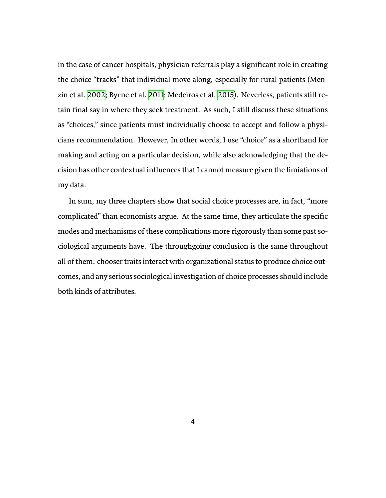in the case of cancer hospitals, physician referrals play a significant role in creating the choice "tracks" that individual move along, especially for rural patients (Menzin et al. [2002](#page-136-0); Byrne et al. [2011;](#page-126-1) Medeiros et al. [2015](#page-136-1)). Neverless, patients still retain final say in where they seek treatment. As such, I still discuss these situations as "choices," since patients must individually choose to accept and follow a physicians recommendation. However, In other words, I use "choice" as a shorthand for making and acting on a particular decision, while also acknowledging that the decision has other contextual influences that I cannot measure given the limiations of my data.

In sum, my three chapters show that social choice processes are, in fact, "more complicated" than economists argue. At the same time, they articulate the specific modes and mechanisms of these complications more rigorously than some past sociological arguments have. The throughgoing conclusion is the same throughout all of them: chooser traits interact with organizational status to produce choice outcomes, and any serious sociological investigation of choice processes should include both kinds of attributes.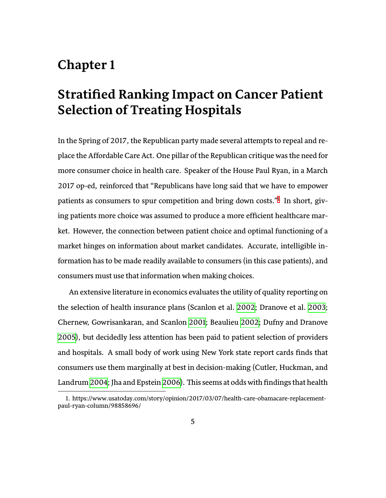## <span id="page-23-0"></span>**Chapter 1**

# **Stratified Ranking Impact on Cancer Patient Selection of Treating Hospitals**

In the Spring of 2017, the Republican party made several attempts to repeal and replace the Affordable Care Act. One pillar of the Republican critique was the need for more consumer choice in health care. Speaker of the House Paul Ryan, in a March 2017 op-ed, reinforced that "Republicans have long said that we have to empower patients as consumers to spur competition and bring down costs."<sup>[1](#page-23-1)</sup> In short, giving patients more choice was assumed to produce a more efficient healthcare market. However, the connection between patient choice and optimal functioning of a market hinges on information about market candidates. Accurate, intelligible information has to be made readily available to consumers (in this case patients), and consumers must use that information when making choices.

An extensive literature in economics evaluates the utility of quality reporting on the selection of health insurance plans (Scanlon et al. [2002;](#page-140-0) Dranove et al. [2003;](#page-129-0) Chernew, Gowrisankaran, and Scanlon [2001](#page-128-1); Beaulieu [2002;](#page-125-3) Dufny and Dranove [2005](#page-129-1)), but decidedly less attention has been paid to patient selection of providers and hospitals. A small body of work using New York state report cards finds that consumers use them marginally at best in decision-making (Cutler, Huckman, and Landrum [2004;](#page-128-2) Jha and Epstein [2006](#page-132-0)). This seems at odds with findings that health

<span id="page-23-1"></span><sup>1.</sup> https://www.usatoday.com/story/opinion/2017/03/07/health-care-obamacare-replacementpaul-ryan-column/98858696/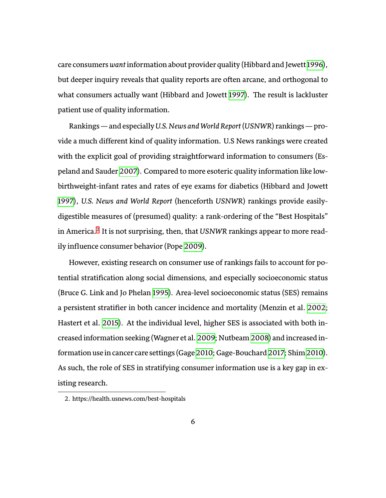care consumers *want* information about provider quality (Hibbard and Jewett [1996](#page-131-0)), but deeper inquiry reveals that quality reports are often arcane, and orthogonal to what consumers actually want (Hibbard and Jowett [1997](#page-132-1)). The result is lackluster patient use of quality information.

Rankings — and especially *U.S. News and World Report* (*USNWR*) rankings — provide a much different kind of quality information. U.S News rankings were created with the explicit goal of providing straightforward information to consumers (Espeland and Sauder [2007\)](#page-129-2). Compared to more esoteric quality information like lowbirthweight-infant rates and rates of eye exams for diabetics (Hibbard and Jowett [1997\)](#page-132-1), *U.S. News and World Report* (henceforth *USNWR*) rankings provide easilydigestible measures of (presumed) quality: a rank-ordering of the "Best Hospitals" in America.[2](#page-24-0) It is not surprising, then, that *USNWR* rankings appear to more readily influence consumer behavior (Pope [2009\)](#page-138-2).

However, existing research on consumer use of rankings fails to account for potential stratification along social dimensions, and especially socioeconomic status (Bruce G. Link and Jo Phelan [1995](#page-134-0)). Area-level socioeconomic status (SES) remains a persistent stratifier in both cancer incidence and mortality (Menzin et al. [2002;](#page-136-0) Hastert et al. [2015](#page-131-1)). At the individual level, higher SES is associated with both increased information seeking (Wagner et al. [2009](#page-142-1); Nutbeam [2008](#page-137-0)) and increased in-formation use in cancer care settings (Gage [2010;](#page-130-0) Gage-Bouchard [2017](#page-130-1); Shim [2010\)](#page-141-0). As such, the role of SES in stratifying consumer information use is a key gap in existing research.

<span id="page-24-0"></span><sup>2.</sup> https://health.usnews.com/best-hospitals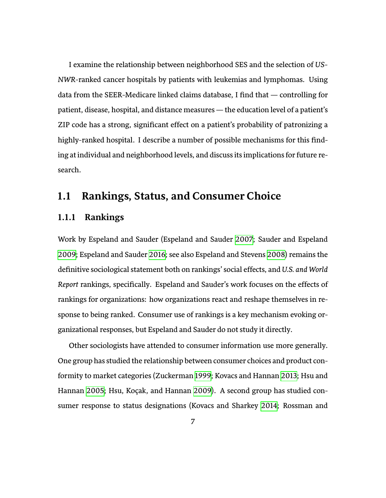I examine the relationship between neighborhood SES and the selection of *US-NWR*-ranked cancer hospitals by patients with leukemias and lymphomas. Using data from the SEER-Medicare linked claims database, I find that — controlling for patient, disease, hospital, and distance measures — the education level of a patient's ZIP code has a strong, significant effect on a patient's probability of patronizing a highly-ranked hospital. I describe a number of possible mechanisms for this finding at individual and neighborhood levels, and discuss its implications for future research.

### <span id="page-25-0"></span>**1.1 Rankings, Status, and Consumer Choice**

#### <span id="page-25-1"></span>**1.1.1 Rankings**

Work by Espeland and Sauder (Espeland and Sauder [2007](#page-129-2); Sauder and Espeland [2009](#page-140-1); Espeland and Sauder [2016](#page-129-3); see also Espeland and Stevens [2008](#page-130-2)) remains the definitive sociological statement both on rankings' social effects, and *U.S. and World Report* rankings, specifically. Espeland and Sauder's work focuses on the effects of rankings for organizations: how organizations react and reshape themselves in response to being ranked. Consumer use of rankings is a key mechanism evoking organizational responses, but Espeland and Sauder do not study it directly.

Other sociologists have attended to consumer information use more generally. One group has studied the relationship between consumer choices and product conformity to market categories (Zuckerman [1999;](#page-143-0) Kovacs and Hannan [2013](#page-133-0); Hsu and Hannan [2005](#page-132-2); Hsu, Koçak, and Hannan [2009](#page-132-3)). A second group has studied consumer response to status designations (Kovacs and Sharkey [2014;](#page-133-1) Rossman and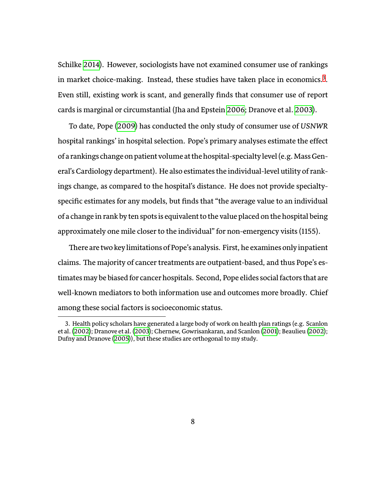Schilke [2014\)](#page-139-0). However, sociologists have not examined consumer use of rankings in market choice-making. Instead, these studies have taken place in economics.<sup>[3](#page-26-0)</sup>. Even still, existing work is scant, and generally finds that consumer use of report cards is marginal or circumstantial (Jha and Epstein [2006](#page-132-0); Dranove et al. [2003\)](#page-129-0).

To date, Pope ([2009](#page-138-2)) has conducted the only study of consumer use of *USNWR* hospital rankings' in hospital selection. Pope's primary analyses estimate the effect of a rankings change on patient volume at the hospital-specialty level (e.g. Mass General's Cardiology department). He also estimates the individual-level utility of rankings change, as compared to the hospital's distance. He does not provide specialtyspecific estimates for any models, but finds that "the average value to an individual of a change in rank by ten spots is equivalent to the value placed on the hospital being approximately one mile closer to the individual" for non-emergency visits (1155).

There are two key limitations of Pope's analysis. First, he examines only inpatient claims. The majority of cancer treatments are outpatient-based, and thus Pope's estimates may be biased for cancer hospitals. Second, Pope elides social factors that are well-known mediators to both information use and outcomes more broadly. Chief among these social factors is socioeconomic status.

<span id="page-26-0"></span><sup>3.</sup> Health policy scholars have generated a large body of work on health plan ratings (e.g. Scanlon et al. [\(2002](#page-140-0)); Dranove et al. [\(2003\)](#page-129-0); Chernew, Gowrisankaran, and Scanlon [\(2001](#page-128-1)); Beaulieu ([2002\)](#page-125-3); Dufny and Dranove ([2005](#page-129-1))), but these studies are orthogonal to my study.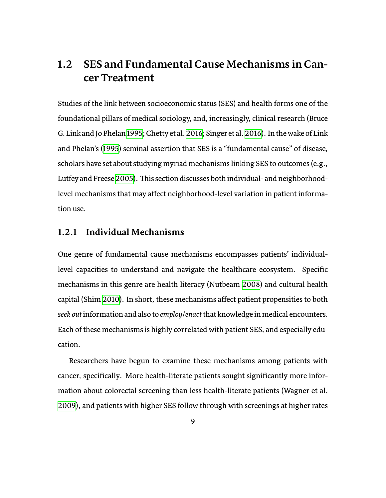## <span id="page-27-0"></span>**1.2 SES and Fundamental Cause Mechanisms in Cancer Treatment**

Studies of the link between socioeconomic status (SES) and health forms one of the foundational pillars of medical sociology, and, increasingly, clinical research (Bruce G. Link and Jo Phelan [1995](#page-134-0); Chetty et al. [2016](#page-128-3); Singer et al. [2016\)](#page-141-1). In the wake of Link and Phelan's ([1995\)](#page-134-0) seminal assertion that SES is a "fundamental cause" of disease, scholars have set about studying myriad mechanisms linking SES to outcomes (e.g., Lutfey and Freese [2005\)](#page-135-2). This section discusses both individual- and neighborhoodlevel mechanisms that may affect neighborhood-level variation in patient information use.

#### <span id="page-27-1"></span>**1.2.1 Individual Mechanisms**

One genre of fundamental cause mechanisms encompasses patients' individuallevel capacities to understand and navigate the healthcare ecosystem. Specific mechanisms in this genre are health literacy (Nutbeam [2008\)](#page-137-0) and cultural health capital (Shim [2010](#page-141-0)). In short, these mechanisms affect patient propensities to both *seek out* information and also to *employ*/*enact* that knowledge in medical encounters. Each of these mechanisms is highly correlated with patient SES, and especially education.

Researchers have begun to examine these mechanisms among patients with cancer, specifically. More health-literate patients sought significantly more information about colorectal screening than less health-literate patients (Wagner et al. [2009](#page-142-1)), and patients with higher SES follow through with screenings at higher rates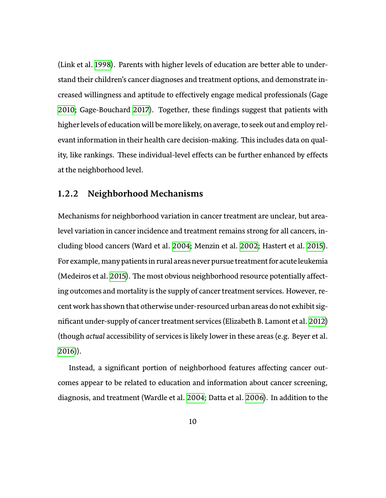(Link et al. [1998\)](#page-134-1). Parents with higher levels of education are better able to understand their children's cancer diagnoses and treatment options, and demonstrate increased willingness and aptitude to effectively engage medical professionals (Gage [2010;](#page-130-0) Gage-Bouchard [2017\)](#page-130-1). Together, these findings suggest that patients with higher levels of education will be more likely, on average, to seek out and employ relevant information in their health care decision-making. This includes data on quality, like rankings. These individual-level effects can be further enhanced by effects at the neighborhood level.

#### <span id="page-28-0"></span>**1.2.2 Neighborhood Mechanisms**

Mechanisms for neighborhood variation in cancer treatment are unclear, but arealevel variation in cancer incidence and treatment remains strong for all cancers, including blood cancers (Ward et al. [2004](#page-142-2); Menzin et al. [2002](#page-136-0); Hastert et al. [2015\)](#page-131-1). For example, many patients in rural areas never pursue treatment for acute leukemia (Medeiros et al. [2015\)](#page-136-1). The most obvious neighborhood resource potentially affecting outcomes and mortality is the supply of cancer treatment services. However, recent work has shown that otherwise under-resourced urban areas do not exhibit significant under-supply of cancer treatment services (Elizabeth B. Lamont et al. [2012](#page-133-2)) (though *actual* accessibility of services is likely lower in these areas (e.g. Beyer et al. [2016](#page-126-2))).

Instead, a significant portion of neighborhood features affecting cancer outcomes appear to be related to education and information about cancer screening, diagnosis, and treatment (Wardle et al. [2004](#page-142-3); Datta et al. [2006](#page-128-4)). In addition to the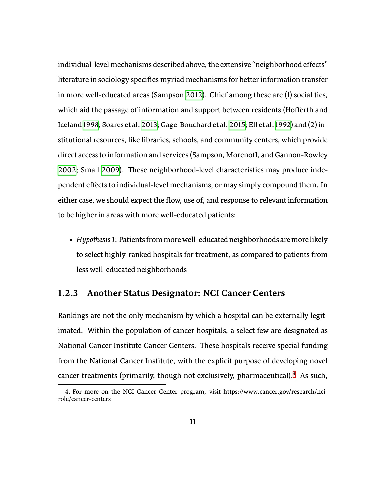individual-level mechanisms described above, the extensive "neighborhood effects" literature in sociology specifies myriad mechanisms for better information transfer in more well-educated areas (Sampson [2012](#page-140-2)). Chief among these are (1) social ties, which aid the passage of information and support between residents (Hofferth and Iceland[1998;](#page-132-4) Soares et al.[2013;](#page-141-2) Gage-Bouchard et al.[2015](#page-130-3); Ell et al. [1992\)](#page-129-4) and (2) institutional resources, like libraries, schools, and community centers, which provide direct access to information and services (Sampson, Morenoff, and Gannon-Rowley [2002;](#page-140-3) Small [2009\)](#page-141-3). These neighborhood-level characteristics may produce independent effects to individual-level mechanisms, or may simply compound them. In either case, we should expect the flow, use of, and response to relevant information to be higher in areas with more well-educated patients:

• *Hypothesis 1*: Patients from more well-educated neighborhoods are more likely to select highly-ranked hospitals for treatment, as compared to patients from less well-educated neighborhoods

#### <span id="page-29-0"></span>**1.2.3 Another Status Designator: NCI Cancer Centers**

Rankings are not the only mechanism by which a hospital can be externally legitimated. Within the population of cancer hospitals, a select few are designated as National Cancer Institute Cancer Centers. These hospitals receive special funding from the National Cancer Institute, with the explicit purpose of developing novel cancer treatments (primarily, though not exclusively, pharmaceutical).[4](#page-29-1) As such,

<span id="page-29-1"></span><sup>4.</sup> For more on the NCI Cancer Center program, visit https://www.cancer.gov/research/ncirole/cancer-centers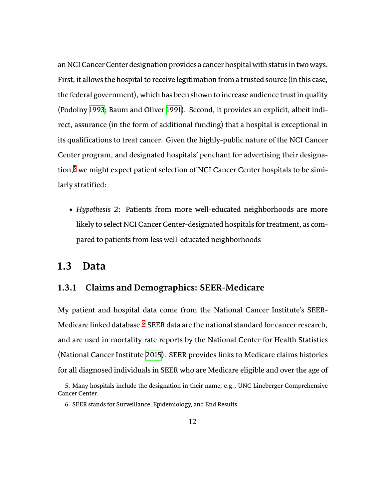an NCI Cancer Center designation provides a cancer hospital with status in two ways. First, it allows the hospital to receive legitimation from a trusted source (in this case, the federal government), which has been shown to increase audience trust in quality (Podolny [1993](#page-138-1); Baum and Oliver [1991\)](#page-125-1). Second, it provides an explicit, albeit indirect, assurance (in the form of additional funding) that a hospital is exceptional in its qualifications to treat cancer. Given the highly-public nature of the NCI Cancer Center program, and designated hospitals' penchant for advertising their designa-tion,<sup>[5](#page-30-2)</sup> we might expect patient selection of NCI Cancer Center hospitals to be similarly stratified:

• *Hypothesis 2*: Patients from more well-educated neighborhoods are more likely to select NCI Cancer Center-designated hospitals for treatment, as compared to patients from less well-educated neighborhoods

#### <span id="page-30-0"></span>**1.3 Data**

#### <span id="page-30-1"></span>**1.3.1 Claims and Demographics: SEER-Medicare**

My patient and hospital data come from the National Cancer Institute's SEER-Medicare linked database.<sup>[6](#page-30-3)</sup> SEER data are the national standard for cancer research, and are used in mortality rate reports by the National Center for Health Statistics (National Cancer Institute [2015](#page-136-2)). SEER provides links to Medicare claims histories for all diagnosed individuals in SEER who are Medicare eligible and over the age of

<span id="page-30-2"></span><sup>5.</sup> Many hospitals include the designation in their name, e.g., UNC Lineberger Comprehensive Cancer Center.

<span id="page-30-3"></span><sup>6.</sup> SEER stands for Surveillance, Epidemiology, and End Results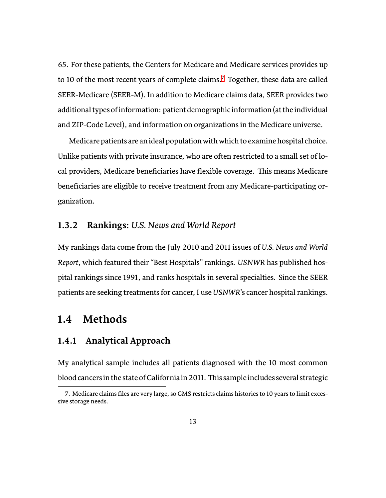65. For these patients, the Centers for Medicare and Medicare services provides up to 10 of the most recent years of complete claims.<sup>[7](#page-31-3)</sup> Together, these data are called SEER-Medicare (SEER-M). In addition to Medicare claims data, SEER provides two additional types of information: patient demographic information (at the individual and ZIP-Code Level), and information on organizations in the Medicare universe.

Medicare patients are an ideal population with which to examine hospital choice. Unlike patients with private insurance, who are often restricted to a small set of local providers, Medicare beneficiaries have flexible coverage. This means Medicare beneficiaries are eligible to receive treatment from any Medicare-participating organization.

#### <span id="page-31-0"></span>**1.3.2 Rankings:** *U.S. News and World Report*

My rankings data come from the July 2010 and 2011 issues of *U.S. News and World Report*, which featured their "Best Hospitals" rankings. *USNWR* has published hospital rankings since 1991, and ranks hospitals in several specialties. Since the SEER patients are seeking treatments for cancer, I use *USNWR*'s cancer hospital rankings.

### <span id="page-31-1"></span>**1.4 Methods**

#### <span id="page-31-2"></span>**1.4.1 Analytical Approach**

My analytical sample includes all patients diagnosed with the 10 most common blood cancers in the state of California in 2011. This sample includes several strategic

<span id="page-31-3"></span><sup>7.</sup> Medicare claims files are very large, so CMS restricts claims histories to 10 years to limit excessive storage needs.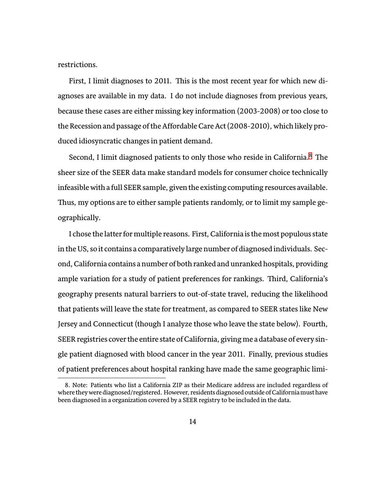restrictions.

First, I limit diagnoses to 2011. This is the most recent year for which new diagnoses are available in my data. I do not include diagnoses from previous years, because these cases are either missing key information (2003-2008) or too close to the Recession and passage of the Affordable Care Act (2008-2010), which likely produced idiosyncratic changes in patient demand.

Second, I limit diagnosed patients to only those who reside in California.<sup>[8](#page-32-0)</sup> The sheer size of the SEER data make standard models for consumer choice technically infeasible with a full SEER sample, given the existing computing resources available. Thus, my options are to either sample patients randomly, or to limit my sample geographically.

I chose the latter for multiple reasons. First, California is the most populous state in the US, so it contains a comparatively large number of diagnosed individuals. Second, California contains a number of both ranked and unranked hospitals, providing ample variation for a study of patient preferences for rankings. Third, California's geography presents natural barriers to out-of-state travel, reducing the likelihood that patients will leave the state for treatment, as compared to SEER states like New Jersey and Connecticut (though I analyze those who leave the state below). Fourth, SEER registries cover the entire state of California, giving me a database of every single patient diagnosed with blood cancer in the year 2011. Finally, previous studies of patient preferences about hospital ranking have made the same geographic limi-

<span id="page-32-0"></span><sup>8.</sup> Note: Patients who list a California ZIP as their Medicare address are included regardless of where they were diagnosed/registered. However, residents diagnosed outside of California must have been diagnosed in a organization covered by a SEER registry to be included in the data.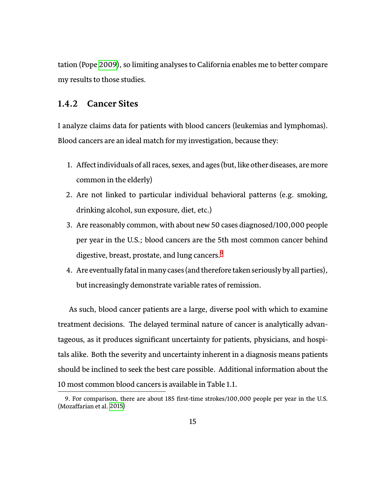tation (Pope [2009](#page-138-2)), so limiting analyses to California enables me to better compare my results to those studies.

#### <span id="page-33-0"></span>**1.4.2 Cancer Sites**

I analyze claims data for patients with blood cancers (leukemias and lymphomas). Blood cancers are an ideal match for my investigation, because they:

- 1. Affect individuals of all races, sexes, and ages (but, like other diseases, are more common in the elderly)
- 2. Are not linked to particular individual behavioral patterns (e.g. smoking, drinking alcohol, sun exposure, diet, etc.)
- 3. Are reasonably common, with about new 50 cases diagnosed/100,000 people per year in the U.S.; blood cancers are the 5th most common cancer behind digestive, breast, prostate, and lung cancers.<sup>[9](#page-33-1)</sup>
- 4. Are eventually fatal in many cases (and therefore taken seriously by all parties), but increasingly demonstrate variable rates of remission.

As such, blood cancer patients are a large, diverse pool with which to examine treatment decisions. The delayed terminal nature of cancer is analytically advantageous, as it produces significant uncertainty for patients, physicians, and hospitals alike. Both the severity and uncertainty inherent in a diagnosis means patients should be inclined to seek the best care possible. Additional information about the 10 most common blood cancers is available in Table 1.1.

<span id="page-33-1"></span><sup>9.</sup> For comparison, there are about 185 first-time strokes/100,000 people per year in the U.S. (Mozaffarian et al. [2015](#page-136-3))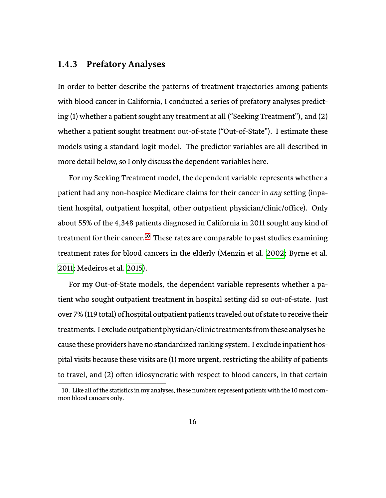#### <span id="page-34-0"></span>**1.4.3 Prefatory Analyses**

In order to better describe the patterns of treatment trajectories among patients with blood cancer in California, I conducted a series of prefatory analyses predicting (1) whether a patient sought any treatment at all ("Seeking Treatment"), and (2) whether a patient sought treatment out-of-state ("Out-of-State"). I estimate these models using a standard logit model. The predictor variables are all described in more detail below, so I only discuss the dependent variables here.

For my Seeking Treatment model, the dependent variable represents whether a patient had any non-hospice Medicare claims for their cancer in *any* setting (inpatient hospital, outpatient hospital, other outpatient physician/clinic/office). Only about 55% of the 4,348 patients diagnosed in California in 2011 sought any kind of treatment for their cancer.<sup>[10](#page-34-1)</sup> These rates are comparable to past studies examining treatment rates for blood cancers in the elderly (Menzin et al. [2002](#page-136-0); Byrne et al. [2011](#page-126-1); Medeiros et al. [2015](#page-136-1)).

For my Out-of-State models, the dependent variable represents whether a patient who sought outpatient treatment in hospital setting did so out-of-state. Just over 7% (119 total) of hospital outpatient patients traveled out of state to receive their treatments. I exclude outpatient physician/clinic treatments from these analyses because these providers have no standardized ranking system. I exclude inpatient hospital visits because these visits are (1) more urgent, restricting the ability of patients to travel, and (2) oŘen idiosyncratic with respect to blood cancers, in that certain

<span id="page-34-1"></span><sup>10.</sup> Like all of the statistics in my analyses, these numbers represent patients with the 10 most common blood cancers only.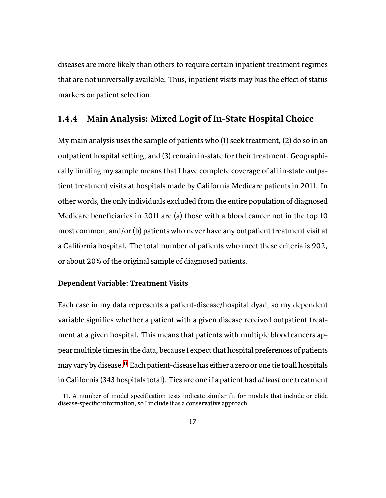diseases are more likely than others to require certain inpatient treatment regimes that are not universally available. Thus, inpatient visits may bias the effect of status markers on patient selection.

#### <span id="page-35-0"></span>**1.4.4 Main Analysis: Mixed Logit of In-State Hospital Choice**

My main analysis uses the sample of patients who (1) seek treatment, (2) do so in an outpatient hospital setting, and (3) remain in-state for their treatment. Geographically limiting my sample means that I have complete coverage of all in-state outpatient treatment visits at hospitals made by California Medicare patients in 2011. In other words, the only individuals excluded from the entire population of diagnosed Medicare beneficiaries in 2011 are (a) those with a blood cancer not in the top 10 most common, and/or (b) patients who never have any outpatient treatment visit at a California hospital. The total number of patients who meet these criteria is 902, or about 20% of the original sample of diagnosed patients.

#### **Dependent Variable: Treatment Visits**

Each case in my data represents a patient-disease/hospital dyad, so my dependent variable signifies whether a patient with a given disease received outpatient treatment at a given hospital. This means that patients with multiple blood cancers appear multiple times in the data, because I expect that hospital preferences of patients may vary by disease.<sup>[11](#page-35-1)</sup> Each patient-disease has either a zero or one tie to all hospitals in California (343 hospitals total). Ties are one if a patient had *at least* one treatment

<span id="page-35-1"></span><sup>11.</sup> A number of model specification tests indicate similar fit for models that include or elide disease-specific information, so I include it as a conservative approach.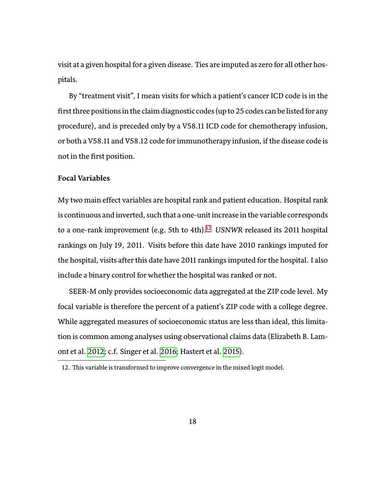visit at a given hospital for a given disease. Ties are imputed as zero for all other hospitals.

By "treatment visit", I mean visits for which a patient's cancer ICD code is in the first three positions in the claim diagnostic codes (up to 25 codes can be listed for any procedure), and is preceded only by a V58.11 ICD code for chemotherapy infusion, or both a V58.11 and V58.12 code for immunotherapy infusion, if the disease code is not in the first position.

#### **Focal Variables**

My two main effect variables are hospital rank and patient education. Hospital rank is continuous and inverted, such that a one-unit increase in the variable corresponds to a one-rank improvement (e.g. 5th to 4th).<sup>[12](#page-36-0)</sup> *USNWR* released its 2011 hospital rankings on July 19, 2011. Visits before this date have 2010 rankings imputed for the hospital, visits after this date have 2011 rankings imputed for the hospital. I also include a binary control for whether the hospital was ranked or not.

SEER-M only provides socioeconomic data aggregated at the ZIP code level. My focal variable is therefore the percent of a patient's ZIP code with a college degree. While aggregated measures of socioeconomic status are less than ideal, this limitation is common among analyses using observational claims data (Elizabeth B. Lamont et al. [2012](#page-133-0); c.f. Singer et al. [2016](#page-141-0); Hastert et al. [2015\)](#page-131-0).

<span id="page-36-0"></span><sup>12.</sup> This variable is transformed to improve convergence in the mixed logit model.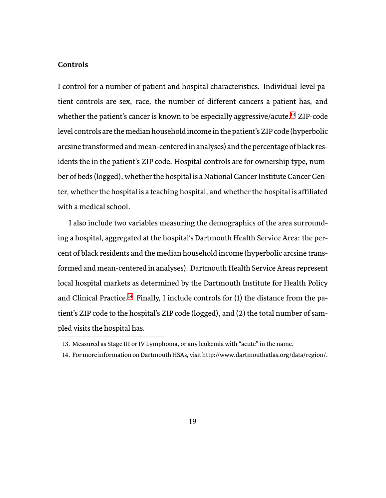#### **Controls**

I control for a number of patient and hospital characteristics. Individual-level patient controls are sex, race, the number of different cancers a patient has, and whether the patient's cancer is known to be especially aggressive/acute.<sup>[13](#page-37-0)</sup> ZIP-code level controls are the median household income in the patient's ZIP code (hyperbolic arcsine transformed and mean-centered in analyses) and the percentage of black residents the in the patient's ZIP code. Hospital controls are for ownership type, number of beds (logged), whether the hospital is a National Cancer Institute Cancer Center, whether the hospital is a teaching hospital, and whether the hospital is affiliated with a medical school.

I also include two variables measuring the demographics of the area surrounding a hospital, aggregated at the hospital's Dartmouth Health Service Area: the percent of black residents and the median household income (hyperbolic arcsine transformed and mean-centered in analyses). Dartmouth Health Service Areas represent local hospital markets as determined by the Dartmouth Institute for Health Policy and Clinical Practice.<sup>[14](#page-37-1)</sup> Finally, I include controls for  $(1)$  the distance from the patient's ZIP code to the hospital's ZIP code (logged), and (2) the total number of sampled visits the hospital has.

<span id="page-37-0"></span><sup>13.</sup> Measured as Stage III or IV Lymphoma, or any leukemia with "acute" in the name.

<span id="page-37-1"></span><sup>14.</sup> For more information on Dartmouth HSAs, visit hŧp://www.dartmouthatlas.org/data/region/.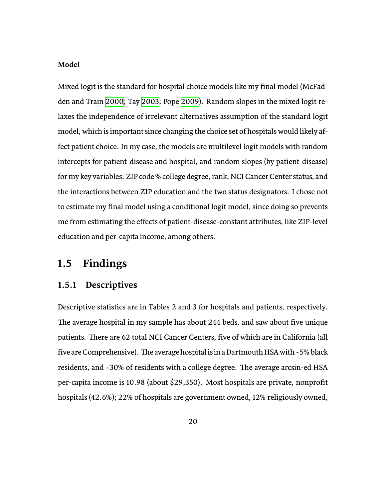#### **Model**

Mixed logit is the standard for hospital choice models like my final model (McFadden and Train [2000](#page-135-0); Tay [2003](#page-141-1); Pope [2009\)](#page-138-0). Random slopes in the mixed logit relaxes the independence of irrelevant alternatives assumption of the standard logit model, which is important since changing the choice set of hospitals would likely affect patient choice. In my case, the models are multilevel logit models with random intercepts for patient-disease and hospital, and random slopes (by patient-disease) for my key variables: ZIP code % college degree, rank, NCI Cancer Center status, and the interactions between ZIP education and the two status designators. I chose not to estimate my final model using a conditional logit model, since doing so prevents me from estimating the effects of patient-disease-constant attributes, like ZIP-level education and per-capita income, among others.

## **1.5 Findings**

### **1.5.1 Descriptives**

Descriptive statistics are in Tables 2 and 3 for hospitals and patients, respectively. The average hospital in my sample has about 244 beds, and saw about five unique patients. There are 62 total NCI Cancer Centers, five of which are in California (all five are Comprehensive). The average hospital is in a Dartmouth HSA with  $\sim$  5% black residents, and ~30% of residents with a college degree. The average arcsin-ed HSA per-capita income is 10.98 (about \$29,350). Most hospitals are private, nonprofit hospitals (42.6%); 22% of hospitals are government owned, 12% religiously owned,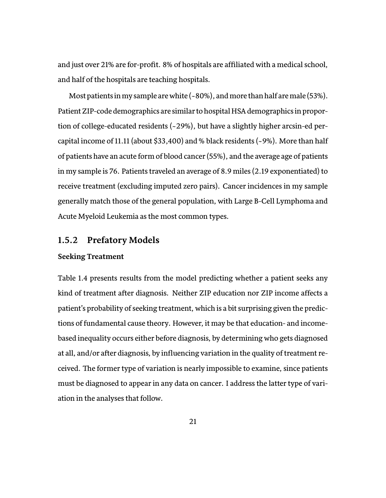and just over 21% are for-profit. 8% of hospitals are affiliated with a medical school, and half of the hospitals are teaching hospitals.

Most patients in my sample are white (~80%), and more than half are male (53%). Patient ZIP-code demographics are similar to hospital HSA demographics in proportion of college-educated residents (~29%), but have a slightly higher arcsin-ed percapital income of 11.11 (about  $$33,400$ ) and % black residents (~9%). More than half of patients have an acute form of blood cancer (55%), and the average age of patients in my sample is 76. Patients traveled an average of 8.9 miles (2.19 exponentiated) to receive treatment (excluding imputed zero pairs). Cancer incidences in my sample generally match those of the general population, with Large B-Cell Lymphoma and Acute Myeloid Leukemia as the most common types.

### **1.5.2 Prefatory Models**

#### **Seeking Treatment**

Table 1.4 presents results from the model predicting whether a patient seeks any kind of treatment after diagnosis. Neither ZIP education nor ZIP income affects a patient's probability of seeking treatment, which is a bit surprising given the predictions of fundamental cause theory. However, it may be that education- and incomebased inequality occurs either before diagnosis, by determining who gets diagnosed at all, and/or aŘer diagnosis, by influencing variation in the quality of treatment received. The former type of variation is nearly impossible to examine, since patients must be diagnosed to appear in any data on cancer. I address the latter type of variation in the analyses that follow.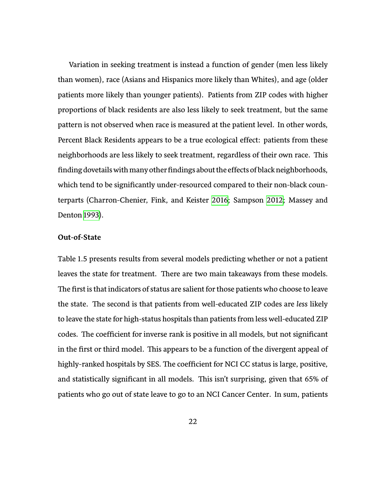Variation in seeking treatment is instead a function of gender (men less likely than women), race (Asians and Hispanics more likely than Whites), and age (older patients more likely than younger patients). Patients from ZIP codes with higher proportions of black residents are also less likely to seek treatment, but the same pattern is not observed when race is measured at the patient level. In other words, Percent Black Residents appears to be a true ecological effect: patients from these neighborhoods are less likely to seek treatment, regardless of their own race. This finding dovetails with many other findings about the effects of black neighborhoods, which tend to be significantly under-resourced compared to their non-black counterparts (Charron-Chenier, Fink, and Keister [2016;](#page-127-0) Sampson [2012](#page-140-0); Massey and Denton [1993](#page-135-1)).

#### **Out-of-State**

Table 1.5 presents results from several models predicting whether or not a patient leaves the state for treatment. There are two main takeaways from these models. The first is that indicators of status are salient for those patients who choose to leave the state. The second is that patients from well-educated ZIP codes are *less* likely to leave the state for high-status hospitals than patients from less well-educated ZIP codes. The coefficient for inverse rank is positive in all models, but not significant in the first or third model. This appears to be a function of the divergent appeal of highly-ranked hospitals by SES. The coefficient for NCI CC status is large, positive, and statistically significant in all models. This isn't surprising, given that 65% of patients who go out of state leave to go to an NCI Cancer Center. In sum, patients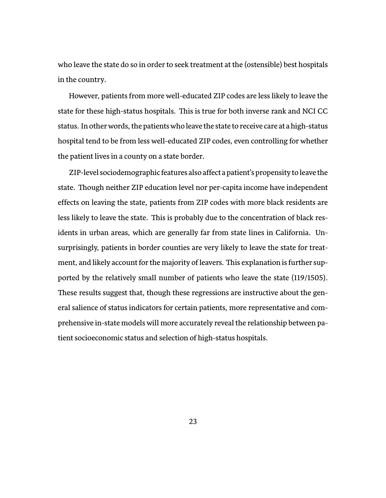who leave the state do so in order to seek treatment at the (ostensible) best hospitals in the country.

However, patients from more well-educated ZIP codes are less likely to leave the state for these high-status hospitals. This is true for both inverse rank and NCI CC status. In other words, the patients who leave the state to receive care at a high-status hospital tend to be from less well-educated ZIP codes, even controlling for whether the patient lives in a county on a state border.

ZIP-level sociodemographic features also affect a patient's propensity to leave the state. Though neither ZIP education level nor per-capita income have independent effects on leaving the state, patients from ZIP codes with more black residents are less likely to leave the state. This is probably due to the concentration of black residents in urban areas, which are generally far from state lines in California. Unsurprisingly, patients in border counties are very likely to leave the state for treatment, and likely account for the majority of leavers. This explanation is further supported by the relatively small number of patients who leave the state (119/1505). These results suggest that, though these regressions are instructive about the general salience of status indicators for certain patients, more representative and comprehensive in-state models will more accurately reveal the relationship between patient socioeconomic status and selection of high-status hospitals.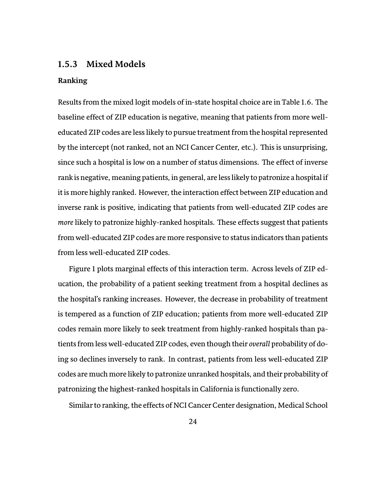#### **1.5.3 Mixed Models**

#### **Ranking**

Results from the mixed logit models of in-state hospital choice are in Table 1.6. The baseline effect of ZIP education is negative, meaning that patients from more welleducated ZIP codes are less likely to pursue treatment from the hospital represented by the intercept (not ranked, not an NCI Cancer Center, etc.). This is unsurprising, since such a hospital is low on a number of status dimensions. The effect of inverse rank is negative, meaning patients, in general, are less likely to patronize a hospital if it is more highly ranked. However, the interaction effect between ZIP education and inverse rank is positive, indicating that patients from well-educated ZIP codes are *more* likely to patronize highly-ranked hospitals. These effects suggest that patients from well-educated ZIP codes are more responsive to status indicators than patients from less well-educated ZIP codes.

Figure 1 plots marginal effects of this interaction term. Across levels of ZIP education, the probability of a patient seeking treatment from a hospital declines as the hospital's ranking increases. However, the decrease in probability of treatment is tempered as a function of ZIP education; patients from more well-educated ZIP codes remain more likely to seek treatment from highly-ranked hospitals than patients from less well-educated ZIP codes, even though their *overall* probability of doing so declines inversely to rank. In contrast, patients from less well-educated ZIP codes are much more likely to patronize unranked hospitals, and their probability of patronizing the highest-ranked hospitals in California is functionally zero.

Similar to ranking, the effects of NCI Cancer Center designation, Medical School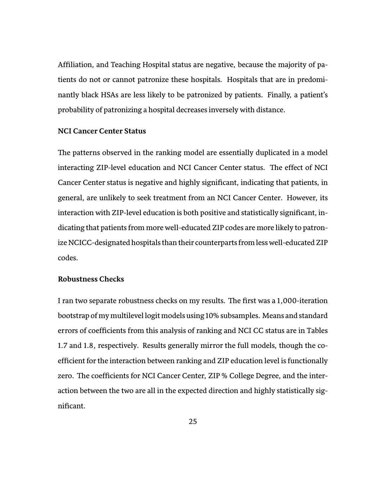Affiliation, and Teaching Hospital status are negative, because the majority of patients do not or cannot patronize these hospitals. Hospitals that are in predominantly black HSAs are less likely to be patronized by patients. Finally, a patient's probability of patronizing a hospital decreases inversely with distance.

#### **NCI Cancer Center Status**

The patterns observed in the ranking model are essentially duplicated in a model interacting ZIP-level education and NCI Cancer Center status. The effect of NCI Cancer Center status is negative and highly significant, indicating that patients, in general, are unlikely to seek treatment from an NCI Cancer Center. However, its interaction with ZIP-level education is both positive and statistically significant, indicating that patients from more well-educated ZIP codes are more likely to patronize NCICC-designated hospitals than their counterparts from less well-educated ZIP codes.

#### **Robustness Checks**

I ran two separate robustness checks on my results. The first was a 1,000-iteration bootstrap of my multilevel logit models using 10% subsamples. Means and standard errors of coefficients from this analysis of ranking and NCI CC status are in Tables 1.7 and 1.8, respectively. Results generally mirror the full models, though the coefficient for the interaction between ranking and ZIP education level is functionally zero. The coefficients for NCI Cancer Center, ZIP % College Degree, and the interaction between the two are all in the expected direction and highly statistically significant.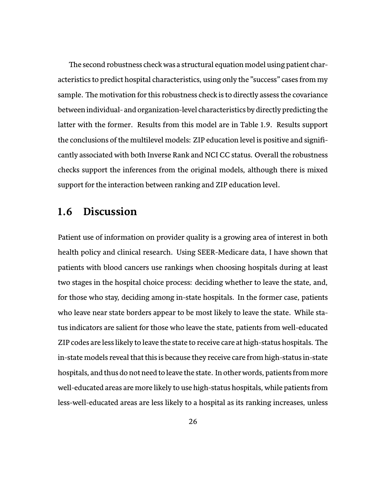The second robustness check was a structural equation model using patient characteristics to predict hospital characteristics, using only the "success" cases from my sample. The motivation for this robustness check is to directly assess the covariance between individual- and organization-level characteristics by directly predicting the latter with the former. Results from this model are in Table 1.9. Results support the conclusions of the multilevel models: ZIP education level is positive and significantly associated with both Inverse Rank and NCI CC status. Overall the robustness checks support the inferences from the original models, although there is mixed support for the interaction between ranking and ZIP education level.

## **1.6 Discussion**

Patient use of information on provider quality is a growing area of interest in both health policy and clinical research. Using SEER-Medicare data, I have shown that patients with blood cancers use rankings when choosing hospitals during at least two stages in the hospital choice process: deciding whether to leave the state, and, for those who stay, deciding among in-state hospitals. In the former case, patients who leave near state borders appear to be most likely to leave the state. While status indicators are salient for those who leave the state, patients from well-educated ZIP codes are less likely to leave the state to receive care at high-status hospitals. The in-state models reveal that this is because they receive care from high-status in-state hospitals, and thus do not need to leave the state. In other words, patients from more well-educated areas are more likely to use high-status hospitals, while patients from less-well-educated areas are less likely to a hospital as its ranking increases, unless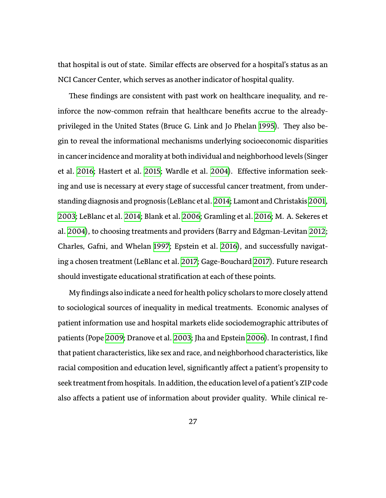that hospital is out of state. Similar effects are observed for a hospital's status as an NCI Cancer Center, which serves as another indicator of hospital quality.

These findings are consistent with past work on healthcare inequality, and reinforce the now-common refrain that healthcare benefits accrue to the already-privileged in the United States (Bruce G. Link and Jo Phelan [1995\)](#page-134-0). They also begin to reveal the informational mechanisms underlying socioeconomic disparities in cancer incidence and morality at both individual and neighborhood levels (Singer et al. [2016](#page-141-0); Hastert et al. [2015;](#page-131-0) Wardle et al. [2004](#page-142-0)). Effective information seeking and use is necessary at every stage of successful cancer treatment, from understanding diagnosis and prognosis (LeBlanc et al. [2014;](#page-134-1) Lamont and Christakis [2001](#page-133-1), [2003;](#page-133-2) LeBlanc et al. [2014](#page-134-1); Blank et al. [2006;](#page-126-0) Gramling et al. [2016](#page-131-1); M. A. Sekeres et al. [2004](#page-140-1)), to choosing treatments and providers (Barry and Edgman-Levitan [2012;](#page-125-0) Charles, Gafni, and Whelan [1997;](#page-127-1) Epstein et al. [2016](#page-129-0)), and successfully navigating a chosen treatment (LeBlanc et al. [2017](#page-134-2); Gage-Bouchard [2017\)](#page-130-0). Future research should investigate educational stratification at each of these points.

My findings also indicate a need for health policy scholars to more closely attend to sociological sources of inequality in medical treatments. Economic analyses of patient information use and hospital markets elide sociodemographic attributes of patients (Pope [2009;](#page-138-0) Dranove et al. [2003](#page-129-1); Jha and Epstein [2006\)](#page-132-0). In contrast, I find that patient characteristics, like sex and race, and neighborhood characteristics, like racial composition and education level, significantly affect a patient's propensity to seek treatment from hospitals. In addition, the education level of a patient's ZIP code also affects a patient use of information about provider quality. While clinical re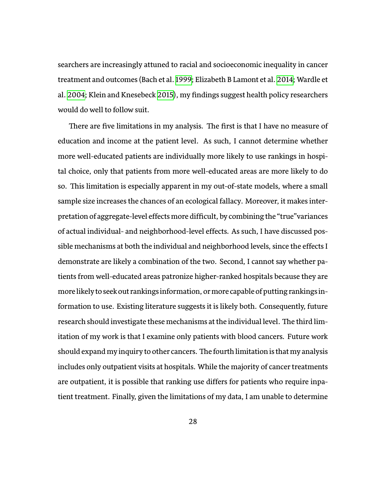searchers are increasingly attuned to racial and socioeconomic inequality in cancer treatment and outcomes (Bach et al. [1999](#page-125-1); Elizabeth B Lamont et al. [2014](#page-134-3); Wardle et al. [2004;](#page-142-0) Klein and Knesebeck [2015](#page-133-3)), my findings suggest health policy researchers would do well to follow suit.

There are five limitations in my analysis. The first is that I have no measure of education and income at the patient level. As such, I cannot determine whether more well-educated patients are individually more likely to use rankings in hospital choice, only that patients from more well-educated areas are more likely to do so. This limitation is especially apparent in my out-of-state models, where a small sample size increases the chances of an ecological fallacy. Moreover, it makes interpretation of aggregate-level effects more difficult, by combining the "true"variances of actual individual- and neighborhood-level effects. As such, I have discussed possible mechanisms at both the individual and neighborhood levels, since the effects I demonstrate are likely a combination of the two. Second, I cannot say whether patients from well-educated areas patronize higher-ranked hospitals because they are more likely to seek out rankings information, or more capable of putting rankings information to use. Existing literature suggests it is likely both. Consequently, future research should investigate these mechanisms at the individual level. The third limitation of my work is that I examine only patients with blood cancers. Future work should expand my inquiry to other cancers. The fourth limitation is that my analysis includes only outpatient visits at hospitals. While the majority of cancer treatments are outpatient, it is possible that ranking use differs for patients who require inpatient treatment. Finally, given the limitations of my data, I am unable to determine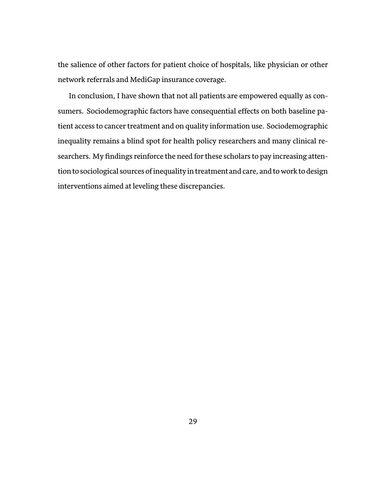the salience of other factors for patient choice of hospitals, like physician or other network referrals and MediGap insurance coverage.

In conclusion, I have shown that not all patients are empowered equally as consumers. Sociodemographic factors have consequential effects on both baseline patient access to cancer treatment and on quality information use. Sociodemographic inequality remains a blind spot for health policy researchers and many clinical researchers. My findings reinforce the need for these scholars to pay increasing attention to sociological sources of inequality in treatment and care, and to work to design interventions aimed at leveling these discrepancies.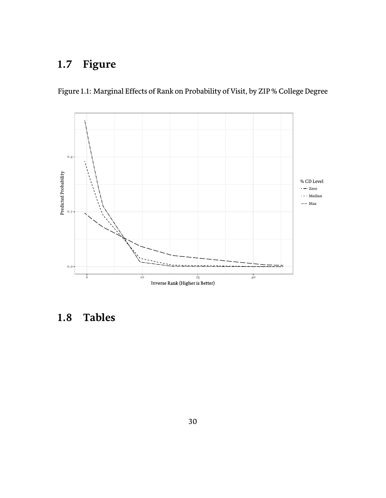# **1.7 Figure**

Figure 1.1: Marginal Effects of Rank on Probability of Visit, by ZIP % College Degree



**1.8 Tables**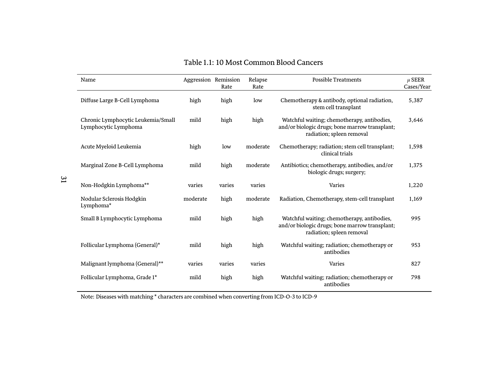| Name                                                       | Aggression Remission | Rate   | Relapse<br>Rate | <b>Possible Treatments</b>                                                                                                 | $\mu$ SEER<br>Cases/Year |
|------------------------------------------------------------|----------------------|--------|-----------------|----------------------------------------------------------------------------------------------------------------------------|--------------------------|
| Diffuse Large B-Cell Lymphoma                              | high                 | high   | low             | Chemotherapy & antibody, optional radiation,<br>stem cell transplant                                                       | 5,387                    |
| Chronic Lymphocytic Leukemia/Small<br>Lymphocytic Lymphoma | mild                 | high   | high            | Watchful waiting; chemotherapy, antibodies,<br>and/or biologic drugs; bone marrow transplant;<br>radiation; spleen removal | 3,646                    |
| Acute Myeloid Leukemia                                     | high                 | low    | moderate        | Chemotherapy; radiation; stem cell transplant;<br>clinical trials                                                          | 1,598                    |
| Marginal Zone B-Cell Lymphoma                              | mild                 | high   | moderate        | Antibiotics; chemotherapy, antibodies, and/or<br>biologic drugs; surgery;                                                  | 1,375                    |
| Non-Hodgkin Lymphoma**                                     | varies               | varies | varies          | Varies                                                                                                                     | 1,220                    |
| Nodular Sclerosis Hodgkin<br>Lymphoma*                     | moderate             | high   | moderate        | Radiation, Chemotherapy, stem-cell transplant                                                                              | 1,169                    |
| Small B Lymphocytic Lymphoma                               | mild                 | high   | high            | Watchful waiting; chemotherapy, antibodies,<br>and/or biologic drugs; bone marrow transplant;<br>radiation; spleen removal | 995                      |
| Follicular Lymphoma (General)*                             | mild                 | high   | high            | Watchful waiting; radiation; chemotherapy or<br>antibodies                                                                 | 953                      |
| Malignant lymphoma (General)**                             | varies               | varies | varies          | Varies                                                                                                                     | 827                      |
| Follicular Lymphoma, Grade 1*                              | mild                 | high   | high            | Watchful waiting; radiation; chemotherapy or<br>antibodies                                                                 | 798                      |

### Table 1.1: 10 Most Common Blood Cancers

Note: Diseases with matching \* characters are combined when converting from ICD-O-3 to ICD-9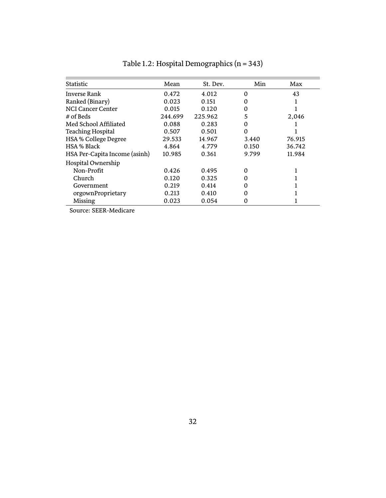| <b>Statistic</b>              | Mean    | St. Dev. | Min   | Max    |
|-------------------------------|---------|----------|-------|--------|
| Inverse Rank                  | 0.472   | 4.012    | 0     | 43     |
| Ranked (Binary)               | 0.023   | 0.151    | O     |        |
| <b>NCI Cancer Center</b>      | 0.015   | 0.120    | 0     |        |
| # of Beds                     | 244.699 | 225.962  | 5     | 2,046  |
| Med School Affiliated         | 0.088   | 0.283    | O)    |        |
| <b>Teaching Hospital</b>      | 0.507   | 0.501    | O     |        |
| <b>HSA % College Degree</b>   | 29.533  | 14.967   | 3.440 | 76.915 |
| <b>HSA</b> % Black            | 4.864   | 4.779    | 0.150 | 36.742 |
| HSA Per-Capita Income (asinh) | 10.985  | 0.361    | 9.799 | 11.984 |
| Hospital Ownership            |         |          |       |        |
| Non-Profit                    | 0.426   | 0.495    | 0     |        |
| Church.                       | 0.120   | 0.325    | 0     |        |
| Government                    | 0.219   | 0.414    |       |        |
| orgownProprietary             | 0.213   | 0.410    |       |        |
| Missing                       | 0.023   | 0.054    |       |        |
|                               |         |          |       |        |

Table 1.2: Hospital Demographics (n = 343)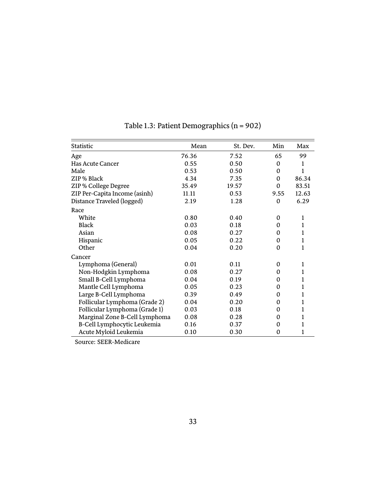| Statistic                     | Mean  | St. Dev. | Min          | Max   |
|-------------------------------|-------|----------|--------------|-------|
| Age                           | 76.36 | 7.52     | 65           | 99    |
| Has Acute Cancer              | 0.55  | 0.50     | $\Omega$     | 1     |
| Male                          | 0.53  | 0.50     | $\Omega$     | 1     |
| ZIP % Black                   | 4.34  | 7.35     | $\Omega$     | 86.34 |
| ZIP % College Degree          | 35.49 | 19.57    | $\mathbf{0}$ | 83.51 |
| ZIP Per-Capita Income (asinh) | 11.11 | 0.53     | 9.55         | 12.63 |
| Distance Traveled (logged)    | 2.19  | 1.28     | $\mathbf{0}$ | 6.29  |
| Race                          |       |          |              |       |
| White                         | 0.80  | 0.40     | $\Omega$     | 1     |
| <b>Black</b>                  | 0.03  | 0.18     | 0            | 1     |
| Asian                         | 0.08  | 0.27     | 0            | 1     |
| Hispanic                      | 0.05  | 0.22     | $\Omega$     | 1     |
| Other                         | 0.04  | 0.20     | $\Omega$     | 1     |
| Cancer                        |       |          |              |       |
| Lymphoma (General)            | 0.01  | 0.11     | $\Omega$     | 1     |
| Non-Hodgkin Lymphoma          | 0.08  | 0.27     | 0            | 1     |
| Small B-Cell Lymphoma         | 0.04  | 0.19     | 0            | 1     |
| Mantle Cell Lymphoma          | 0.05  | 0.23     | 0            | 1     |
| Large B-Cell Lymphoma         | 0.39  | 0.49     | 0            | 1     |
| Follicular Lymphoma (Grade 2) | 0.04  | 0.20     | 0            | 1     |
| Follicular Lymphoma (Grade 1) | 0.03  | 0.18     | $\Omega$     | 1     |
| Marginal Zone B-Cell Lymphoma | 0.08  | 0.28     | $\Omega$     | 1     |
| B-Cell Lymphocytic Leukemia   | 0.16  | 0.37     | 0            | 1     |
| Acute Myloid Leukemia         | 0.10  | 0.30     | $\Omega$     | 1     |

Table 1.3: Patient Demographics (n = 902)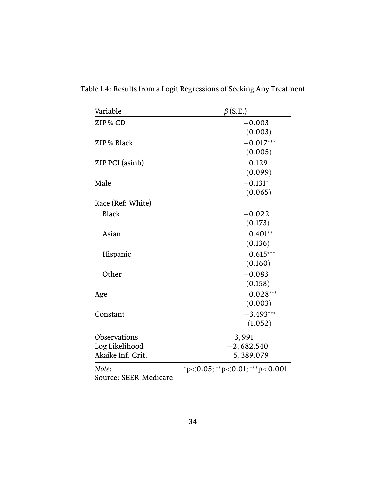| Variable                     | $\beta$ (S.E.)                                                    |  |  |
|------------------------------|-------------------------------------------------------------------|--|--|
| ZIP % CD                     | $-0.003$<br>(0.003)                                               |  |  |
| ZIP % Black                  | $-0.017***$                                                       |  |  |
|                              | (0.005)                                                           |  |  |
| ZIP PCI (asinh)              | 0.129                                                             |  |  |
|                              | (0.099)                                                           |  |  |
| Male                         | $-0.131*$                                                         |  |  |
|                              | (0.065)                                                           |  |  |
| Race (Ref: White)            |                                                                   |  |  |
| <b>Black</b>                 | $-0.022$                                                          |  |  |
|                              | (0.173)                                                           |  |  |
| Asian                        | $0.401**$                                                         |  |  |
|                              | (0.136)                                                           |  |  |
| Hispanic                     | $0.615***$                                                        |  |  |
|                              | (0.160)                                                           |  |  |
| Other                        | $-0.083$                                                          |  |  |
|                              | (0.158)                                                           |  |  |
| Age                          | $0.028***$                                                        |  |  |
|                              | (0.003)                                                           |  |  |
| Constant                     | $-3.493***$                                                       |  |  |
|                              | (1.052)                                                           |  |  |
| Observations                 | 3,991                                                             |  |  |
| Log Likelihood               | $-2,682.540$                                                      |  |  |
| Akaike Inf. Crit.            | 5,389.079                                                         |  |  |
| Note:                        | $~^{\ast}p<0.05;$ $~^{\ast\ast}p<0.01;$ $~^{\ast\ast\ast}p<0.001$ |  |  |
| <b>Source: SEER-Medicare</b> |                                                                   |  |  |

Table 1.4: Results from a Logit Regressions of Seeking Any Treatment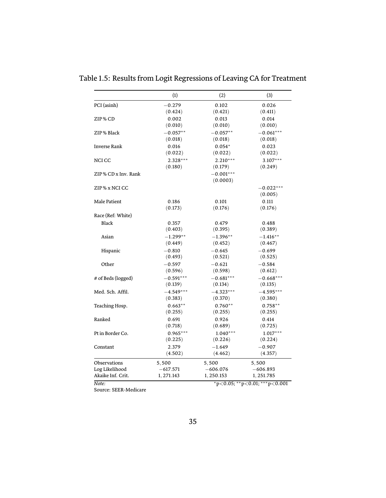|                      | (1)         | (2)                                     | (3)         |  |  |
|----------------------|-------------|-----------------------------------------|-------------|--|--|
| PCI (asinh)          | $-0.279$    | 0.102                                   | 0.026       |  |  |
|                      | (0.424)     | (0.421)                                 | (0.411)     |  |  |
| ZIP% CD              | 0.002       | 0.013                                   | 0.014       |  |  |
|                      | (0.010)     | (0.010)                                 | (0.010)     |  |  |
| ZIP % Black          | $-0.057**$  | $-0.057**$                              | $-0.061***$ |  |  |
|                      | (0.018)     | (0.018)                                 | (0.018)     |  |  |
| <b>Inverse Rank</b>  | 0.016       | $0.054*$                                | 0.023       |  |  |
|                      | (0.022)     | (0.022)                                 | (0.022)     |  |  |
| NCI CC               | $2.328***$  | $2.210***$                              | $3.107***$  |  |  |
|                      | (0.180)     | (0.179)                                 | (0.249)     |  |  |
| ZIP % CD x Inv. Rank |             | $-0.001***$                             |             |  |  |
|                      |             | (0.0003)                                |             |  |  |
| ZIP % x NCI CC       |             |                                         | $-0.022***$ |  |  |
|                      |             |                                         | (0.005)     |  |  |
| Male Patient         | 0.186       | 0.101                                   | 0.111       |  |  |
|                      | (0.173)     | (0.176)                                 | (0.176)     |  |  |
| Race (Ref: White)    |             |                                         |             |  |  |
| <b>Black</b>         | 0.357       | 0.479                                   | 0.488       |  |  |
|                      | (0.403)     | (0.395)                                 | (0.389)     |  |  |
| Asian                | $-1.299**$  | $-1.396**$                              | $-1.416**$  |  |  |
|                      | (0.449)     | (0.452)                                 | (0.467)     |  |  |
| Hispanic             | $-0.810$    | $-0.645$                                | $-0.699$    |  |  |
|                      | (0.493)     | (0.521)                                 | (0.525)     |  |  |
| Other                | $-0.597$    | $-0.621$                                | $-0.584$    |  |  |
|                      | (0.596)     | (0.598)                                 | (0.612)     |  |  |
| # of Beds (logged)   | $-0.591***$ | $-0.681***$                             | $-0.668***$ |  |  |
|                      | (0.139)     | (0.134)                                 | (0.135)     |  |  |
| Med. Sch. Affil.     | $-4.549***$ | $-4.323***$                             | $-4.595***$ |  |  |
|                      | (0.383)     | (0.370)                                 | (0.380)     |  |  |
| Teaching Hosp.       | $0.663**$   | $0.760**$                               | $0.758**$   |  |  |
|                      | (0.255)     | (0.255)                                 | (0.255)     |  |  |
| Ranked               | 0.691       | 0.926                                   | 0.414       |  |  |
|                      | (0.718)     | (0.689)                                 | (0.725)     |  |  |
| Pt in Border Co.     | $0.965***$  | $1.040***$                              | $1.017***$  |  |  |
|                      | (0.225)     | (0.226)                                 | (0.224)     |  |  |
| Constant             | 2.379       | $-1.649$                                | $-0.907$    |  |  |
|                      | (4.502)     | (4.462)                                 | (4.357)     |  |  |
| Observations         | 5,500       | 5,500                                   | 5,500       |  |  |
| Log Likelihood       | $-617.571$  | $-606.076$                              | $-606.893$  |  |  |
| Akaike Inf. Crit.    | 1, 271.143  | 1, 250.153                              | 1, 251.785  |  |  |
| Note:                |             | $*_{p<0.05; **_{p<0.01; ***_{p<0.001}}$ |             |  |  |

Table 1.5: Results from Logit Regressions of Leaving CA for Treatment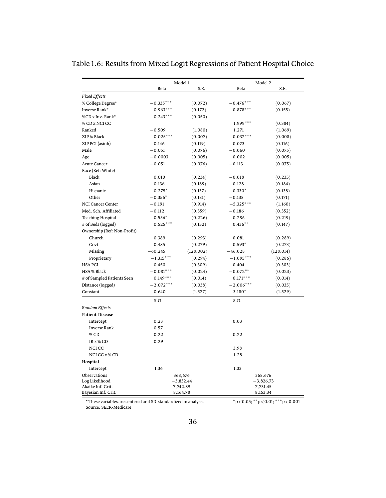|                             | Model 1     |             | Model 2     |             |
|-----------------------------|-------------|-------------|-------------|-------------|
|                             | <b>Beta</b> | S.E.        | <b>Beta</b> | S.E.        |
| <b>Fixed Effects</b>        |             |             |             |             |
| % College Degree*           | $-0.335***$ | (0.072)     | $-0.476***$ | (0.067)     |
| Inverse Rank*               | $-0.963***$ | (0.172)     | $-0.878***$ | (0.155)     |
| %CD x Inv. Rank*            | $0.243***$  | (0.050)     |             |             |
| % CD x NCI CC               |             |             | $1.999***$  | (0.384)     |
| Ranked                      | $-0.509$    | (1.080)     | 1.271       | (1.069)     |
| ZIP % Black                 | $-0.025***$ | (0.007)     | $-0.032***$ | (0.008)     |
| ZIP PCI (asinh)             | $-0.146$    | (0.119)     | 0.073       | (0.116)     |
| Male                        | $-0.051$    | (0.076)     | $-0.060$    | (0.075)     |
| Age                         | $-0.0003$   | (0.005)     | 0.002       | (0.005)     |
| <b>Acute Cancer</b>         | $-0.051$    | (0.076)     | $-0.113$    | (0.075)     |
| Race (Ref: White)           |             |             |             |             |
| <b>Black</b>                | 0.010       | (0.234)     | $-0.018$    | (0.235)     |
| Asian                       | $-0.136$    | (0.189)     | $-0.128$    | (0.184)     |
| Hispanic                    | $-0.275*$   | (0.137)     | $-0.330*$   | (0.138)     |
| Other                       | $-0.356*$   | (0.181)     | $-0.138$    | (0.171)     |
| <b>NCI Cancer Center</b>    | $-0.191$    | (0.914)     | $-5.325***$ | (1.160)     |
| Med. Sch. Affiliated        | $-0.112$    | (0.359)     | $-0.186$    | (0.352)     |
| <b>Teaching Hospital</b>    | $-0.556*$   | (0.226)     | $-0.286$    | (0.219)     |
| # of Beds (logged)          | $0.525***$  | (0.152)     | $0.436***$  | (0.147)     |
| Ownership (Ref: Non-Profit) |             |             |             |             |
| Church                      | 0.389       | (0.293)     | 0.081       | (0.289)     |
| Govt                        | 0.485       | (0.279)     | $0.593*$    | (0.273)     |
| Missing                     | $-60.245$   | (128.002)   | $-46.028$   | (128.014)   |
| Proprietary                 | $-1.315***$ | (0.294)     | $-1.095***$ | (0.286)     |
| <b>HSA PCI</b>              | $-0.450$    | (0.309)     | $-0.404$    | (0.303)     |
| <b>HSA % Black</b>          | $-0.081***$ | (0.024)     | $-0.072**$  | (0.023)     |
| # of Sampled Patients Seen  | $0.149***$  | (0.014)     | $0.171***$  | (0.014)     |
| Distance (logged)           | $-2.072***$ | (0.038)     | $-2.006***$ | (0.035)     |
| Constant                    | $-0.640$    | (1.577)     | $-3.180*$   | (1.529)     |
|                             | S.D.        |             | S.D.        |             |
| Random Effects              |             |             |             |             |
| <b>Patient-Disease</b>      |             |             |             |             |
| Intercept                   | 0.23        |             | 0.03        |             |
| <b>Inverse Rank</b>         | 0.57        |             |             |             |
| % CD                        | 0.22        |             | 0.22        |             |
| IR x % CD                   | 0.29        |             |             |             |
| NCI CC                      |             |             | 3.98        |             |
| NCI CC x % CD               |             |             | 1.28        |             |
| Hospital                    |             |             |             |             |
| Intercept                   | 1.36        |             | 1.33        |             |
| Observations                |             | 368,676     |             | 368,676     |
| Log Likelihood              |             | $-3,832.44$ |             | $-3,826.73$ |
| Akaike Inf. Crit.           |             | 7,742.89    |             | 7,731.45    |
| Bayesian Inf. Crit.         |             | 8,164.78    |             | 8,153.34    |

## Table 1.6: Results from Mixed Logit Regressions of Patient Hospital Choice

\* ũese variables are centered and SD-standardized in analyses *∗*

p*<*0.05; *∗∗*p*<*0.01; *∗∗∗*p*<*0.001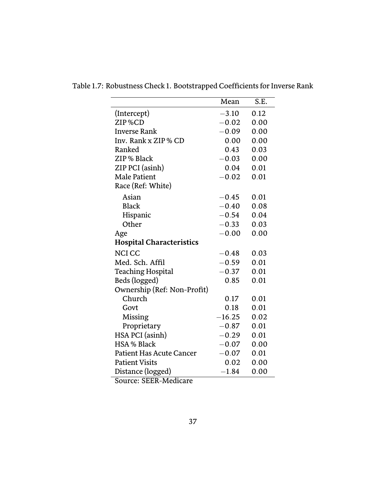|                                 | Mean     | S.E. |
|---------------------------------|----------|------|
| (Intercept)                     | $-3.10$  | 0.12 |
| ZIP%CD                          | $-0.02$  | 0.00 |
| <b>Inverse Rank</b>             | $-0.09$  | 0.00 |
| Inv. Rank x ZIP % CD            | 0.00     | 0.00 |
| Ranked                          | 0.43     | 0.03 |
| ZIP % Black                     | $-0.03$  | 0.00 |
| ZIP PCI (asinh)                 | 0.04     | 0.01 |
| <b>Male Patient</b>             | $-0.02$  | 0.01 |
| Race (Ref: White)               |          |      |
| Asian                           | $-0.45$  | 0.01 |
| <b>Black</b>                    | $-0.40$  | 0.08 |
| Hispanic                        | $-0.54$  | 0.04 |
| Other                           | $-0.33$  | 0.03 |
| Age                             | $-0.00$  | 0.00 |
| <b>Hospital Characteristics</b> |          |      |
| <b>NCICC</b>                    | $-0.48$  | 0.03 |
| Med. Sch. Affil                 | $-0.59$  | 0.01 |
| <b>Teaching Hospital</b>        | $-0.37$  | 0.01 |
| Beds (logged)                   | 0.85     | 0.01 |
| Ownership (Ref: Non-Profit)     |          |      |
| Church                          | 0.17     | 0.01 |
| Govt                            | 0.18     | 0.01 |
| Missing                         | $-16.25$ | 0.02 |
| Proprietary                     | $-0.87$  | 0.01 |
| HSA PCI (asinh)                 | $-0.29$  | 0.01 |
| <b>HSA % Black</b>              | $-0.07$  | 0.00 |
| <b>Patient Has Acute Cancer</b> | $-0.07$  | 0.01 |
| <b>Patient Visits</b>           | 0.02     | 0.00 |
| Distance (logged)               | $-1.84$  | 0.00 |
| Source: SEER-Medicare           |          |      |

Table 1.7: Robustness Check 1. Bootstrapped Coefficients for Inverse Rank

37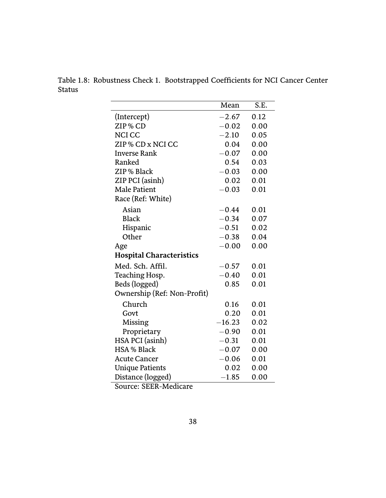|                                 | Mean     | S.E. |
|---------------------------------|----------|------|
| (Intercept)                     | $-2.67$  | 0.12 |
| ZIP% CD                         | $-0.02$  | 0.00 |
| <b>NCICC</b>                    | $-2.10$  | 0.05 |
| ZIP % CD x NCI CC               | 0.04     | 0.00 |
| <b>Inverse Rank</b>             | $-0.07$  | 0.00 |
| Ranked                          | 0.54     | 0.03 |
| ZIP % Black                     | $-0.03$  | 0.00 |
| ZIP PCI (asinh)                 | 0.02     | 0.01 |
| <b>Male Patient</b>             | $-0.03$  | 0.01 |
| Race (Ref: White)               |          |      |
| Asian                           | $-0.44$  | 0.01 |
| <b>Black</b>                    | $-0.34$  | 0.07 |
| Hispanic                        | $-0.51$  | 0.02 |
| Other                           | $-0.38$  | 0.04 |
| Age                             | $-0.00$  | 0.00 |
| <b>Hospital Characteristics</b> |          |      |
| Med. Sch. Affil.                | $-0.57$  | 0.01 |
| Teaching Hosp.                  | $-0.40$  | 0.01 |
| Beds (logged)                   | 0.85     | 0.01 |
| Ownership (Ref: Non-Profit)     |          |      |
| Church                          | 0.16     | 0.01 |
| Govt                            | 0.20     | 0.01 |
| Missing                         | $-16.23$ | 0.02 |
| Proprietary                     | $-0.90$  | 0.01 |
| HSA PCI (asinh)                 | $-0.31$  | 0.01 |
| <b>HSA % Black</b>              | $-0.07$  | 0.00 |
| <b>Acute Cancer</b>             | $-0.06$  | 0.01 |
| <b>Unique Patients</b>          | 0.02     | 0.00 |
| Distance (logged)               | $-1.85$  | 0.00 |

Table 1.8: Robustness Check 1. Bootstrapped Coefficients for NCI Cancer Center Status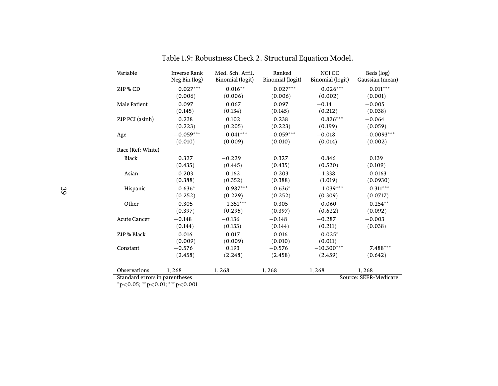| Variable                       | <b>Inverse Rank</b><br>Neg Bin (log) | Med. Sch. Affil.<br>Binomial (logit) | Ranked<br>Binomial (logit) | <b>NCICC</b><br>Binomial (logit) | Beds (log)<br>Gaussian (mean) |
|--------------------------------|--------------------------------------|--------------------------------------|----------------------------|----------------------------------|-------------------------------|
|                                |                                      |                                      |                            |                                  |                               |
| ZIP% CD                        | $0.027***$                           | $0.016***$                           | $0.027***$                 | $0.026***$                       | $0.011***$                    |
|                                | (0.006)                              | (0.006)                              | (0.006)                    | (0.002)                          | (0.001)                       |
| Male Patient                   | 0.097                                | 0.067                                | 0.097                      | $-0.14$                          | $-0.005$                      |
|                                | (0.145)                              | (0.134)                              | (0.145)                    | (0.212)                          | (0.038)                       |
| ZIP PCI (asinh)                | 0.238                                | 0.102                                | 0.238                      | $0.826***$                       | $-0.064$                      |
|                                | (0.223)                              | (0.205)                              | (0.223)                    | (0.199)                          | (0.059)                       |
| Age                            | $-0.059***$                          | $-0.041***$                          | $-0.059***$                | $-0.018$                         | $-0.0093***$                  |
|                                | (0.010)                              | (0.009)                              | (0.010)                    | (0.014)                          | (0.002)                       |
| Race (Ref: White)              |                                      |                                      |                            |                                  |                               |
| <b>Black</b>                   | 0.327                                | $-0.229$                             | 0.327                      | 0.846                            | 0.139                         |
|                                | (0.435)                              | (0.445)                              | (0.435)                    | (0.520)                          | (0.109)                       |
| Asian                          | $-0.203$                             | $-0.162$                             | $-0.203$                   | $-1.338$                         | $-0.0163$                     |
|                                | (0.388)                              | (0.352)                              | (0.388)                    | (1.019)                          | (0.0930)                      |
| Hispanic                       | $0.636*$                             | $0.987***$                           | $0.636*$                   | $1.039***$                       | $0.311***$                    |
|                                | (0.252)                              | (0.229)                              | (0.252)                    | (0.309)                          | (0.0717)                      |
| Other                          | 0.305                                | $1.351***$                           | 0.305                      | 0.060                            | $0.254***$                    |
|                                | (0.397)                              | (0.295)                              | (0.397)                    | (0.622)                          | (0.092)                       |
| <b>Acute Cancer</b>            | $-0.148$                             | $-0.136$                             | $-0.148$                   | $-0.287$                         | $-0.003$                      |
|                                | (0.144)                              | (0.133)                              | (0.144)                    | (0.211)                          | (0.038)                       |
| ZIP % Black                    | 0.016                                | 0.017                                | 0.016                      | $0.025*$                         |                               |
|                                | (0.009)                              | (0.009)                              | (0.010)                    | (0.011)                          |                               |
| Constant                       | $-0.576$                             | 0.193                                | $-0.576$                   | $-10.300***$                     | $7.488***$                    |
|                                | (2.458)                              | (2.248)                              | (2.458)                    | (2.459)                          | (0.642)                       |
| Observations                   | 1.268                                | 1,268                                | 1,268                      | 1,268                            | 1,268                         |
| Standard errors in parentheses |                                      |                                      |                            |                                  | Source: SEER-Medicare         |

Table 1.9: Robustness Check 2. Structural Equation Model.

Standard errors in parentheses*∗* p*<*0.05; *∗∗* p*<*0.01; *∗∗∗* p*<*0.001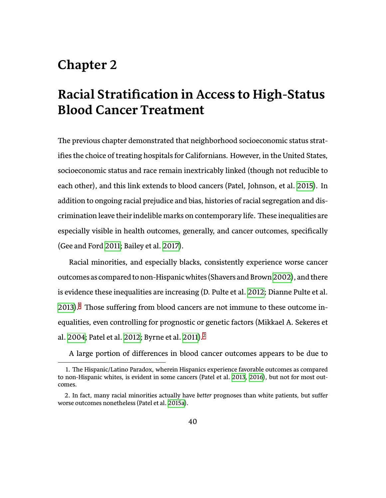## **Chapter 2**

# **Racial Stratification in Access to High-Status Blood Cancer Treatment**

The previous chapter demonstrated that neighborhood socioeconomic status stratifies the choice of treating hospitals for Californians. However, in the United States, socioeconomic status and race remain inextricably linked (though not reducible to each other), and this link extends to blood cancers (Patel, Johnson, et al. [2015\)](#page-137-0). In addition to ongoing racial prejudice and bias, histories of racial segregation and discrimination leave their indelible marks on contemporary life. These inequalities are especially visible in health outcomes, generally, and cancer outcomes, specifically (Gee and Ford [2011;](#page-130-1) Bailey et al. [2017](#page-125-2)).

Racial minorities, and especially blacks, consistently experience worse cancer outcomes as compared to non-Hispanic whites (Shavers and Brown[2002\)](#page-140-2), and there is evidence these inequalities are increasing (D. Pulte et al. [2012](#page-139-0); Dianne Pulte et al.  $2013$ .<sup>[1](#page-58-0)</sup> Those suffering from blood cancers are not immune to these outcome inequalities, even controlling for prognostic or genetic factors (Mikkael A. Sekeres et al. [2004](#page-140-3); Patel et al. [2012;](#page-137-1) Byrne et al. [2011](#page-126-1)).[2](#page-58-1)

<span id="page-58-0"></span>A large portion of differences in blood cancer outcomes appears to be due to

<sup>1.</sup> The Hispanic/Latino Paradox, wherein Hispanics experience favorable outcomes as compared to non-Hispanic whites, is evident in some cancers (Patel et al. [2013](#page-138-1), [2016](#page-138-2)), but not for most outcomes.

<span id="page-58-1"></span><sup>2.</sup> In fact, many racial minorities actually have *beŧer* prognoses than white patients, but suffer worse outcomes nonetheless (Patel et al. [2015a\)](#page-137-2).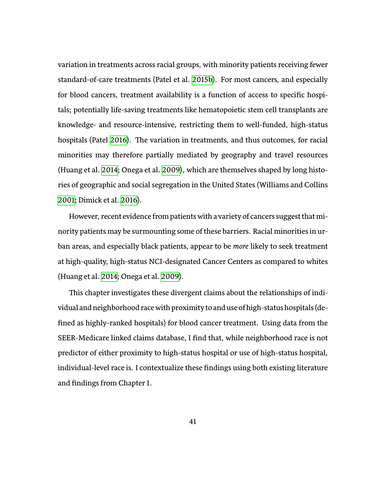variation in treatments across racial groups, with minority patients receiving fewer standard-of-care treatments (Patel et al. [2015b](#page-137-3)). For most cancers, and especially for blood cancers, treatment availability is a function of access to specific hospitals; potentially life-saving treatments like hematopoietic stem cell transplants are knowledge- and resource-intensive, restricting them to well-funded, high-status hospitals (Patel [2016\)](#page-137-4). The variation in treatments, and thus outcomes, for racial minorities may therefore partially mediated by geography and travel resources (Huang et al. [2014;](#page-132-1) Onega et al. [2009](#page-137-5)), which are themselves shaped by long histories of geographic and social segregation in the United States (Williams and Collins [2001;](#page-143-0) Dimick et al. [2016\)](#page-128-0).

However, recent evidence from patients with a variety of cancers suggest that minority patients may be surmounting some of these barriers. Racial minorities in urban areas, and especially black patients, appear to be *more* likely to seek treatment at high-quality, high-status NCI-designated Cancer Centers as compared to whites (Huang et al. [2014](#page-132-1); Onega et al. [2009\)](#page-137-5).

This chapter investigates these divergent claims about the relationships of individual and neighborhood race with proximity to and use of high-status hospitals (defined as highly-ranked hospitals) for blood cancer treatment. Using data from the SEER-Medicare linked claims database, I find that, while neighborhood race is not predictor of either proximity to high-status hospital or use of high-status hospital, individual-level race is. I contextualize these findings using both existing literature and findings from Chapter 1.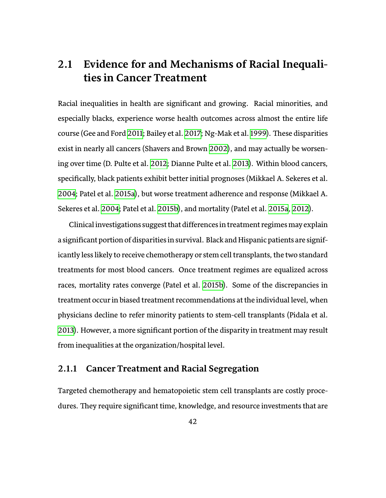## **2.1 Evidence for and Mechanisms of Racial Inequalities in Cancer Treatment**

Racial inequalities in health are significant and growing. Racial minorities, and especially blacks, experience worse health outcomes across almost the entire life course (Gee and Ford [2011;](#page-130-1) Bailey et al. [2017;](#page-125-2) Ng-Mak et al. [1999\)](#page-135-2). These disparities exist in nearly all cancers (Shavers and Brown [2002\)](#page-140-2), and may actually be worsening over time (D. Pulte et al. [2012](#page-139-0); Dianne Pulte et al. [2013\)](#page-139-1). Within blood cancers, specifically, black patients exhibit better initial prognoses (Mikkael A. Sekeres et al. [2004;](#page-140-3) Patel et al. [2015a\)](#page-137-2), but worse treatment adherence and response (Mikkael A. Sekeres et al. [2004;](#page-140-3) Patel et al. [2015b](#page-137-3)), and mortality (Patel et al. [2015a](#page-137-2), [2012](#page-137-1)).

Clinical investigations suggest that differences in treatment regimes may explain a significant portion of disparities in survival. Black and Hispanic patients are significantly less likely to receive chemotherapy or stem cell transplants, the two standard treatments for most blood cancers. Once treatment regimes are equalized across races, mortality rates converge (Patel et al. [2015b\)](#page-137-3). Some of the discrepancies in treatment occur in biased treatment recommendations at the individual level, when physicians decline to refer minority patients to stem-cell transplants (Pidala et al. [2013](#page-138-3)). However, a more significant portion of the disparity in treatment may result from inequalities at the organization/hospital level.

### **2.1.1 Cancer Treatment and Racial Segregation**

Targeted chemotherapy and hematopoietic stem cell transplants are costly procedures. They require significant time, knowledge, and resource investments that are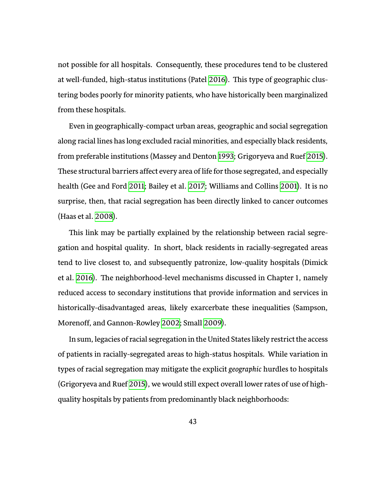not possible for all hospitals. Consequently, these procedures tend to be clustered at well-funded, high-status institutions (Patel [2016](#page-137-4)). This type of geographic clustering bodes poorly for minority patients, who have historically been marginalized from these hospitals.

Even in geographically-compact urban areas, geographic and social segregation along racial lines has long excluded racial minorities, and especially black residents, from preferable institutions (Massey and Denton [1993;](#page-135-1) Grigoryeva and Ruef [2015\)](#page-131-2). These structural barriers affect every area of life for those segregated, and especially health (Gee and Ford [2011](#page-130-1); Bailey et al. [2017;](#page-125-2) Williams and Collins [2001](#page-143-0)). It is no surprise, then, that racial segregation has been directly linked to cancer outcomes (Haas et al. [2008](#page-131-3)).

This link may be partially explained by the relationship between racial segregation and hospital quality. In short, black residents in racially-segregated areas tend to live closest to, and subsequently patronize, low-quality hospitals (Dimick et al. [2016\)](#page-128-0). The neighborhood-level mechanisms discussed in Chapter 1, namely reduced access to secondary institutions that provide information and services in historically-disadvantaged areas, likely exarcerbate these inequalities (Sampson, Morenoff, and Gannon-Rowley [2002](#page-140-4); Small [2009\)](#page-141-2).

In sum, legacies of racial segregation in the United States likely restrict the access of patients in racially-segregated areas to high-status hospitals. While variation in types of racial segregation may mitigate the explicit *geographic* hurdles to hospitals (Grigoryeva and Ruef [2015](#page-131-2)), we would still expect overall lower rates of use of highquality hospitals by patients from predominantly black neighborhoods: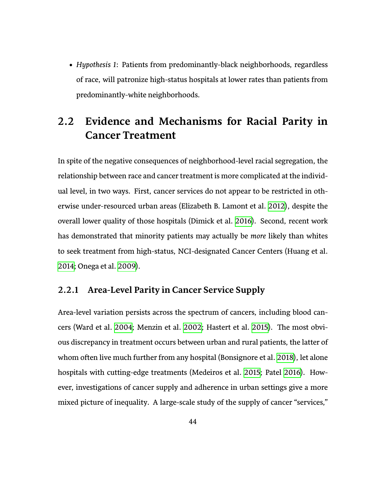• *Hypothesis 1*: Patients from predominantly-black neighborhoods, regardless of race, will patronize high-status hospitals at lower rates than patients from predominantly-white neighborhoods.

## **2.2 Evidence and Mechanisms for Racial Parity in Cancer Treatment**

In spite of the negative consequences of neighborhood-level racial segregation, the relationship between race and cancer treatment is more complicated at the individual level, in two ways. First, cancer services do not appear to be restricted in otherwise under-resourced urban areas (Elizabeth B. Lamont et al. [2012\)](#page-133-0), despite the overall lower quality of those hospitals (Dimick et al. [2016](#page-128-0)). Second, recent work has demonstrated that minority patients may actually be *more* likely than whites to seek treatment from high-status, NCI-designated Cancer Centers (Huang et al. [2014;](#page-132-1) Onega et al. [2009](#page-137-5)).

### **2.2.1 Area-Level Parity in Cancer Service Supply**

Area-level variation persists across the spectrum of cancers, including blood can-cers (Ward et al. [2004;](#page-142-1) Menzin et al. [2002;](#page-136-0) Hastert et al. [2015](#page-131-0)). The most obvious discrepancy in treatment occurs between urban and rural patients, the latter of whom often live much further from any hospital (Bonsignore et al. [2018\)](#page-126-2), let alone hospitals with cutting-edge treatments (Medeiros et al. [2015](#page-136-1); Patel [2016\)](#page-137-4). However, investigations of cancer supply and adherence in urban settings give a more mixed picture of inequality. A large-scale study of the supply of cancer "services,"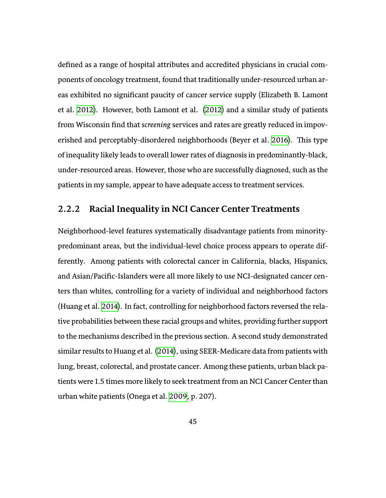defined as a range of hospital attributes and accredited physicians in crucial components of oncology treatment, found that traditionally under-resourced urban areas exhibited no significant paucity of cancer service supply (Elizabeth B. Lamont et al. [2012](#page-133-0)). However, both Lamont et al. [\(2012\)](#page-133-0) and a similar study of patients from Wisconsin find that *screening* services and rates are greatly reduced in impov-erished and perceptably-disordered neighborhoods (Beyer et al. [2016](#page-126-3)). This type of inequality likely leads to overall lower rates of diagnosis in predominantly-black, under-resourced areas. However, those who are successfully diagnosed, such as the patients in my sample, appear to have adequate access to treatment services.

### **2.2.2 Racial Inequality in NCI Cancer Center Treatments**

Neighborhood-level features systematically disadvantage patients from minoritypredominant areas, but the individual-level choice process appears to operate differently. Among patients with colorectal cancer in California, blacks, Hispanics, and Asian/Pacific-Islanders were all more likely to use NCI-designated cancer centers than whites, controlling for a variety of individual and neighborhood factors (Huang et al. [2014\)](#page-132-1). In fact, controlling for neighborhood factors reversed the relative probabilities between these racial groups and whites, providing further support to the mechanisms described in the previous section. A second study demonstrated similar results to Huang et al. ([2014](#page-132-1)), using SEER-Medicare data from patients with lung, breast, colorectal, and prostate cancer. Among these patients, urban black patients were 1.5 times more likely to seek treatment from an NCI Cancer Center than urban white patients (Onega et al. [2009,](#page-137-5) p. 207).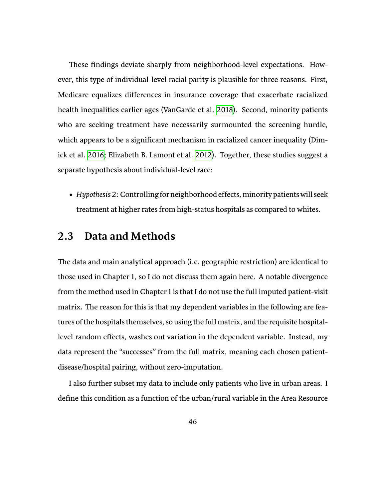These findings deviate sharply from neighborhood-level expectations. However, this type of individual-level racial parity is plausible for three reasons. First, Medicare equalizes differences in insurance coverage that exacerbate racialized health inequalities earlier ages (VanGarde et al. [2018\)](#page-142-2). Second, minority patients who are seeking treatment have necessarily surmounted the screening hurdle, which appears to be a significant mechanism in racialized cancer inequality (Dimick et al. [2016](#page-128-0); Elizabeth B. Lamont et al. [2012](#page-133-0)). Together, these studies suggest a separate hypothesis about individual-level race:

• *Hypothesis 2*: Controlling for neighborhood effects, minority patients will seek treatment at higher rates from high-status hospitals as compared to whites.

## **2.3 Data and Methods**

The data and main analytical approach (i.e. geographic restriction) are identical to those used in Chapter 1, so I do not discuss them again here. A notable divergence from the method used in Chapter 1 is that I do not use the full imputed patient-visit matrix. The reason for this is that my dependent variables in the following are features of the hospitals themselves, so using the full matrix, and the requisite hospitallevel random effects, washes out variation in the dependent variable. Instead, my data represent the "successes" from the full matrix, meaning each chosen patientdisease/hospital pairing, without zero-imputation.

I also further subset my data to include only patients who live in urban areas. I define this condition as a function of the urban/rural variable in the Area Resource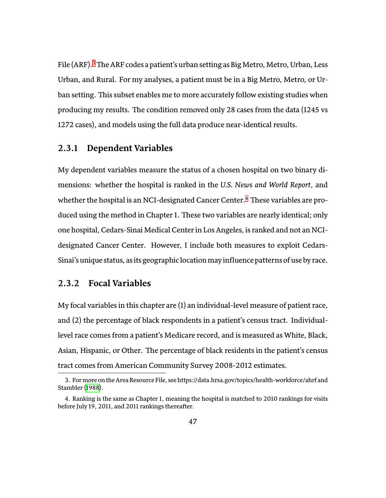File (ARF).<sup>[3](#page-65-0)</sup> The ARF codes a patient's urban setting as Big Metro, Metro, Urban, Less Urban, and Rural. For my analyses, a patient must be in a Big Metro, Metro, or Urban setting. This subset enables me to more accurately follow existing studies when producing my results. The condition removed only 28 cases from the data (1245 vs 1272 cases), and models using the full data produce near-identical results.

### **2.3.1 Dependent Variables**

My dependent variables measure the status of a chosen hospital on two binary dimensions: whether the hospital is ranked in the *U.S. News and World Report*, and whether the hospital is an NCI-designated Cancer Center.<sup>[4](#page-65-1)</sup> These variables are produced using the method in Chapter 1. These two variables are nearly identical; only one hospital, Cedars-Sinai Medical Center in Los Angeles, is ranked and not an NCIdesignated Cancer Center. However, I include both measures to exploit Cedars-Sinai's unique status, as its geographic location may influence patterns of use by race.

### **2.3.2 Focal Variables**

My focal variables in this chapter are (1) an individual-level measure of patient race, and (2) the percentage of black respondents in a patient's census tract. Individuallevel race comes from a patient's Medicare record, and is measured as White, Black, Asian, Hispanic, or Other. The percentage of black residents in the patient's census tract comes from American Community Survey 2008-2012 estimates.

<span id="page-65-0"></span><sup>3.</sup> For more on the Area Resource File, see https://data.hrsa.gov/topics/health-workforce/ahrf and Stambler ([1988\)](#page-141-3).

<span id="page-65-1"></span><sup>4.</sup> Ranking is the same as Chapter 1, meaning the hospital is matched to 2010 rankings for visits before July 19, 2011, and 2011 rankings thereafter.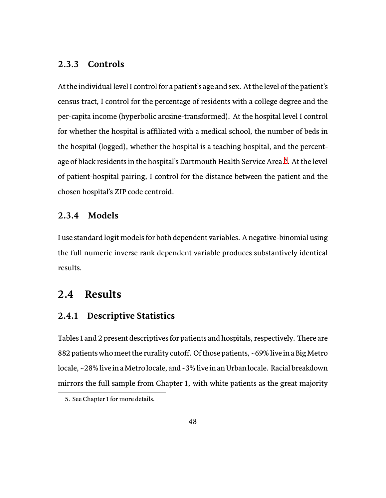### **2.3.3 Controls**

At the individual level I control for a patient's age and sex. At the level of the patient's census tract, I control for the percentage of residents with a college degree and the per-capita income (hyperbolic arcsine-transformed). At the hospital level I control for whether the hospital is affiliated with a medical school, the number of beds in the hospital (logged), whether the hospital is a teaching hospital, and the percent-age of black residents in the hospital's Dartmouth Health Service Area.<sup>[5](#page-66-0)</sup>. At the level of patient-hospital pairing, I control for the distance between the patient and the chosen hospital's ZIP code centroid.

### **2.3.4 Models**

I use standard logit models for both dependent variables. A negative-binomial using the full numeric inverse rank dependent variable produces substantively identical results.

### **2.4 Results**

### **2.4.1 Descriptive Statistics**

Tables 1 and 2 present descriptives for patients and hospitals, respectively. There are 882 patients who meet the rurality cutoff. Of those patients, ~69% live in a Big Metro locale, ~28% live in a Metro locale, and ~3% live in an Urban locale. Racial breakdown mirrors the full sample from Chapter 1, with white patients as the great majority

<span id="page-66-0"></span><sup>5.</sup> See Chapter 1 for more details.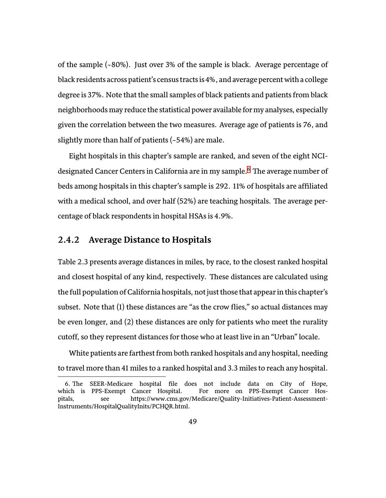of the sample (~80%). Just over 3% of the sample is black. Average percentage of black residents across patient's census tracts is 4%, and average percent with a college degree is 37%. Note that the small samples of black patients and patients from black neighborhoods may reduce the statistical power available for my analyses, especially given the correlation between the two measures. Average age of patients is 76, and slightly more than half of patients  $(-54%)$  are male.

Eight hospitals in this chapter's sample are ranked, and seven of the eight NCI-designated Cancer Centers in California are in my sample.<sup>[6](#page-67-0)</sup> The average number of beds among hospitals in this chapter's sample is 292. 11% of hospitals are affiliated with a medical school, and over half  $(52%)$  are teaching hospitals. The average percentage of black respondents in hospital HSAs is 4.9%.

### **2.4.2 Average Distance to Hospitals**

Table 2.3 presents average distances in miles, by race, to the closest ranked hospital and closest hospital of any kind, respectively. These distances are calculated using the full population of California hospitals, not just those that appear in this chapter's subset. Note that (1) these distances are "as the crow flies," so actual distances may be even longer, and (2) these distances are only for patients who meet the rurality cutoff, so they represent distances for those who at least live in an "Urban" locale.

White patients are farthest from both ranked hospitals and any hospital, needing to travel more than 41 miles to a ranked hospital and 3.3 miles to reach any hospital.

<span id="page-67-0"></span><sup>6.</sup> The SEER-Medicare hospital file does not include data on City of Hope, which is PPS-Exempt Cancer Hospital. For more on PPS-Exempt Cancer Hos-For more on PPS-Exempt Cancer Hospitals, see https://www.cms.gov/Medicare/Quality-Initiatives-Patient-Assessment-Instruments/HospitalQualityInits/PCHQR.html.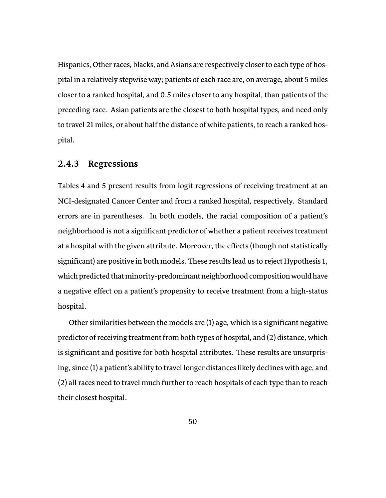Hispanics, Other races, blacks, and Asians are respectively closer to each type of hospital in a relatively stepwise way; patients of each race are, on average, about 5 miles closer to a ranked hospital, and 0.5 miles closer to any hospital, than patients of the preceding race. Asian patients are the closest to both hospital types, and need only to travel 21 miles, or about half the distance of white patients, to reach a ranked hospital.

### **2.4.3 Regressions**

Tables 4 and 5 present results from logit regressions of receiving treatment at an NCI-designated Cancer Center and from a ranked hospital, respectively. Standard errors are in parentheses. In both models, the racial composition of a patient's neighborhood is not a significant predictor of whether a patient receives treatment at a hospital with the given attribute. Moreover, the effects (though not statistically significant) are positive in both models. These results lead us to reject Hypothesis 1, which predicted that minority-predominant neighborhood composition would have a negative effect on a patient's propensity to receive treatment from a high-status hospital.

Other similarities between the models are (1) age, which is a significant negative predictor of receiving treatment from both types of hospital, and (2) distance, which is significant and positive for both hospital attributes. These results are unsurprising, since (1) a patient's ability to travel longer distances likely declines with age, and (2) all races need to travel much further to reach hospitals of each type than to reach their closest hospital.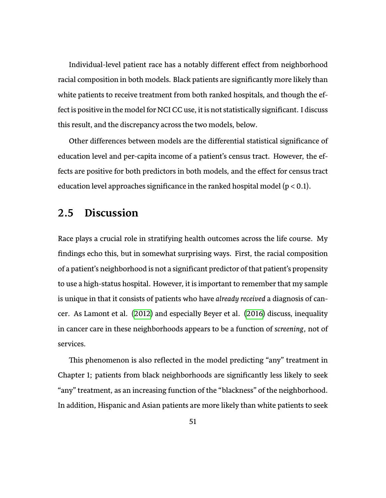Individual-level patient race has a notably different effect from neighborhood racial composition in both models. Black patients are significantly more likely than white patients to receive treatment from both ranked hospitals, and though the effect is positive in the model for NCI CC use, it is not statistically significant. I discuss this result, and the discrepancy across the two models, below.

Other differences between models are the differential statistical significance of education level and per-capita income of a patient's census tract. However, the effects are positive for both predictors in both models, and the effect for census tract education level approaches significance in the ranked hospital model ( $p < 0.1$ ).

## **2.5 Discussion**

Race plays a crucial role in stratifying health outcomes across the life course. My findings echo this, but in somewhat surprising ways. First, the racial composition of a patient's neighborhood is not a significant predictor of that patient's propensity to use a high-status hospital. However, it is important to remember that my sample is unique in that it consists of patients who have *already received* a diagnosis of cancer. As Lamont et al. ([2012](#page-133-0)) and especially Beyer et al. ([2016](#page-126-3)) discuss, inequality in cancer care in these neighborhoods appears to be a function of *screening*, not of services.

This phenomenon is also reflected in the model predicting "any" treatment in Chapter 1; patients from black neighborhoods are significantly less likely to seek "any" treatment, as an increasing function of the "blackness" of the neighborhood. In addition, Hispanic and Asian patients are more likely than white patients to seek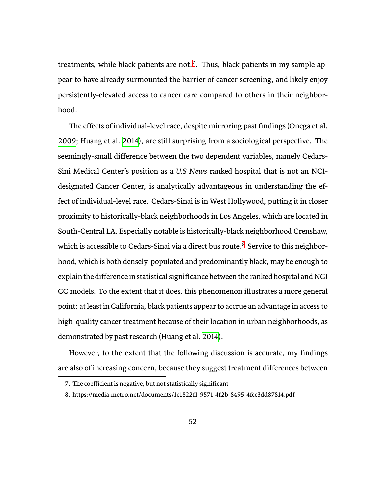treatments, while black patients are not.<sup>[7](#page-70-0)</sup>. Thus, black patients in my sample appear to have already surmounted the barrier of cancer screening, and likely enjoy persistently-elevated access to cancer care compared to others in their neighborhood.

The effects of individual-level race, despite mirroring past findings (Onega et al. [2009](#page-137-5); Huang et al. [2014](#page-132-1)), are still surprising from a sociological perspective. The seemingly-small difference between the two dependent variables, namely Cedars-Sini Medical Center's position as a *U.S News* ranked hospital that is not an NCIdesignated Cancer Center, is analytically advantageous in understanding the effect of individual-level race. Cedars-Sinai is in West Hollywood, putting it in closer proximity to historically-black neighborhoods in Los Angeles, which are located in South-Central LA. Especially notable is historically-black neighborhood Crenshaw, which is accessible to Cedars-Sinai via a direct bus route.<sup>[8](#page-70-1)</sup> Service to this neighborhood, which is both densely-populated and predominantly black, may be enough to explain the difference in statistical significance between the ranked hospital and NCI CC models. To the extent that it does, this phenomenon illustrates a more general point: at least in California, black patients appear to accrue an advantage in access to high-quality cancer treatment because of their location in urban neighborhoods, as demonstrated by past research (Huang et al. [2014](#page-132-1)).

However, to the extent that the following discussion is accurate, my findings are also of increasing concern, because they suggest treatment differences between

<span id="page-70-0"></span><sup>7.</sup> The coefficient is negative, but not statistically significant

<span id="page-70-1"></span><sup>8.</sup> hŧps://media.metro.net/documents/1e1822f1-9571-4f2b-8495-4fcc3dd87814.pdf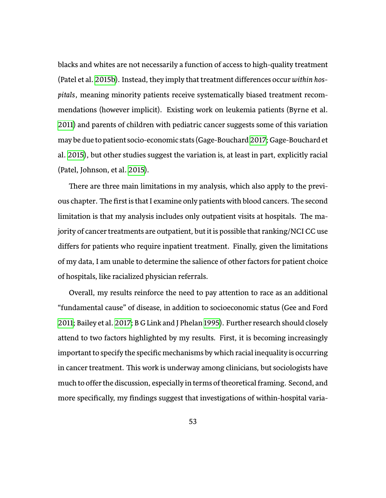blacks and whites are not necessarily a function of access to high-quality treatment (Patel et al. [2015b\)](#page-137-3). Instead, they imply that treatment differences occur *within hospitals*, meaning minority patients receive systematically biased treatment recommendations (however implicit). Existing work on leukemia patients (Byrne et al. [2011](#page-126-1)) and parents of children with pediatric cancer suggests some of this variation may be due to patient socio-economic stats (Gage-Bouchard[2017](#page-130-0); Gage-Bouchard et al. [2015](#page-130-2)), but other studies suggest the variation is, at least in part, explicitly racial (Patel, Johnson, et al. [2015](#page-137-0)).

There are three main limitations in my analysis, which also apply to the previous chapter. The first is that I examine only patients with blood cancers. The second limitation is that my analysis includes only outpatient visits at hospitals. The majority of cancer treatments are outpatient, but it is possible that ranking/NCI CC use differs for patients who require inpatient treatment. Finally, given the limitations of my data, I am unable to determine the salience of other factors for patient choice of hospitals, like racialized physician referrals.

Overall, my results reinforce the need to pay attention to race as an additional "fundamental cause" of disease, in addition to socioeconomic status (Gee and Ford [2011](#page-130-1); Bailey et al. [2017;](#page-125-2) B G Link and J Phelan [1995](#page-134-4)). Further research should closely attend to two factors highlighted by my results. First, it is becoming increasingly important to specify the specific mechanisms by which racial inequality is occurring in cancer treatment. This work is underway among clinicians, but sociologists have much to offer the discussion, especially in terms of theoretical framing. Second, and more specifically, my findings suggest that investigations of within-hospital varia-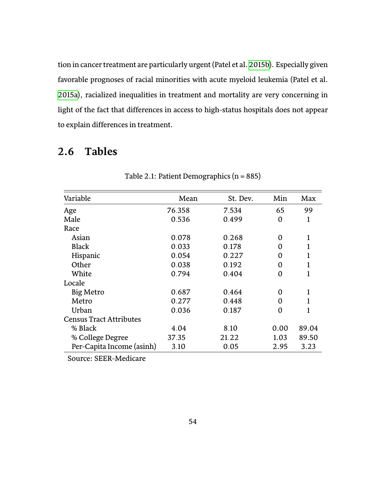tion in cancer treatment are particularly urgent (Patel et al. [2015b](#page-137-0)). Especially given favorable prognoses of racial minorities with acute myeloid leukemia (Patel et al. [2015a](#page-137-1)), racialized inequalities in treatment and mortality are very concerning in light of the fact that differences in access to high-status hospitals does not appear to explain differences in treatment.

# **2.6 Tables**

| Variable                       | Mean   | St. Dev. | Min         | Max   |
|--------------------------------|--------|----------|-------------|-------|
| Age                            | 76.358 | 7.534    | 65          | 99    |
| Male                           | 0.536  | 0.499    | 0           | 1     |
| Race                           |        |          |             |       |
| Asian                          | 0.078  | 0.268    | 0           | 1     |
| <b>Black</b>                   | 0.033  | 0.178    | 0           |       |
| Hispanic                       | 0.054  | 0.227    | 0           |       |
| Other                          | 0.038  | 0.192    | $\mathbf 0$ |       |
| White                          | 0.794  | 0.404    | 0           |       |
| Locale                         |        |          |             |       |
| Big Metro                      | 0.687  | 0.464    | 0           | 1     |
| Metro                          | 0.277  | 0.448    | 0           |       |
| Urban                          | 0.036  | 0.187    | $\mathbf 0$ |       |
| <b>Census Tract Attributes</b> |        |          |             |       |
| % Black                        | 4.04   | 8.10     | 0.00        | 89.04 |
| % College Degree               | 37.35  | 21.22    | 1.03        | 89.50 |
| Per-Capita Income (asinh)      | 3.10   | 0.05     | 2.95        | 3.23  |

Table 2.1: Patient Demographics  $(n = 885)$ 

Source: SEER-Medicare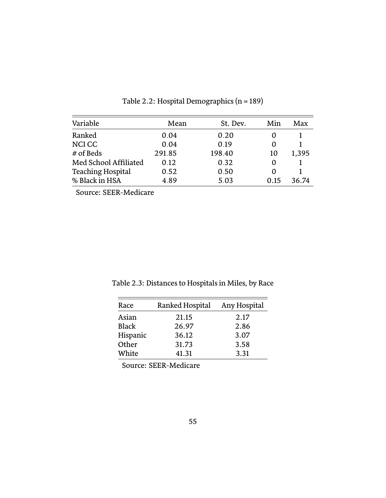| Variable                 | Mean   | St. Dev. | Min  | Max   |
|--------------------------|--------|----------|------|-------|
| Ranked                   | 0.04   | 0.20     |      |       |
| NCI CC                   | 0.04   | 0.19     |      |       |
| # of Beds                | 291.85 | 198.40   | 10   | 1,395 |
| Med School Affiliated    | 0.12   | 0.32     |      |       |
| <b>Teaching Hospital</b> | 0.52   | 0.50     | O    |       |
| % Black in HSA           | 4.89   | 5.03     | 0.15 | 36.74 |

Table 2.2: Hospital Demographics (n = 189)

Source: SEER-Medicare

Table 2.3: Distances to Hospitals in Miles, by Race

| Race         | Ranked Hospital | Any Hospital |
|--------------|-----------------|--------------|
| Asian        | 21.15           | 2.17         |
| <b>Black</b> | 26.97           | 2.86         |
| Hispanic     | 36.12           | 3.07         |
| Other        | 31.73           | 3.58         |
| White        | 41.31           | 3.31         |

Source: SEER-Medicare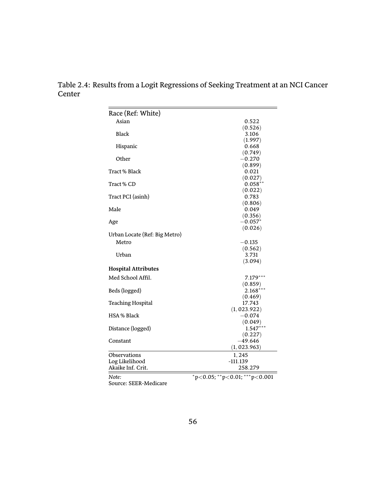Table 2.4: Results from a Logit Regressions of Seeking Treatment at an NCI Cancer Center

| Race (Ref: White)             |                                         |
|-------------------------------|-----------------------------------------|
| Asian                         | 0.522                                   |
|                               | (0.526)                                 |
| Black                         | 3.106                                   |
|                               | (1.997)                                 |
| Hispanic                      | 0.668                                   |
|                               | (0.749)                                 |
| Other                         | $-0.270$                                |
|                               | (0.899)                                 |
| Tract % Black                 | 0.021                                   |
|                               | (0.027)                                 |
| Tract % CD                    | $0.058***$                              |
|                               | (0.022)<br>0.783                        |
| Tract PCI (asinh)             | (0.806)                                 |
| Male                          | 0.049                                   |
|                               | (0.356)                                 |
| Age                           | $-0.057*$                               |
|                               | (0.026)                                 |
| Urban Locate (Ref: Big Metro) |                                         |
| Metro                         | $-0.135$                                |
|                               | (0.562)                                 |
| Urban                         | 3.731                                   |
|                               | (3.094)                                 |
| <b>Hospital Attributes</b>    |                                         |
| Med School Affil.             | $7.179***$                              |
|                               | (0.859)                                 |
| Beds (logged)                 | $2.168***$                              |
|                               | (0.469)                                 |
| Teaching Hospital             | 17.743                                  |
|                               | (1, 023.922)                            |
| HSA % Black                   | $-0.074$                                |
|                               | (0.049)                                 |
| Distance (logged)             | $1.547***$                              |
|                               | (0.227)                                 |
| Constant                      | $-49.646$                               |
|                               | (1, 023.963)                            |
| Observations                  | 1, 245                                  |
| Log Likelihood                | -111.139                                |
| Akaike Inf. Crit.             | 258.279                                 |
| Note:                         | $p<0.05$ ; **p $<$ 0.01; ***p $<$ 0.001 |
| Source: SEER-Medicare         |                                         |
|                               |                                         |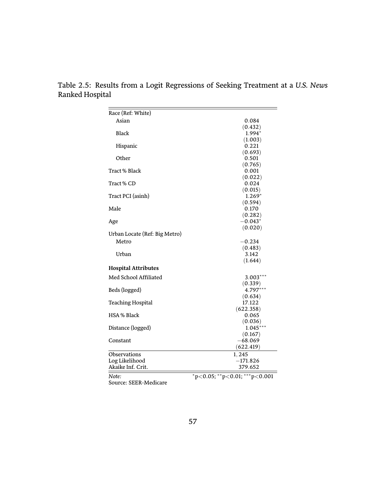| Race (Ref: White)             |                                           |
|-------------------------------|-------------------------------------------|
| Asian                         | 0.084                                     |
|                               | (0.432)                                   |
| <b>Black</b>                  | $1.994*$                                  |
|                               | (1.003)                                   |
| Hispanic                      | 0.221                                     |
|                               | (0.693)                                   |
| Other                         | 0.501                                     |
|                               | (0.765)                                   |
| Tract % Black                 | 0.001                                     |
|                               | (0.022)                                   |
| Tract % CD                    | 0.024                                     |
|                               | (0.015)                                   |
| Tract PCI (asinh)             | $1.269*$                                  |
|                               | (0.594)                                   |
| Male                          | 0.170                                     |
|                               | (0.282)<br>$-0.043*$                      |
| Age                           | (0.020)                                   |
|                               |                                           |
| Urban Locate (Ref: Big Metro) |                                           |
| Metro                         | $-0.234$                                  |
|                               | (0.483)                                   |
| Urban                         | 3.142                                     |
|                               | (1.644)                                   |
| <b>Hospital Attributes</b>    |                                           |
| Med School Affiliated         | $3.003***$                                |
|                               | (0.339)                                   |
| Beds (logged)                 | 4.797***                                  |
|                               | (0.634)                                   |
| <b>Teaching Hospital</b>      | 17.122                                    |
|                               | (622.358)                                 |
| <b>HSA</b> % Black            | 0.065                                     |
|                               | (0.036)                                   |
| Distance (logged)             | $1.045***$                                |
|                               | (0.167)                                   |
| Constant                      | $-68.069$                                 |
|                               | (622.419)                                 |
| Observations                  | 1,245                                     |
| Log Likelihood                | $-171.826$                                |
| Akaike Inf. Crit.             | 379.652                                   |
| Note:                         | $*_{p<0.05;}$ $*_{p<0.01;}$ $*_{p<0.001}$ |
| Source: SEER-Medicare         |                                           |
|                               |                                           |

Table 2.5: Results from a Logit Regressions of Seeking Treatment at a *U.S. News* Ranked Hospital

 $=$ 

 $\equiv$ 

57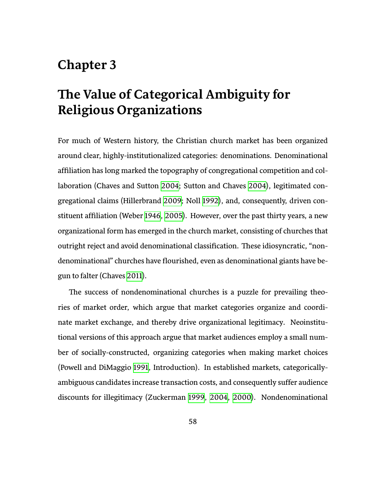# **Chapter 3**

# **The Value of Categorical Ambiguity for Religious Organizations**

For much of Western history, the Christian church market has been organized around clear, highly-institutionalized categories: denominations. Denominational affiliation has long marked the topography of congregational competition and col-laboration (Chaves and Sutton [2004;](#page-127-0) Sutton and Chaves [2004](#page-141-0)), legitimated congregational claims (Hillerbrand [2009;](#page-132-0) Noll [1992\)](#page-136-0), and, consequently, driven constituent affiliation (Weber [1946,](#page-142-0) [2005\)](#page-142-1). However, over the past thirty years, a new organizational form has emerged in the church market, consisting of churches that outright reject and avoid denominational classification. These idiosyncratic, "nondenominational" churches have flourished, even as denominational giants have begun to falter (Chaves [2011\)](#page-127-1).

The success of nondenominational churches is a puzzle for prevailing theories of market order, which argue that market categories organize and coordinate market exchange, and thereby drive organizational legitimacy. Neoinstitutional versions of this approach argue that market audiences employ a small number of socially-constructed, organizing categories when making market choices (Powell and DiMaggio [1991](#page-138-0), Introduction). In established markets, categoricallyambiguous candidates increase transaction costs, and consequently suffer audience discounts for illegitimacy (Zuckerman [1999](#page-143-0), [2004,](#page-143-1) [2000\)](#page-143-2). Nondenominational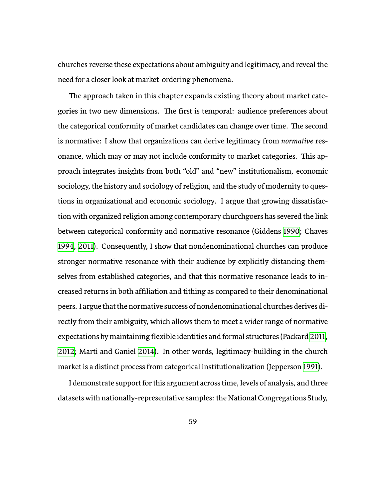churches reverse these expectations about ambiguity and legitimacy, and reveal the need for a closer look at market-ordering phenomena.

The approach taken in this chapter expands existing theory about market categories in two new dimensions. The first is temporal: audience preferences about the categorical conformity of market candidates can change over time. The second is normative: I show that organizations can derive legitimacy from *normative* resonance, which may or may not include conformity to market categories. This approach integrates insights from both "old" and "new" institutionalism, economic sociology, the history and sociology of religion, and the study of modernity to questions in organizational and economic sociology. I argue that growing dissatisfaction with organized religion among contemporary churchgoers has severed the link between categorical conformity and normative resonance (Giddens [1990;](#page-130-0) Chaves [1994,](#page-127-2) [2011](#page-127-1)). Consequently, I show that nondenominational churches can produce stronger normative resonance with their audience by explicitly distancing themselves from established categories, and that this normative resonance leads to increased returns in both affiliation and tithing as compared to their denominational peers. I argue that the normative success of nondenominational churches derives directly from their ambiguity, which allows them to meet a wider range of normative expectations by maintaining flexible identities and formal structures (Packard [2011](#page-137-2), [2012](#page-137-3); Marti and Ganiel [2014\)](#page-135-0). In other words, legitimacy-building in the church market is a distinct process from categorical institutionalization (Jepperson [1991\)](#page-132-1).

I demonstrate support for this argument across time, levels of analysis, and three datasets with nationally-representative samples: the National Congregations Study,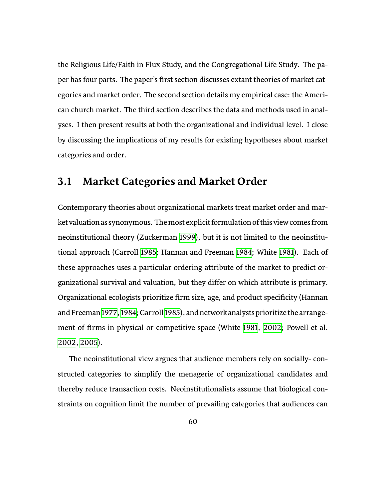the Religious Life/Faith in Flux Study, and the Congregational Life Study. The paper has four parts. The paper's first section discusses extant theories of market categories and market order. The second section details my empirical case: the American church market. The third section describes the data and methods used in analyses. I then present results at both the organizational and individual level. I close by discussing the implications of my results for existing hypotheses about market categories and order.

## **3.1 Market Categories and Market Order**

Contemporary theories about organizational markets treat market order and market valuation as synonymous. The most explicit formulation of this view comes from neoinstitutional theory (Zuckerman [1999](#page-143-0)), but it is not limited to the neoinstitutional approach (Carroll [1985](#page-127-3); Hannan and Freeman [1984;](#page-131-0) White [1981](#page-143-3)). Each of these approaches uses a particular ordering attribute of the market to predict organizational survival and valuation, but they differ on which attribute is primary. Organizational ecologists prioritize firm size, age, and product specificity (Hannan and Freeman[1977,](#page-131-1) [1984](#page-131-0); Carroll [1985\)](#page-127-3), and network analysts prioritize the arrangement of firms in physical or competitive space (White [1981](#page-143-3), [2002](#page-143-4); Powell et al. [2002,](#page-138-1) [2005](#page-139-0)).

The neoinstitutional view argues that audience members rely on socially-constructed categories to simplify the menagerie of organizational candidates and thereby reduce transaction costs. Neoinstitutionalists assume that biological constraints on cognition limit the number of prevailing categories that audiences can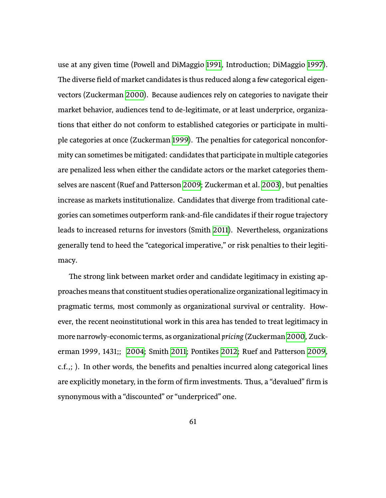use at any given time (Powell and DiMaggio [1991](#page-138-0), Introduction; DiMaggio [1997\)](#page-128-0). The diverse field of market candidates is thus reduced along a few categorical eigenvectors (Zuckerman [2000](#page-143-2)). Because audiences rely on categories to navigate their market behavior, audiences tend to de-legitimate, or at least underprice, organizations that either do not conform to established categories or participate in multi-ple categories at once (Zuckerman [1999\)](#page-143-0). The penalties for categorical nonconformity can sometimes be mitigated: candidates that participate in multiple categories are penalized less when either the candidate actors or the market categories them-selves are nascent (Ruef and Patterson [2009;](#page-139-1) Zuckerman et al. [2003](#page-143-5)), but penalties increase as markets institutionalize. Candidates that diverge from traditional categories can sometimes outperform rank-and-file candidates if their rogue trajectory leads to increased returns for investors (Smith [2011](#page-141-1)). Nevertheless, organizations generally tend to heed the "categorical imperative," or risk penalties to their legitimacy.

The strong link between market order and candidate legitimacy in existing approaches means that constituent studies operationalize organizational legitimacy in pragmatic terms, most commonly as organizational survival or centrality. However, the recent neoinstitutional work in this area has tended to treat legitimacy in more narrowly-economic terms, as organizational *pricing* (Zuckerman [2000,](#page-143-2) Zuck-erman 1999, 1431;; [2004;](#page-143-1) Smith [2011;](#page-141-1) Pontikes [2012;](#page-138-2) Ruef and Patterson [2009](#page-139-1), c.f.,; ). In other words, the benefits and penalties incurred along categorical lines are explicitly monetary, in the form of firm investments. Thus, a "devalued" firm is synonymous with a "discounted" or "underpriced" one.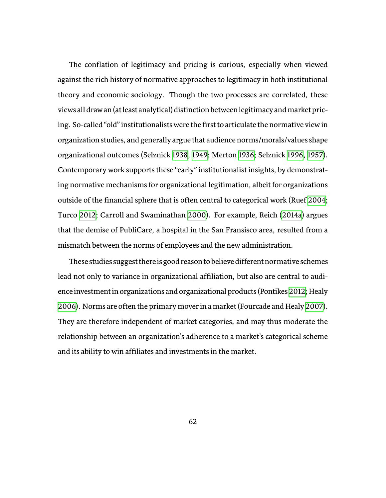The conflation of legitimacy and pricing is curious, especially when viewed against the rich history of normative approaches to legitimacy in both institutional theory and economic sociology. Though the two processes are correlated, these views all draw an (at least analytical) distinction between legitimacy and market pricing. So-called "old" institutionalists were the first to articulate the normative view in organization studies, and generally argue that audience norms/morals/values shape organizational outcomes (Selznick [1938,](#page-140-0) [1949;](#page-140-1) Merton [1936](#page-136-1); Selznick [1996,](#page-140-2) [1957\)](#page-140-3). Contemporary work supports these "early" institutionalist insights, by demonstrating normative mechanisms for organizational legitimation, albeit for organizations outside of the financial sphere that is often central to categorical work (Ruef [2004;](#page-139-2) Turco [2012](#page-141-2); Carroll and Swaminathan [2000\)](#page-127-4). For example, Reich [\(2014a\)](#page-139-3) argues that the demise of PubliCare, a hospital in the San Fransisco area, resulted from a mismatch between the norms of employees and the new administration.

These studies suggest there is good reason to believe different normative schemes lead not only to variance in organizational affiliation, but also are central to audience investment in organizations and organizational products (Pontikes[2012;](#page-138-2) Healy [2006](#page-131-2)). Norms are often the primary mover in a market (Fourcade and Healy [2007\)](#page-130-1). They are therefore independent of market categories, and may thus moderate the relationship between an organization's adherence to a market's categorical scheme and its ability to win affiliates and investments in the market.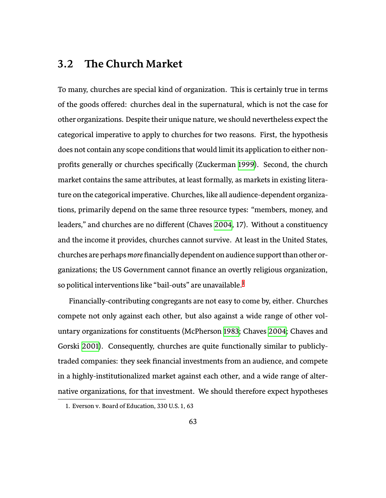# **3.2 The Church Market**

To many, churches are special kind of organization. This is certainly true in terms of the goods offered: churches deal in the supernatural, which is not the case for other organizations. Despite their unique nature, we should nevertheless expect the categorical imperative to apply to churches for two reasons. First, the hypothesis does not contain any scope conditions that would limit its application to either nonprofits generally or churches specifically (Zuckerman [1999](#page-143-0)). Second, the church market contains the same attributes, at least formally, as markets in existing literature on the categorical imperative. Churches, like all audience-dependent organizations, primarily depend on the same three resource types: "members, money, and leaders," and churches are no different (Chaves [2004,](#page-127-5) 17). Without a constituency and the income it provides, churches cannot survive. At least in the United States, churches are perhaps *more*financially dependent on audience support than other organizations; the US Government cannot finance an overtly religious organization, so political interventions like "bail-outs" are unavailable.<sup>[1](#page-81-0)</sup>

Financially-contributing congregants are not easy to come by, either. Churches compete not only against each other, but also against a wide range of other voluntary organizations for constituents (McPherson [1983](#page-135-1); Chaves [2004;](#page-127-5) Chaves and Gorski [2001\)](#page-127-6). Consequently, churches are quite functionally similar to publiclytraded companies: they seek financial investments from an audience, and compete in a highly-institutionalized market against each other, and a wide range of alternative organizations, for that investment. We should therefore expect hypotheses

<span id="page-81-0"></span><sup>1.</sup> Everson v. Board of Education, 330 U.S. 1, 63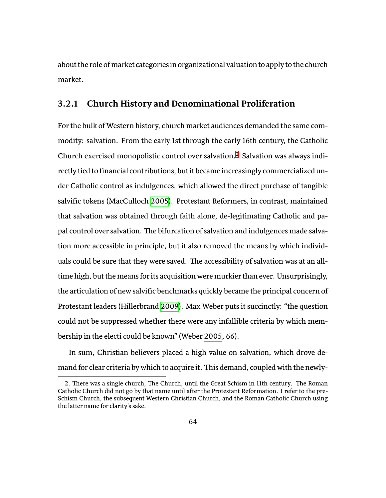about the role of market categories in organizational valuation to apply to the church market.

### **3.2.1 Church History and Denominational Proliferation**

For the bulk of Western history, church market audiences demanded the same commodity: salvation. From the early 1st through the early 16th century, the Catholic Church exercised monopolistic control over salvation.<sup>[2](#page-82-0)</sup> Salvation was always indirectly tied to financial contributions, but it became increasingly commercialized under Catholic control as indulgences, which allowed the direct purchase of tangible salvific tokens (MacCulloch [2005](#page-135-2)). Protestant Reformers, in contrast, maintained that salvation was obtained through faith alone, de-legitimating Catholic and papal control over salvation. The bifurcation of salvation and indulgences made salvation more accessible in principle, but it also removed the means by which individuals could be sure that they were saved. The accessibility of salvation was at an alltime high, but the means for its acquisition were murkier than ever. Unsurprisingly, the articulation of new salvific benchmarks quickly became the principal concern of Protestant leaders (Hillerbrand [2009](#page-132-0)). Max Weber puts it succinctly: "the question could not be suppressed whether there were any infallible criteria by which membership in the electi could be known" (Weber [2005](#page-142-1), 66).

In sum, Christian believers placed a high value on salvation, which drove demand for clear criteria by which to acquire it. This demand, coupled with the newly-

<span id="page-82-0"></span><sup>2.</sup> There was a single church, The Church, until the Great Schism in 11th century. The Roman Catholic Church did not go by that name until aŘer the Protestant Reformation. I refer to the pre-Schism Church, the subsequent Western Christian Church, and the Roman Catholic Church using the latter name for clarity's sake.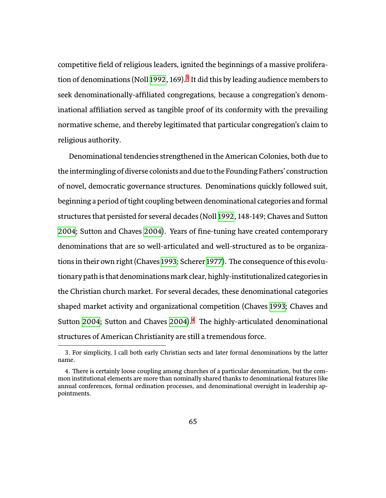competitive field of religious leaders, ignited the beginnings of a massive prolifera-tion of denominations (Noll [1992](#page-136-0), 169).<sup>[3](#page-83-0)</sup> It did this by leading audience members to seek denominationally-affiliated congregations, because a congregation's denominational affiliation served as tangible proof of its conformity with the prevailing normative scheme, and thereby legitimated that particular congregation's claim to religious authority.

Denominational tendencies strengthened in the American Colonies, both due to the intermingling of diverse colonists and due to the Founding Fathers' construction of novel, democratic governance structures. Denominations quickly followed suit, beginning a period of tight coupling between denominational categories and formal structures that persisted for several decades (Noll [1992](#page-136-0), 148-149; Chaves and Sutton [2004;](#page-127-0) Sutton and Chaves [2004](#page-141-0)). Years of fine-tuning have created contemporary denominations that are so well-articulated and well-structured as to be organiza-tions in their own right (Chaves [1993](#page-127-7); Scherer [1977](#page-140-4)). The consequence of this evolutionary path is that denominations mark clear, highly-institutionalized categories in the Christian church market. For several decades, these denominational categories shaped market activity and organizational competition (Chaves [1993;](#page-127-7) Chaves and Sutton [2004;](#page-127-0) Sutton and Chaves [2004\)](#page-141-0).<sup>[4](#page-83-1)</sup> The highly-articulated denominational structures of American Christianity are still a tremendous force.

<span id="page-83-0"></span><sup>3.</sup> For simplicity, I call both early Christian sects and later formal denominations by the latter name.

<span id="page-83-1"></span><sup>4.</sup> There is certainly loose coupling among churches of a particular denomination, but the common institutional elements are more than nominally shared thanks to denominational features like annual conferences, formal ordination processes, and denominational oversight in leadership appointments.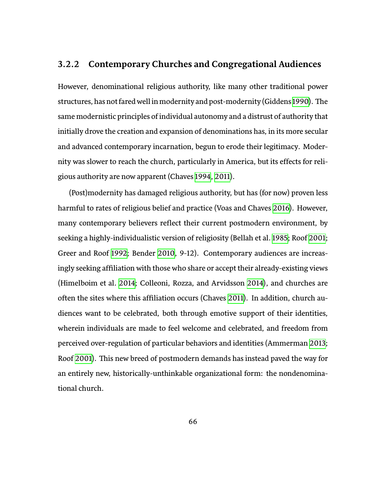### **3.2.2 Contemporary Churches and Congregational Audiences**

However, denominational religious authority, like many other traditional power structures, has not fared well in modernity and post-modernity (Giddens [1990\)](#page-130-0). The same modernistic principles of individual autonomy and a distrust of authority that initially drove the creation and expansion of denominations has, in its more secular and advanced contemporary incarnation, begun to erode their legitimacy. Modernity was slower to reach the church, particularly in America, but its effects for religious authority are now apparent (Chaves [1994](#page-127-2), [2011](#page-127-1)).

(Post)modernity has damaged religious authority, but has (for now) proven less harmful to rates of religious belief and practice (Voas and Chaves [2016](#page-142-2)). However, many contemporary believers reflect their current postmodern environment, by seeking a highly-individualistic version of religiosity (Bellah et al. [1985;](#page-126-0) Roof [2001;](#page-139-4) Greer and Roof [1992;](#page-131-3) Bender [2010](#page-126-1), 9-12). Contemporary audiences are increasingly seeking affiliation with those who share or accept their already-existing views (Himelboim et al. [2014](#page-132-2); Colleoni, Rozza, and Arvidsson [2014\)](#page-128-1), and churches are often the sites where this affiliation occurs (Chaves [2011](#page-127-1)). In addition, church audiences want to be celebrated, both through emotive support of their identities, wherein individuals are made to feel welcome and celebrated, and freedom from perceived over-regulation of particular behaviors and identities (Ammerman [2013;](#page-125-0) Roof [2001\)](#page-139-4). This new breed of postmodern demands has instead paved the way for an entirely new, historically-unthinkable organizational form: the nondenominational church.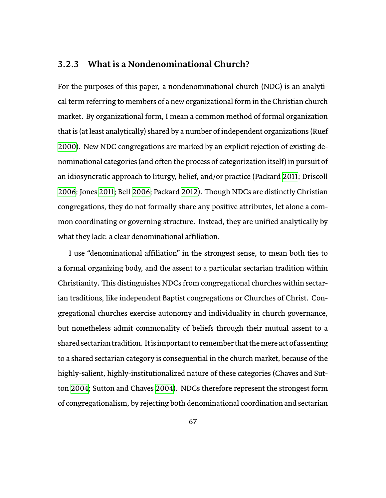### **3.2.3 What is a Nondenominational Church?**

For the purposes of this paper, a nondenominational church (NDC) is an analytical term referring to members of a new organizational form in the Christian church market. By organizational form, I mean a common method of formal organization that is (at least analytically) shared by a number of independent organizations (Ruef [2000\)](#page-139-5). New NDC congregations are marked by an explicit rejection of existing denominational categories (and often the process of categorization itself) in pursuit of an idiosyncratic approach to liturgy, belief, and/or practice (Packard [2011;](#page-137-2) Driscoll [2006](#page-125-1); Jones [2011](#page-132-3); Bell 2006; Packard [2012\)](#page-137-3). Though NDCs are distinctly Christian congregations, they do not formally share any positive attributes, let alone a common coordinating or governing structure. Instead, they are unified analytically by what they lack: a clear denominational affiliation.

I use "denominational affiliation" in the strongest sense, to mean both ties to a formal organizing body, and the assent to a particular sectarian tradition within Christianity. This distinguishes NDCs from congregational churches within sectarian traditions, like independent Baptist congregations or Churches of Christ. Congregational churches exercise autonomy and individuality in church governance, but nonetheless admit commonality of beliefs through their mutual assent to a shared sectarian tradition. It is important to remember that the mere act of assenting to a shared sectarian category is consequential in the church market, because of the highly-salient, highly-institutionalized nature of these categories (Chaves and Sut-ton [2004](#page-127-0); Sutton and Chaves [2004\)](#page-141-0). NDCs therefore represent the strongest form of congregationalism, by rejecting both denominational coordination and sectarian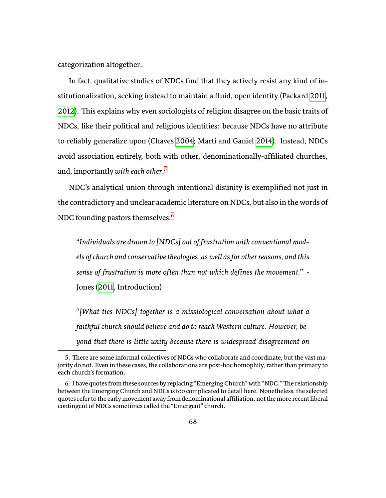categorization altogether.

In fact, qualitative studies of NDCs find that they actively resist any kind of institutionalization, seeking instead to maintain a fluid, open identity (Packard [2011](#page-137-2), [2012](#page-137-3)). This explains why even sociologists of religion disagree on the basic traits of NDCs, like their political and religious identities: because NDCs have no attribute to reliably generalize upon (Chaves [2004;](#page-127-5) Marti and Ganiel [2014](#page-135-0)). Instead, NDCs avoid association entirely, both with other, denominationally-affiliated churches, and, importantly *with each other*. [5](#page-86-0)

NDC's analytical union through intentional disunity is exemplified not just in the contradictory and unclear academic literature on NDCs, but also in the words of NDC founding pastors themselves:<sup>[6](#page-86-1)</sup>

"*Individuals are drawn to [NDCs] out of frustration with conventional models of church and conservative theologies, as well as for other reasons, and this sense of frustration is more oŘen than not which defines the movement.*" - Jones ([2011](#page-132-3), Introduction)

"*[What ties NDCs] together is a missiological conversation about what a faithful church should believe and do to reach Western culture. However, beyond that there is liŧle unity because there is widespread disagreement on*

<span id="page-86-0"></span><sup>5.</sup> There are some informal collectives of NDCs who collaborate and coordinate, but the vast majority do not. Even in these cases, the collaborations are post-hoc homophily, rather than primary to each church's formation.

<span id="page-86-1"></span><sup>6.</sup> I have quotes from these sources by replacing "Emerging Church" with "NDC." The relationship between the Emerging Church and NDCs is too complicated to detail here. Nonetheless, the selected quotes refer to the early movement away from denominational affiliation, not the more recent liberal contingent of NDCs sometimes called the "Emergent" church.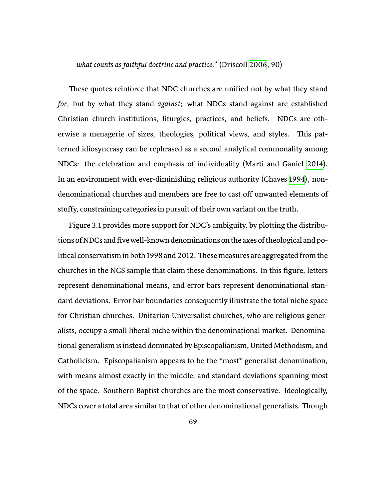*what counts as faithful doctrine and practice.*" (Driscoll [2006,](#page-129-0) 90)

These quotes reinforce that NDC churches are unified not by what they stand *for*, but by what they stand *against*; what NDCs stand against are established Christian church institutions, liturgies, practices, and beliefs. NDCs are otherwise a menagerie of sizes, theologies, political views, and styles. This patterned idiosyncrasy can be rephrased as a second analytical commonality among NDCs: the celebration and emphasis of individuality (Marti and Ganiel [2014\)](#page-135-0). In an environment with ever-diminishing religious authority (Chaves [1994\)](#page-127-2), nondenominational churches and members are free to cast off unwanted elements of stuffy, constraining categories in pursuit of their own variant on the truth.

Figure 3.1 provides more support for NDC's ambiguity, by plotting the distributions of NDCs and five well-known denominations on the axes of theological and political conservatism in both 1998 and 2012. These measures are aggregated from the churches in the NCS sample that claim these denominations. In this figure, letters represent denominational means, and error bars represent denominational standard deviations. Error bar boundaries consequently illustrate the total niche space for Christian churches. Unitarian Universalist churches, who are religious generalists, occupy a small liberal niche within the denominational market. Denominational generalism is instead dominated by Episcopalianism, United Methodism, and Catholicism. Episcopalianism appears to be the \*most\* generalist denomination, with means almost exactly in the middle, and standard deviations spanning most of the space. Southern Baptist churches are the most conservative. Ideologically, NDCs cover a total area similar to that of other denominational generalists. Though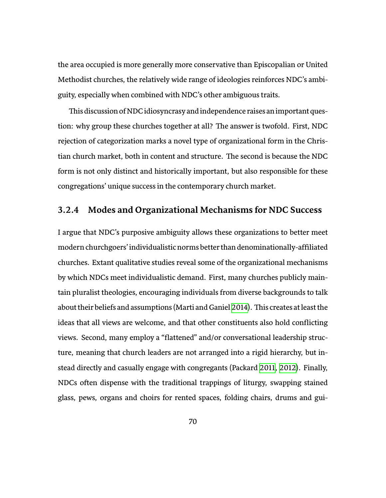the area occupied is more generally more conservative than Episcopalian or United Methodist churches, the relatively wide range of ideologies reinforces NDC's ambiguity, especially when combined with NDC's other ambiguous traits.

This discussion of NDC idiosyncrasy and independence raises an important question: why group these churches together at all? The answer is twofold. First, NDC rejection of categorization marks a novel type of organizational form in the Christian church market, both in content and structure. The second is because the NDC form is not only distinct and historically important, but also responsible for these congregations' unique success in the contemporary church market.

### **3.2.4 Modes and Organizational Mechanisms for NDC Success**

I argue that NDC's purposive ambiguity allows these organizations to better meet modern churchgoers' individualistic norms better than denominationally-affiliated churches. Extant qualitative studies reveal some of the organizational mechanisms by which NDCs meet individualistic demand. First, many churches publicly maintain pluralist theologies, encouraging individuals from diverse backgrounds to talk about their beliefs and assumptions (Marti and Ganiel [2014](#page-135-0)). This creates at least the ideas that all views are welcome, and that other constituents also hold conflicting views. Second, many employ a "flattened" and/or conversational leadership structure, meaning that church leaders are not arranged into a rigid hierarchy, but instead directly and casually engage with congregants (Packard [2011](#page-137-2), [2012\)](#page-137-3). Finally, NDCs oŘen dispense with the traditional trappings of liturgy, swapping stained glass, pews, organs and choirs for rented spaces, folding chairs, drums and gui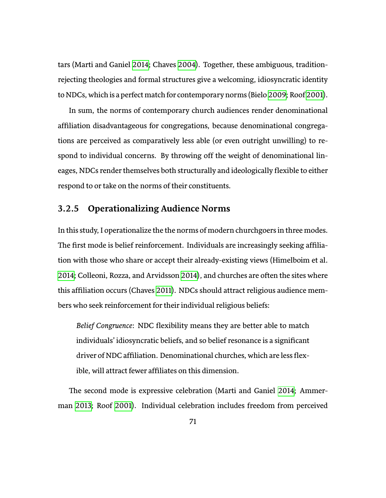tars (Marti and Ganiel [2014;](#page-135-0) Chaves [2004](#page-127-5)). Together, these ambiguous, traditionrejecting theologies and formal structures give a welcoming, idiosyncratic identity to NDCs, which is a perfect match for contemporary norms (Bielo [2009;](#page-126-2) Roof [2001\)](#page-139-4).

In sum, the norms of contemporary church audiences render denominational affiliation disadvantageous for congregations, because denominational congregations are perceived as comparatively less able (or even outright unwilling) to respond to individual concerns. By throwing off the weight of denominational lineages, NDCs render themselves both structurally and ideologically flexible to either respond to or take on the norms of their constituents.

### **3.2.5 Operationalizing Audience Norms**

In this study, I operationalize the the norms of modern churchgoers in three modes. The first mode is belief reinforcement. Individuals are increasingly seeking affiliation with those who share or accept their already-existing views (Himelboim et al. [2014;](#page-132-2) Colleoni, Rozza, and Arvidsson [2014\)](#page-128-1), and churches are often the sites where this affiliation occurs (Chaves [2011](#page-127-1)). NDCs should attract religious audience members who seek reinforcement for their individual religious beliefs:

*Belief Congruence*: NDC flexibility means they are better able to match individuals' idiosyncratic beliefs, and so belief resonance is a significant driver of NDC affiliation. Denominational churches, which are less flexible, will attract fewer affiliates on this dimension.

The second mode is expressive celebration (Marti and Ganiel [2014;](#page-135-0) Ammerman [2013](#page-125-0); Roof [2001](#page-139-4)). Individual celebration includes freedom from perceived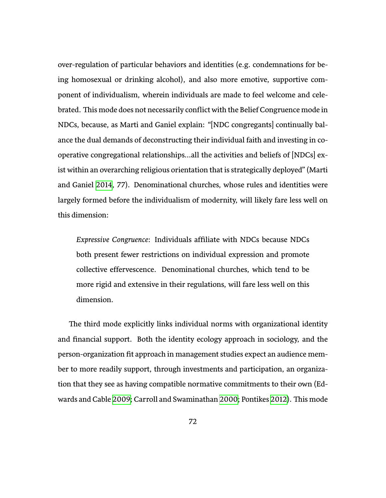over-regulation of particular behaviors and identities (e.g. condemnations for being homosexual or drinking alcohol), and also more emotive, supportive component of individualism, wherein individuals are made to feel welcome and celebrated. This mode does not necessarily conflict with the Belief Congruence mode in NDCs, because, as Marti and Ganiel explain: "[NDC congregants] continually balance the dual demands of deconstructing their individual faith and investing in cooperative congregational relationships…all the activities and beliefs of [NDCs] exist within an overarching religious orientation that is strategically deployed" (Marti and Ganiel [2014,](#page-135-0) 77). Denominational churches, whose rules and identities were largely formed before the individualism of modernity, will likely fare less well on this dimension:

*Expressive Congruence*: Individuals affiliate with NDCs because NDCs both present fewer restrictions on individual expression and promote collective effervescence. Denominational churches, which tend to be more rigid and extensive in their regulations, will fare less well on this dimension.

The third mode explicitly links individual norms with organizational identity and financial support. Both the identity ecology approach in sociology, and the person-organization fit approach in management studies expect an audience member to more readily support, through investments and participation, an organization that they see as having compatible normative commitments to their own (Ed-wards and Cable [2009;](#page-129-1) Carroll and Swaminathan [2000](#page-127-4); Pontikes [2012](#page-138-2)). This mode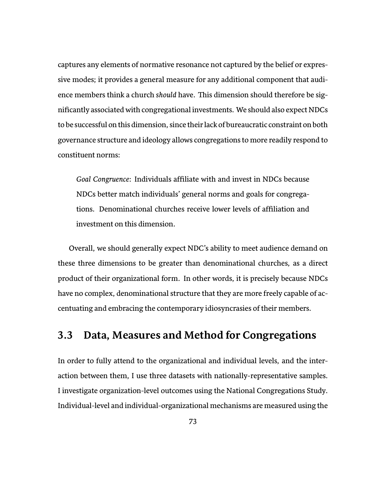captures any elements of normative resonance not captured by the belief or expressive modes; it provides a general measure for any additional component that audience members think a church *should* have. This dimension should therefore be significantly associated with congregational investments. We should also expect NDCs to be successful on this dimension, since their lack of bureaucratic constraint on both governance structure and ideology allows congregations to more readily respond to constituent norms:

*Goal Congruence*: Individuals affiliate with and invest in NDCs because NDCs better match individuals' general norms and goals for congregations. Denominational churches receive lower levels of affiliation and investment on this dimension.

Overall, we should generally expect NDC's ability to meet audience demand on these three dimensions to be greater than denominational churches, as a direct product of their organizational form. In other words, it is precisely because NDCs have no complex, denominational structure that they are more freely capable of accentuating and embracing the contemporary idiosyncrasies of their members.

### **3.3 Data, Measures and Method for Congregations**

In order to fully attend to the organizational and individual levels, and the interaction between them, I use three datasets with nationally-representative samples. I investigate organization-level outcomes using the National Congregations Study. Individual-level and individual-organizational mechanisms are measured using the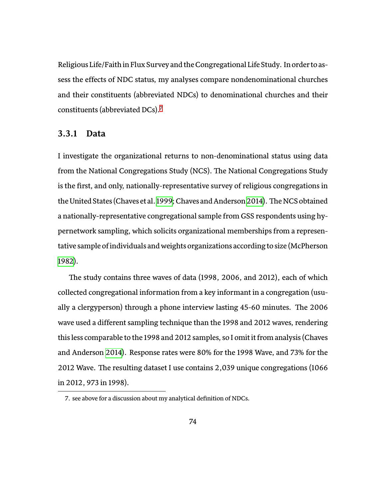Religious Life/Faith in Flux Survey and the Congregational Life Study. In order to assess the effects of NDC status, my analyses compare nondenominational churches and their constituents (abbreviated NDCs) to denominational churches and their constituents (abbreviated DCs).[7](#page-92-0)

#### **3.3.1 Data**

I investigate the organizational returns to non-denominational status using data from the National Congregations Study (NCS). The National Congregations Study is the first, and only, nationally-representative survey of religious congregations in the United States (Chaves et al. [1999;](#page-127-8) Chaves and Anderson [2014](#page-127-9)). The NCS obtained a nationally-representative congregational sample from GSS respondents using hypernetwork sampling, which solicits organizational memberships from a representative sample of individuals and weights organizations according to size (McPherson [1982\)](#page-135-3).

The study contains three waves of data (1998, 2006, and 2012), each of which collected congregational information from a key informant in a congregation (usually a clergyperson) through a phone interview lasting 45-60 minutes. The 2006 wave used a different sampling technique than the 1998 and 2012 waves, rendering this less comparable to the 1998 and 2012 samples, so I omit it from analysis (Chaves and Anderson [2014](#page-127-9)). Response rates were 80% for the 1998 Wave, and 73% for the 2012 Wave. The resulting dataset I use contains 2,039 unique congregations (1066) in 2012, 973 in 1998).

<span id="page-92-0"></span><sup>7.</sup> see above for a discussion about my analytical definition of NDCs.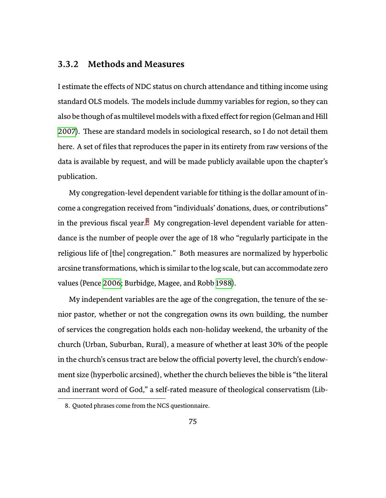#### **3.3.2 Methods and Measures**

I estimate the effects of NDC status on church attendance and tithing income using standard OLS models. The models include dummy variables for region, so they can also be though of as multilevel models with a fixed effect for region (Gelman and Hill [2007\)](#page-130-2). These are standard models in sociological research, so I do not detail them here. A set of files that reproduces the paper in its entirety from raw versions of the data is available by request, and will be made publicly available upon the chapter's publication.

My congregation-level dependent variable for tithing is the dollar amount of income a congregation received from "individuals' donations, dues, or contributions" in the previous fiscal year. $8$  My congregation-level dependent variable for attendance is the number of people over the age of 18 who "regularly participate in the religious life of [the] congregation." Both measures are normalized by hyperbolic arcsine transformations, which is similar to the log scale, but can accommodate zero values (Pence [2006;](#page-138-3) Burbidge, Magee, and Robb [1988\)](#page-126-3).

My independent variables are the age of the congregation, the tenure of the senior pastor, whether or not the congregation owns its own building, the number of services the congregation holds each non-holiday weekend, the urbanity of the church (Urban, Suburban, Rural), a measure of whether at least 30% of the people in the church's census tract are below the official poverty level, the church's endowment size (hyperbolic arcsined), whether the church believes the bible is "the literal and inerrant word of God," a self-rated measure of theological conservatism (Lib-

<span id="page-93-0"></span><sup>8.</sup> Quoted phrases come from the NCS questionnaire.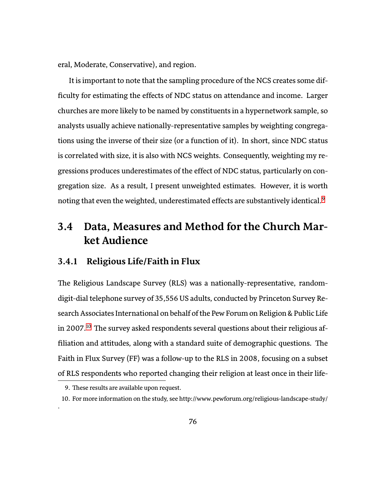eral, Moderate, Conservative), and region.

It is important to note that the sampling procedure of the NCS creates some difficulty for estimating the effects of NDC status on attendance and income. Larger churches are more likely to be named by constituents in a hypernetwork sample, so analysts usually achieve nationally-representative samples by weighting congregations using the inverse of their size (or a function of it). In short, since NDC status is correlated with size, it is also with NCS weights. Consequently, weighting my regressions produces underestimates of the effect of NDC status, particularly on congregation size. As a result, I present unweighted estimates. However, it is worth noting that even the weighted, underestimated effects are substantively identical.<sup>[9](#page-94-0)</sup>

# **3.4 Data, Measures and Method for the Church Market Audience**

### **3.4.1 Religious Life/Faith in Flux**

The Religious Landscape Survey (RLS) was a nationally-representative, randomdigit-dial telephone survey of 35,556 US adults, conducted by Princeton Survey Research Associates International on behalf of the Pew Forum on Religion & Public Life in 2007.<sup>[10](#page-94-1)</sup> The survey asked respondents several questions about their religious affiliation and attitudes, along with a standard suite of demographic questions. The Faith in Flux Survey (FF) was a follow-up to the RLS in 2008, focusing on a subset of RLS respondents who reported changing their religion at least once in their life-

.

<span id="page-94-0"></span><sup>9.</sup> These results are available upon request.

<span id="page-94-1"></span><sup>10.</sup> For more information on the study, see hŧp://www.pewforum.org/religious-landscape-study/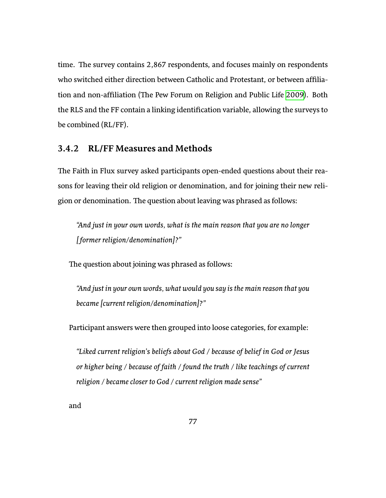time. The survey contains 2,867 respondents, and focuses mainly on respondents who switched either direction between Catholic and Protestant, or between affilia-tion and non-affiliation (The Pew Forum on Religion and Public Life [2009](#page-141-3)). Both the RLS and the FF contain a linking identification variable, allowing the surveys to be combined (RL/FF).

#### **3.4.2 RL/FF Measures and Methods**

The Faith in Flux survey asked participants open-ended questions about their reasons for leaving their old religion or denomination, and for joining their new religion or denomination. The question about leaving was phrased as follows:

*"And just in your own words, what is the main reason that you are no longer [ former religion/denomination]?"*

The question about joining was phrased as follows:

*"And just in your own words, what would you say is the main reason that you became [current religion/denomination]?"*

Participant answers were then grouped into loose categories, for example:

*"Liked current religion's beliefs about God / because of belief in God or Jesus or higher being / because of faith / found the truth / like teachings of current religion / became closer to God / current religion made sense"*

and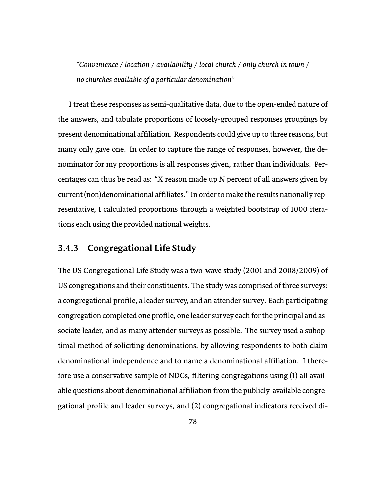*"Convenience / location / availability / local church / only church in town / no churches available of a particular denomination"*

I treat these responses as semi-qualitative data, due to the open-ended nature of the answers, and tabulate proportions of loosely-grouped responses groupings by present denominational affiliation. Respondents could give up to three reasons, but many only gave one. In order to capture the range of responses, however, the denominator for my proportions is all responses given, rather than individuals. Percentages can thus be read as: "*X* reason made up *N* percent of all answers given by current (non)denominational affiliates." In order to make the results nationally representative, I calculated proportions through a weighted bootstrap of 1000 iterations each using the provided national weights.

### **3.4.3 Congregational Life Study**

The US Congregational Life Study was a two-wave study (2001 and 2008/2009) of US congregations and their constituents. The study was comprised of three surveys: a congregational profile, a leader survey, and an attender survey. Each participating congregation completed one profile, one leader survey each for the principal and associate leader, and as many attender surveys as possible. The survey used a suboptimal method of soliciting denominations, by allowing respondents to both claim denominational independence and to name a denominational affiliation. I therefore use a conservative sample of NDCs, filtering congregations using (1) all available questions about denominational affiliation from the publicly-available congregational profile and leader surveys, and (2) congregational indicators received di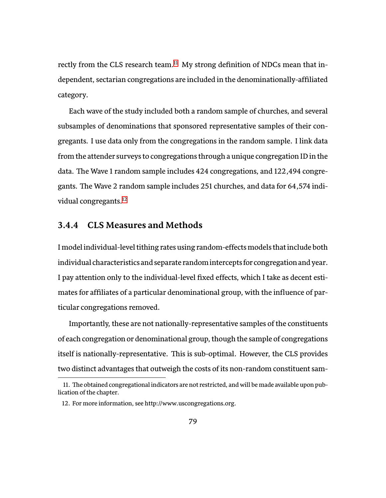rectly from the CLS research team.<sup>[11](#page-97-0)</sup> My strong definition of NDCs mean that independent, sectarian congregations are included in the denominationally-affiliated category.

Each wave of the study included both a random sample of churches, and several subsamples of denominations that sponsored representative samples of their congregants. I use data only from the congregations in the random sample. I link data from the attender surveys to congregations through a unique congregation ID in the data. The Wave 1 random sample includes 424 congregations, and 122,494 congregants. The Wave 2 random sample includes 251 churches, and data for 64,574 indi-vidual congregants.<sup>[12](#page-97-1)</sup>

### **3.4.4 CLS Measures and Methods**

I model individual-level tithing rates using random-effects models that include both individual characteristics and separate random intercepts for congregation and year. I pay attention only to the individual-level fixed effects, which I take as decent estimates for affiliates of a particular denominational group, with the influence of particular congregations removed.

Importantly, these are not nationally-representative samples of the constituents of each congregation or denominational group, though the sample of congregations itself is nationally-representative. This is sub-optimal. However, the CLS provides two distinct advantages that outweigh the costs of its non-random constituent sam-

<span id="page-97-0"></span><sup>11.</sup> ũe obtained congregational indicators are not restricted, and will be made available upon publication of the chapter.

<span id="page-97-1"></span><sup>12.</sup> For more information, see http://www.uscongregations.org.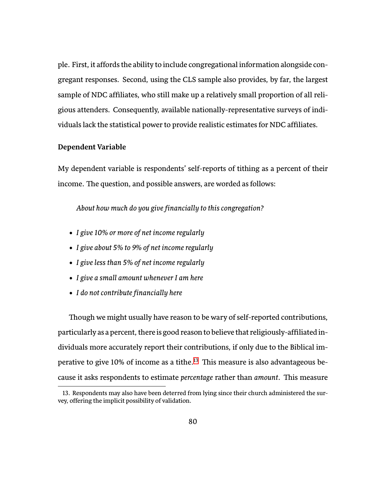ple. First, it affords the ability to include congregational information alongside congregant responses. Second, using the CLS sample also provides, by far, the largest sample of NDC affiliates, who still make up a relatively small proportion of all religious attenders. Consequently, available nationally-representative surveys of individuals lack the statistical power to provide realistic estimates for NDC affiliates.

#### **Dependent Variable**

My dependent variable is respondents' self-reports of tithing as a percent of their income. The question, and possible answers, are worded as follows:

*About how much do you give financially to this congregation?*

- *I give 10% or more of net income regularly*
- *I give about 5% to 9% of net income regularly*
- *I give less than 5% of net income regularly*
- *I give a small amount whenever I am here*
- *I do not contribute financially here*

Though we might usually have reason to be wary of self-reported contributions, particularly as a percent, there is good reason to believe that religiously-affiliated individuals more accurately report their contributions, if only due to the Biblical im-perative to give 10% of income as a tithe.<sup>[13](#page-98-0)</sup> This measure is also advantageous because it asks respondents to estimate *percentage* rather than *amount*. This measure

<span id="page-98-0"></span><sup>13.</sup> Respondents may also have been deterred from lying since their church administered the survey, offering the implicit possibility of validation.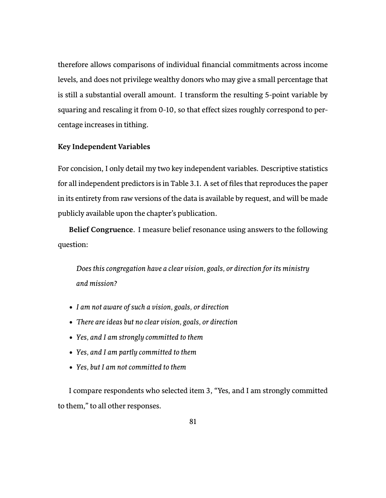therefore allows comparisons of individual financial commitments across income levels, and does not privilege wealthy donors who may give a small percentage that is still a substantial overall amount. I transform the resulting 5-point variable by squaring and rescaling it from 0-10, so that effect sizes roughly correspond to percentage increases in tithing.

#### **Key Independent Variables**

For concision, I only detail my two key independent variables. Descriptive statistics for all independent predictors is in Table 3.1. A set of files that reproduces the paper in its entirety from raw versions of the data is available by request, and will be made publicly available upon the chapter's publication.

**Belief Congruence**. I measure belief resonance using answers to the following question:

*Does this congregation have a clear vision, goals, or direction for its ministry and mission?*

- *I am not aware of such a vision, goals, or direction*
- *ũere are ideas but no clear vision, goals, or direction*
- *Yes, and I am strongly committed to them*
- *Yes, and I am partly commiŧed to them*
- *Yes, but I am not commiŧed to them*

I compare respondents who selected item 3, "Yes, and I am strongly committed to them," to all other responses.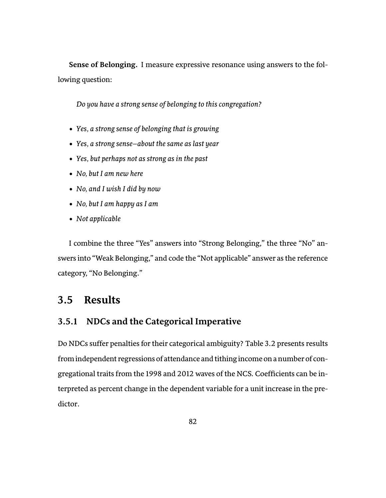**Sense of Belonging.** I measure expressive resonance using answers to the following question:

*Do you have a strong sense of belonging to this congregation?*

- *Yes, a strong sense of belonging that is growing*
- *Yes, a strong sense–about the same as last year*
- *Yes, but perhaps not as strong as in the past*
- *No, but I am new here*
- *No, and I wish I did by now*
- *No, but I am happy as I am*
- *Not applicable*

I combine the three "Yes" answers into "Strong Belonging," the three "No" answers into "Weak Belonging," and code the "Not applicable" answer as the reference category, "No Belonging."

# **3.5 Results**

### **3.5.1 NDCs and the Categorical Imperative**

Do NDCs suffer penalties for their categorical ambiguity? Table 3.2 presents results from independent regressions of attendance and tithing income on a number of congregational traits from the 1998 and 2012 waves of the NCS. Coefficients can be interpreted as percent change in the dependent variable for a unit increase in the predictor.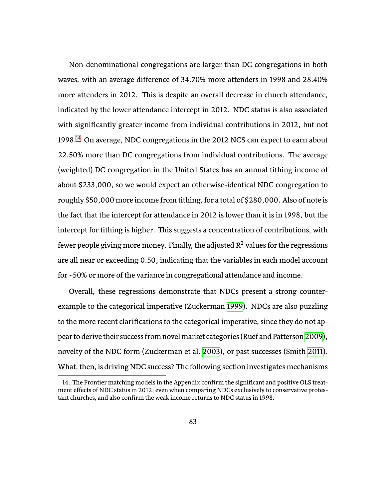Non-denominational congregations are larger than DC congregations in both waves, with an average difference of 34.70% more attenders in 1998 and 28.40% more attenders in 2012. This is despite an overall decrease in church attendance, indicated by the lower attendance intercept in 2012. NDC status is also associated with significantly greater income from individual contributions in 2012, but not 1998.[14](#page-101-0) On average, NDC congregations in the 2012 NCS can expect to earn about 22.50% more than DC congregations from individual contributions. The average (weighted) DC congregation in the United States has an annual tithing income of about \$233,000, so we would expect an otherwise-identical NDC congregation to roughly \$50,000 more income from tithing, for a total of \$280,000. Also of note is the fact that the intercept for attendance in 2012 is lower than it is in 1998, but the intercept for tithing is higher. This suggests a concentration of contributions, with fewer people giving more money. Finally, the adjusted *R* <sup>2</sup> values for the regressions are all near or exceeding 0.50, indicating that the variables in each model account for  $\sim$  50% or more of the variance in congregational attendance and income.

Overall, these regressions demonstrate that NDCs present a strong counterexample to the categorical imperative (Zuckerman [1999\)](#page-143-0). NDCs are also puzzling to the more recent clarifications to the categorical imperative, since they do not ap-pear to derive their success from novel market categories (Ruef and Patterson [2009](#page-139-1)), novelty of the NDC form (Zuckerman et al. [2003](#page-143-5)), or past successes (Smith [2011\)](#page-141-1). What, then, is driving NDC success? The following section investigates mechanisms

<span id="page-101-0"></span><sup>14.</sup> The Frontier matching models in the Appendix confirm the significant and positive OLS treatment effects of NDC status in 2012, even when comparing NDCs exclusively to conservative protestant churches, and also confirm the weak income returns to NDC status in 1998.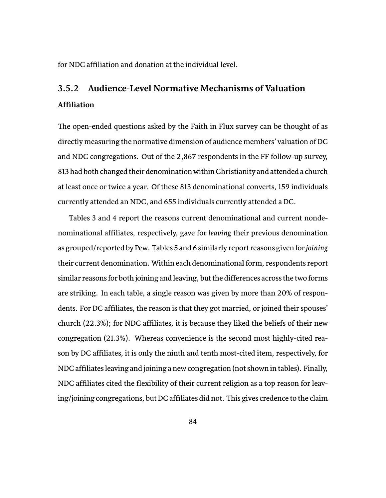for NDC affiliation and donation at the individual level.

# **3.5.2 Audience-Level Normative Mechanisms of Valuation Affiliation**

The open-ended questions asked by the Faith in Flux survey can be thought of as directly measuring the normative dimension of audience members' valuation of DC and NDC congregations. Out of the 2,867 respondents in the FF follow-up survey, 813 had both changed their denomination within Christianity and attended a church at least once or twice a year. Of these 813 denominational converts, 159 individuals currently attended an NDC, and 655 individuals currently attended a DC.

Tables 3 and 4 report the reasons current denominational and current nondenominational affiliates, respectively, gave for *leaving* their previous denomination as grouped/reported by Pew. Tables 5 and 6 similarly report reasons given for *joining* their current denomination. Within each denominational form, respondents report similar reasons for both joining and leaving, but the differences across the two forms are striking. In each table, a single reason was given by more than 20% of respondents. For DC affiliates, the reason is that they got married, or joined their spouses' church (22.3%); for NDC affiliates, it is because they liked the beliefs of their new congregation (21.3%). Whereas convenience is the second most highly-cited reason by DC affiliates, it is only the ninth and tenth most-cited item, respectively, for NDC affiliates leaving and joining a new congregation (not shown in tables). Finally, NDC affiliates cited the flexibility of their current religion as a top reason for leaving/joining congregations, but DC affiliates did not. This gives credence to the claim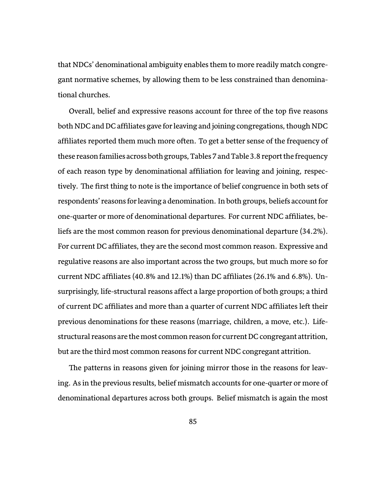that NDCs' denominational ambiguity enables them to more readily match congregant normative schemes, by allowing them to be less constrained than denominational churches.

Overall, belief and expressive reasons account for three of the top five reasons both NDC and DC affiliates gave for leaving and joining congregations, though NDC affiliates reported them much more often. To get a better sense of the frequency of these reason families across both groups, Tables 7 and Table 3.8 report the frequency of each reason type by denominational affiliation for leaving and joining, respectively. The first thing to note is the importance of belief congruence in both sets of respondents' reasons for leaving a denomination. In both groups, beliefs account for one-quarter or more of denominational departures. For current NDC affiliates, beliefs are the most common reason for previous denominational departure (34.2%). For current DC affiliates, they are the second most common reason. Expressive and regulative reasons are also important across the two groups, but much more so for current NDC affiliates (40.8% and 12.1%) than DC affiliates (26.1% and 6.8%). Unsurprisingly, life-structural reasons affect a large proportion of both groups; a third of current DC affiliates and more than a quarter of current NDC affiliates leŘ their previous denominations for these reasons (marriage, children, a move, etc.). Lifestructural reasons are the most common reason for current DC congregant attrition, but are the third most common reasons for current NDC congregant attrition.

The patterns in reasons given for joining mirror those in the reasons for leaving. As in the previous results, belief mismatch accounts for one-quarter or more of denominational departures across both groups. Belief mismatch is again the most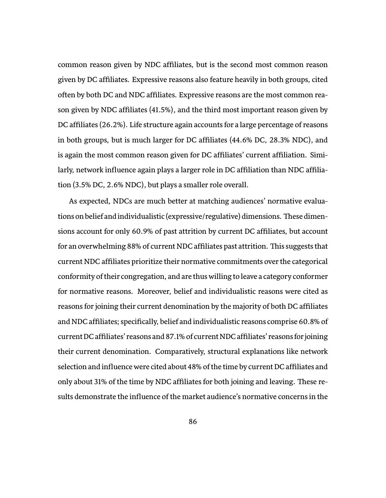common reason given by NDC affiliates, but is the second most common reason given by DC affiliates. Expressive reasons also feature heavily in both groups, cited often by both DC and NDC affiliates. Expressive reasons are the most common reason given by NDC affiliates (41.5%), and the third most important reason given by DC affiliates (26.2%). Life structure again accounts for a large percentage of reasons in both groups, but is much larger for DC affiliates (44.6% DC, 28.3% NDC), and is again the most common reason given for DC affiliates' current affiliation. Similarly, network influence again plays a larger role in DC affiliation than NDC affiliation (3.5% DC, 2.6% NDC), but plays a smaller role overall.

As expected, NDCs are much better at matching audiences' normative evaluations on belief and individualistic (expressive/regulative) dimensions. These dimensions account for only 60.9% of past attrition by current DC affiliates, but account for an overwhelming 88% of current NDC affiliates past attrition. This suggests that current NDC affiliates prioritize their normative commitments over the categorical conformity of their congregation, and are thus willing to leave a category conformer for normative reasons. Moreover, belief and individualistic reasons were cited as reasons for joining their current denomination by the majority of both DC affiliates and NDC affiliates; specifically, belief and individualistic reasons comprise 60.8% of current DC affiliates' reasons and 87.1% of current NDC affiliates' reasons for joining their current denomination. Comparatively, structural explanations like network selection and influence were cited about 48% of the time by current DC affiliates and only about 31% of the time by NDC affiliates for both joining and leaving. These results demonstrate the influence of the market audience's normative concerns in the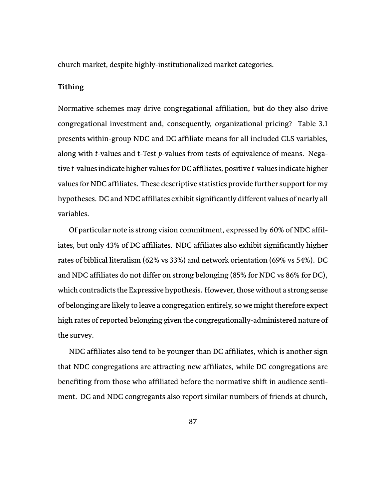church market, despite highly-institutionalized market categories.

#### **Tithing**

Normative schemes may drive congregational affiliation, but do they also drive congregational investment and, consequently, organizational pricing? Table 3.1 presents within-group NDC and DC affiliate means for all included CLS variables, along with *t*-values and t-Test *p*-values from tests of equivalence of means. Negative *t*-values indicate higher values for DC affiliates, positive *t*-values indicate higher values for NDC affiliates. These descriptive statistics provide further support for my hypotheses. DC and NDC affiliates exhibit significantly different values of nearly all variables.

Of particular note is strong vision commitment, expressed by 60% of NDC affiliates, but only 43% of DC affiliates. NDC affiliates also exhibit significantly higher rates of biblical literalism (62% vs 33%) and network orientation (69% vs 54%). DC and NDC affiliates do not differ on strong belonging (85% for NDC vs 86% for DC), which contradicts the Expressive hypothesis. However, those without a strong sense of belonging are likely to leave a congregation entirely, so we might therefore expect high rates of reported belonging given the congregationally-administered nature of the survey.

NDC affiliates also tend to be younger than DC affiliates, which is another sign that NDC congregations are attracting new affiliates, while DC congregations are benefiting from those who affiliated before the normative shiŘ in audience sentiment. DC and NDC congregants also report similar numbers of friends at church,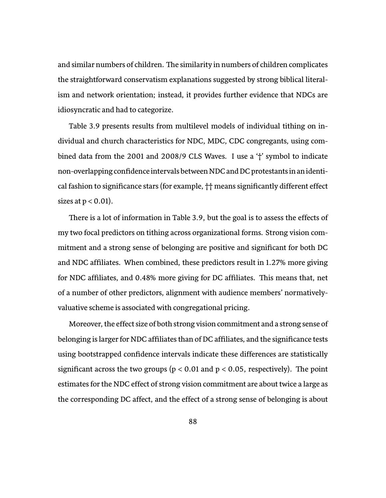and similar numbers of children. The similarity in numbers of children complicates the straightforward conservatism explanations suggested by strong biblical literalism and network orientation; instead, it provides further evidence that NDCs are idiosyncratic and had to categorize.

Table 3.9 presents results from multilevel models of individual tithing on individual and church characteristics for NDC, MDC, CDC congregants, using combined data from the 2001 and 2008/9 CLS Waves. I use a '†' symbol to indicate non-overlapping confidence intervals between NDC and DC protestants in an identical fashion to significance stars (for example, †† means significantly different effect sizes at  $p < 0.01$ ).

There is a lot of information in Table 3.9, but the goal is to assess the effects of my two focal predictors on tithing across organizational forms. Strong vision commitment and a strong sense of belonging are positive and significant for both DC and NDC affiliates. When combined, these predictors result in 1.27% more giving for NDC affiliates, and 0.48% more giving for DC affiliates. This means that, net of a number of other predictors, alignment with audience members' normativelyvaluative scheme is associated with congregational pricing.

Moreover, the effect size of both strong vision commitment and a strong sense of belonging is larger for NDC affiliates than of DC affiliates, and the significance tests using bootstrapped confidence intervals indicate these differences are statistically significant across the two groups ( $p < 0.01$  and  $p < 0.05$ , respectively). The point estimates for the NDC effect of strong vision commitment are about twice a large as the corresponding DC affect, and the effect of a strong sense of belonging is about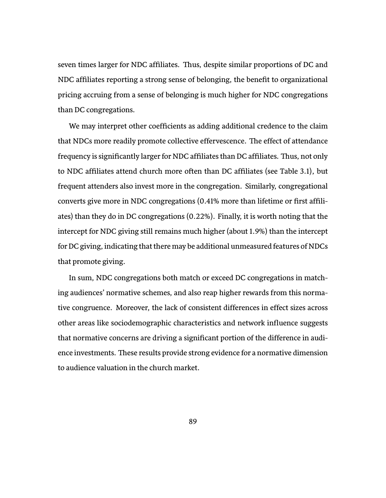seven times larger for NDC affiliates. Thus, despite similar proportions of DC and NDC affiliates reporting a strong sense of belonging, the benefit to organizational pricing accruing from a sense of belonging is much higher for NDC congregations than DC congregations.

We may interpret other coefficients as adding additional credence to the claim that NDCs more readily promote collective effervescence. The effect of attendance frequency is significantly larger for NDC affiliates than DC affiliates. Thus, not only to NDC affiliates attend church more often than DC affiliates (see Table 3.1), but frequent attenders also invest more in the congregation. Similarly, congregational converts give more in NDC congregations (0.41% more than lifetime or first affiliates) than they do in DC congregations (0.22%). Finally, it is worth noting that the intercept for NDC giving still remains much higher (about 1.9%) than the intercept for DC giving, indicating that there may be additional unmeasured features of NDCs that promote giving.

In sum, NDC congregations both match or exceed DC congregations in matching audiences' normative schemes, and also reap higher rewards from this normative congruence. Moreover, the lack of consistent differences in effect sizes across other areas like sociodemographic characteristics and network influence suggests that normative concerns are driving a significant portion of the difference in audience investments. These results provide strong evidence for a normative dimension to audience valuation in the church market.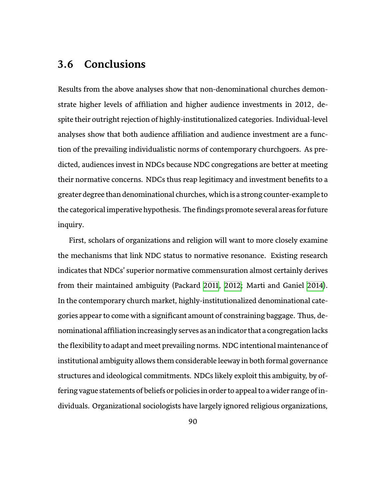## **3.6 Conclusions**

Results from the above analyses show that non-denominational churches demonstrate higher levels of affiliation and higher audience investments in 2012, despite their outright rejection of highly-institutionalized categories. Individual-level analyses show that both audience affiliation and audience investment are a function of the prevailing individualistic norms of contemporary churchgoers. As predicted, audiences invest in NDCs because NDC congregations are better at meeting their normative concerns. NDCs thus reap legitimacy and investment benefits to a greater degree than denominational churches, which is a strong counter-example to the categorical imperative hypothesis. The findings promote several areas for future inquiry.

First, scholars of organizations and religion will want to more closely examine the mechanisms that link NDC status to normative resonance. Existing research indicates that NDCs' superior normative commensuration almost certainly derives from their maintained ambiguity (Packard [2011,](#page-137-0) [2012](#page-137-1); Marti and Ganiel [2014\)](#page-135-0). In the contemporary church market, highly-institutionalized denominational categories appear to come with a significant amount of constraining baggage. Thus, denominational affiliation increasingly serves as an indicator that a congregation lacks the flexibility to adapt and meet prevailing norms. NDC intentional maintenance of institutional ambiguity allows them considerable leeway in both formal governance structures and ideological commitments. NDCs likely exploit this ambiguity, by offering vague statements of beliefs or policies in order to appeal to a wider range of individuals. Organizational sociologists have largely ignored religious organizations,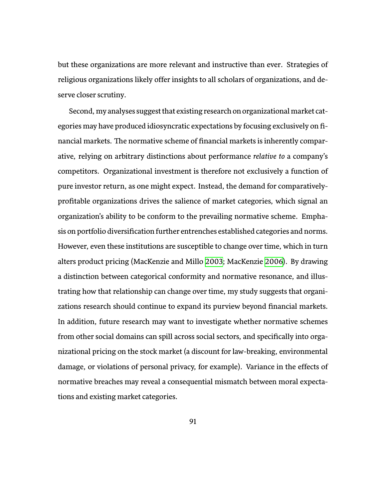but these organizations are more relevant and instructive than ever. Strategies of religious organizations likely offer insights to all scholars of organizations, and deserve closer scrutiny.

Second, my analyses suggest that existing research on organizational market categories may have produced idiosyncratic expectations by focusing exclusively on financial markets. The normative scheme of financial markets is inherently comparative, relying on arbitrary distinctions about performance *relative to* a company's competitors. Organizational investment is therefore not exclusively a function of pure investor return, as one might expect. Instead, the demand for comparativelyprofitable organizations drives the salience of market categories, which signal an organization's ability to be conform to the prevailing normative scheme. Emphasis on portfolio diversification further entrenches established categories and norms. However, even these institutions are susceptible to change over time, which in turn alters product pricing (MacKenzie and Millo [2003;](#page-135-1) MacKenzie [2006\)](#page-135-2). By drawing a distinction between categorical conformity and normative resonance, and illustrating how that relationship can change over time, my study suggests that organizations research should continue to expand its purview beyond financial markets. In addition, future research may want to investigate whether normative schemes from other social domains can spill across social sectors, and specifically into organizational pricing on the stock market (a discount for law-breaking, environmental damage, or violations of personal privacy, for example). Variance in the effects of normative breaches may reveal a consequential mismatch between moral expectations and existing market categories.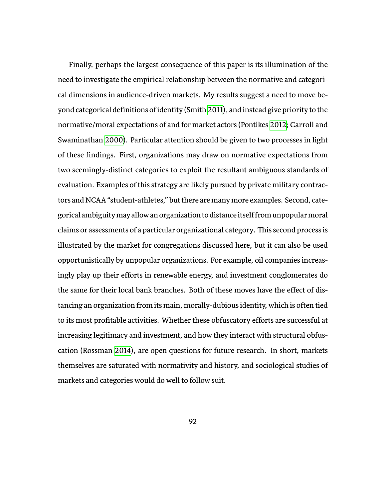Finally, perhaps the largest consequence of this paper is its illumination of the need to investigate the empirical relationship between the normative and categorical dimensions in audience-driven markets. My results suggest a need to move beyond categorical definitions of identity (Smith [2011\)](#page-141-0), and instead give priority to the normative/moral expectations of and for market actors (Pontikes [2012;](#page-138-0) Carroll and Swaminathan [2000](#page-127-0)). Particular attention should be given to two processes in light of these findings. First, organizations may draw on normative expectations from two seemingly-distinct categories to exploit the resultant ambiguous standards of evaluation. Examples of this strategy are likely pursued by private military contractors and NCAA "student-athletes," but there are many more examples. Second, categorical ambiguity may allow an organization to distance itself from unpopular moral claims or assessments of a particular organizational category. This second process is illustrated by the market for congregations discussed here, but it can also be used opportunistically by unpopular organizations. For example, oil companies increasingly play up their efforts in renewable energy, and investment conglomerates do the same for their local bank branches. Both of these moves have the effect of distancing an organization from its main, morally-dubious identity, which is often tied to its most profitable activities. Whether these obfuscatory efforts are successful at increasing legitimacy and investment, and how they interact with structural obfuscation (Rossman [2014\)](#page-139-0), are open questions for future research. In short, markets themselves are saturated with normativity and history, and sociological studies of markets and categories would do well to follow suit.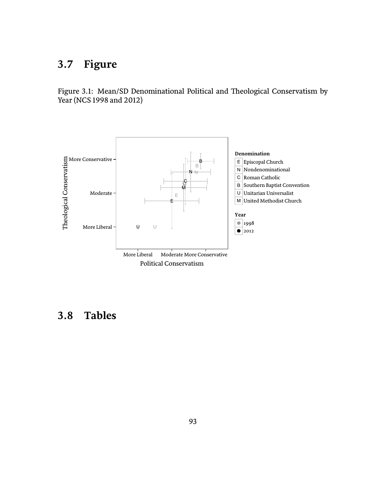# **3.7 Figure**

Figure 3.1: Mean/SD Denominational Political and Theological Conservatism by Year (NCS 1998 and 2012)



# **3.8 Tables**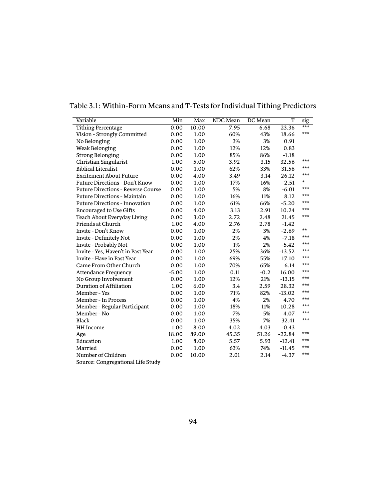| Variable                                  | Min     | Max   | NDC Mean | DC Mean | T        | sig   |
|-------------------------------------------|---------|-------|----------|---------|----------|-------|
| <b>Tithing Percentage</b>                 | 0.00    | 10.00 | 7.95     | 6.68    | 23.36    | $***$ |
| Vision - Strongly Committed               | 0.00    | 1.00  | 60%      | 43%     | 18.66    | ***   |
| No Belonging                              | 0.00    | 1.00  | 3%       | 3%      | 0.91     |       |
| <b>Weak Belonging</b>                     | 0.00    | 1.00  | 12%      | 12%     | 0.83     |       |
| <b>Strong Belonging</b>                   | 0.00    | 1.00  | 85%      | 86%     | $-1.18$  |       |
| Christian Singularist                     | 1.00    | 5.00  | 3.92     | 3.15    | 32.56    | ***   |
| <b>Biblical Literalist</b>                | 0.00    | 1.00  | 62%      | 33%     | 31.56    | ***   |
| <b>Excitement About Future</b>            | 0.00    | 4.00  | 3.49     | 3.14    | 26.12    | ***   |
| Future Directions - Don't Know            | 0.00    | 1.00  | 17%      | 16%     | 2.51     | ¥     |
| <b>Future Directions - Reverse Course</b> | 0.00    | 1.00  | 5%       | 8%      | $-6.01$  | ***   |
| <b>Future Directions - Maintain</b>       | 0.00    | 1.00  | 16%      | 11%     | 8.12     | ***   |
| Future Directions - Innovation            | 0.00    | 1.00  | 61%      | 66%     | $-5.20$  | ***   |
| <b>Encouraged to Use Gifts</b>            | 0.00    | 4.00  | 3.13     | 2.91    | 10.24    | ***   |
| Teach About Everyday Living               | 0.00    | 3.00  | 2.72     | 2.48    | 21.45    | ***   |
| Friends at Church                         | 1.00    | 4.00  | 2.76     | 2.78    | $-1.42$  |       |
| Invite - Don't Know                       | 0.00    | 1.00  | 2%       | 3%      | $-2.69$  | $**$  |
| Invite - Definitely Not                   | 0.00    | 1.00  | 2%       | 4%      | $-7.18$  | ***   |
| Invite - Probably Not                     | 0.00    | 1.00  | 1%       | 2%      | $-5.42$  | ***   |
| Invite - Yes, Haven't in Past Year        | 0.00    | 1.00  | 25%      | 36%     | $-13.52$ | ***   |
| Invite - Have in Past Year                | 0.00    | 1.00  | 69%      | 55%     | 17.10    | ***   |
| Came From Other Church                    | 0.00    | 1.00  | 70%      | 65%     | 6.14     | ***   |
| <b>Attendance Frequency</b>               | $-5.00$ | 1.00  | 0.11     | $-0.2$  | 16.00    | ***   |
| No Group Involvement                      | 0.00    | 1.00  | 12%      | 21%     | $-13.15$ | ***   |
| Duration of Affiliation                   | 1.00    | 6.00  | 3.4      | 2.59    | 28.32    | ***   |
| Member - Yes                              | 0.00    | 1.00  | 71%      | 82%     | $-13.02$ | ***   |
| <b>Member - In Process</b>                | 0.00    | 1.00  | 4%       | 2%      | 4.70     | ***   |
| Member - Regular Participant              | 0.00    | 1.00  | 18%      | 11%     | 10.28    | ***   |
| Member - No                               | 0.00    | 1.00  | 7%       | 5%      | 4.07     | ***   |
| Black                                     | 0.00    | 1.00  | 35%      | 7%      | 32.41    | ***   |
| HH Income                                 | 1.00    | 8.00  | 4.02     | 4.03    | $-0.43$  |       |
| Age                                       | 18.00   | 89.00 | 45.35    | 51.26   | $-22.84$ | ***   |
| Education                                 | 1.00    | 8.00  | 5.57     | 5.93    | $-12.41$ | ***   |
| Married                                   | 0.00    | 1.00  | 63%      | 74%     | $-11.45$ | ***   |
| Number of Children                        | 0.00    | 10.00 | 2.01     | 2.14    | $-4.37$  | ***   |

| Table 3.1: Within-Form Means and T-Tests for Individual Tithing Predictors |  |  |
|----------------------------------------------------------------------------|--|--|
|----------------------------------------------------------------------------|--|--|

Source: Congregational Life Study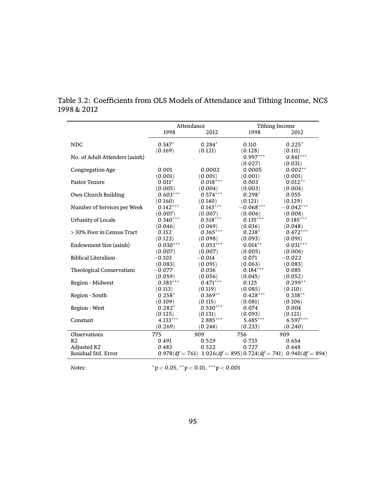|                                |            | Attendance |             | Tithing Income                                                          |
|--------------------------------|------------|------------|-------------|-------------------------------------------------------------------------|
|                                | 1998       | 2012       | 1998        | 2012                                                                    |
| <b>NDC</b>                     | $0.347*$   | $0.284*$   | 0.110       | $0.225*$                                                                |
|                                | (0.169)    | (0.121)    | (0.128)     | (0.111)                                                                 |
| No. of Adult Attenders (asinh) |            |            | $0.997***$  | $0.841***$                                                              |
|                                |            |            | (0.027)     | (0.031)                                                                 |
| Congregation Age               | 0.001      | 0.0002     | 0.0005      | $0.002**$                                                               |
|                                | (0.001)    | (0.001)    | (0.001)     | (0.001)                                                                 |
| Pastor Tenure                  | $0.011*$   | $0.018***$ | 0.003       | $0.012**$                                                               |
|                                | (0.005)    | (0.004)    | (0.003)     | (0.004)                                                                 |
| Own Church Building            | $0.603***$ | $0.574***$ | $0.298*$    | 0.055                                                                   |
|                                | (0.160)    | (0.140)    | (0.121)     | (0.129)                                                                 |
| Number of Services per Week    | $0.142***$ | $0.143***$ | $-0.068***$ | $-0.042***$                                                             |
|                                | (0.007)    | (0.007)    | (0.006)     | (0.008)                                                                 |
| Urbanity of Locale             | $0.340***$ | $0.518***$ | $0.135***$  | $0.185***$                                                              |
|                                | (0.046)    | (0.049)    | (0.036)     | (0.048)                                                                 |
| > 30% Poor in Census Tract     | 0.152      | $0.365***$ | $0.238*$    | $0.472***$                                                              |
|                                | (0.123)    | (0.098)    | (0.093)     | (0.091)                                                                 |
| Endowment Size (asinh)         | $0.030***$ | $0.053***$ | $0.014***$  | $0.031***$                                                              |
|                                | (0.007)    | (0.007)    | (0.005)     | (0.006)                                                                 |
| <b>Biblical Literalism</b>     | $-0.103$   | $-0.014$   | 0.071       | $-0.022$                                                                |
|                                | (0.083)    | (0.091)    | (0.063)     | (0.083)                                                                 |
| Theological Conservatism       | $-0.077$   | 0.036      | $0.184***$  | 0.085                                                                   |
|                                | (0.059)    | (0.056)    | (0.045)     | (0.052)                                                                 |
| Region - Midwest               | $0.383***$ | $0.471***$ | 0.125       | $0.299**$                                                               |
|                                | (0.113)    | (0.119)    | (0.085)     | (0.110)                                                                 |
| Region - South                 | $0.258*$   | $0.369**$  | $0.428***$  | $0.338**$                                                               |
|                                | (0.109)    | (0.115)    | (0.081)     | (0.106)                                                                 |
| <b>Region - West</b>           | $0.282*$   | $0.530***$ | 0.074       | 0.004                                                                   |
|                                | (0.125)    | (0.131)    | (0.093)     | (0.121)                                                                 |
| Constant                       | $4.133***$ | $2.885***$ | $5.485***$  | $6.597***$                                                              |
|                                | (0.269)    | (0.244)    | (0.233)     | (0.240)                                                                 |
| Observations                   | 775        | 909        | 756         | 909                                                                     |
| R <sub>2</sub>                 | 0.491      | 0.529      | 0.733       | 0.654                                                                   |
| Adjusted R2                    | 0.483      | 0.522      | 0.727       | 0.648                                                                   |
| Residual Std. Error            |            |            |             | $0.978(df = 761)$ $1.026(df = 895)$ $0.724(df = 741)$ $0.940(df = 894)$ |

#### Table 3.2: Coefficients from OLS Models of Attendance and Tithing Income, NCS 1998 & 2012

*Notes: <sup>∗</sup>*

p *<* 0.05, *∗∗*p *<* 0.01, *∗∗∗*p *<* 0.001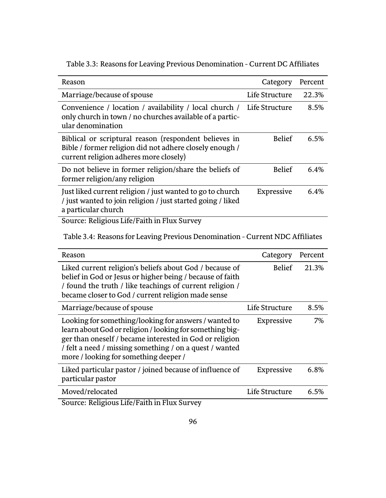| Reason                                                                                                                                                     | Category       | Percent |
|------------------------------------------------------------------------------------------------------------------------------------------------------------|----------------|---------|
| Marriage/because of spouse                                                                                                                                 | Life Structure | 22.3%   |
| Convenience / location / availability / local church / Life Structure<br>only church in town / no churches available of a partic-<br>ular denomination     |                | 8.5%    |
| Biblical or scriptural reason (respondent believes in<br>Bible / former religion did not adhere closely enough /<br>current religion adheres more closely) | <b>Belief</b>  | 6.5%    |
| Do not believe in former religion/share the beliefs of<br>former religion/any religion                                                                     | <b>Belief</b>  | $6.4\%$ |
| Just liked current religion / just wanted to go to church<br>/ just wanted to join religion / just started going / liked<br>a particular church            | Expressive     | 6.4%    |
| Source: Religious Life/Faith in Flux Survey                                                                                                                |                |         |

Table 3.3: Reasons for Leaving Previous Denomination - Current DC Affiliates

Table 3.4: Reasons for Leaving Previous Denomination - Current NDC Affiliates

| Reason                                                                                                                                                                                                                                                                           | Category       | Percent |
|----------------------------------------------------------------------------------------------------------------------------------------------------------------------------------------------------------------------------------------------------------------------------------|----------------|---------|
| Liked current religion's beliefs about God / because of<br>belief in God or Jesus or higher being / because of faith<br>/ found the truth / like teachings of current religion /<br>became closer to God / current religion made sense                                           | <b>Belief</b>  | 21.3%   |
| Marriage/because of spouse                                                                                                                                                                                                                                                       | Life Structure | 8.5%    |
| Looking for something/looking for answers / wanted to<br>learn about God or religion / looking for something big-<br>ger than oneself / became interested in God or religion<br>/ felt a need / missing something / on a quest / wanted<br>more / looking for something deeper / | Expressive     | 7%      |
| Liked particular pastor / joined because of influence of<br>particular pastor                                                                                                                                                                                                    | Expressive     | 6.8%    |
| Moved/relocated                                                                                                                                                                                                                                                                  | Life Structure | 6.5%    |
| Source: Religious Life/Faith in Flux Survey                                                                                                                                                                                                                                      |                |         |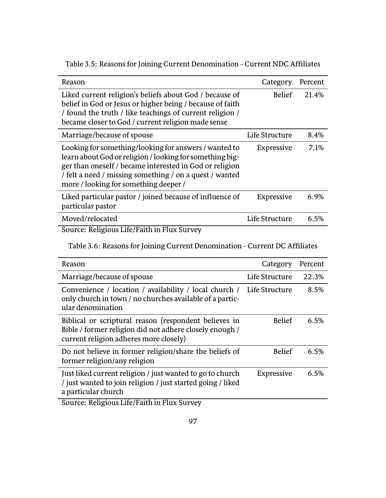| Reason                                                                                                                                                                                                                                                                           | Category       | Percent |
|----------------------------------------------------------------------------------------------------------------------------------------------------------------------------------------------------------------------------------------------------------------------------------|----------------|---------|
| Liked current religion's beliefs about God / because of<br>belief in God or Jesus or higher being / because of faith<br>/ found the truth / like teachings of current religion /<br>became closer to God / current religion made sense                                           | <b>Belief</b>  | 21.4%   |
| Marriage/because of spouse                                                                                                                                                                                                                                                       | Life Structure | 8.4%    |
| Looking for something/looking for answers / wanted to<br>learn about God or religion / looking for something big-<br>ger than oneself / became interested in God or religion<br>/ felt a need / missing something / on a quest / wanted<br>more / looking for something deeper / | Expressive     | 7.1%    |
| Liked particular pastor / joined because of influence of<br>particular pastor                                                                                                                                                                                                    | Expressive     | 6.9%    |
| Moved/relocated                                                                                                                                                                                                                                                                  | Life Structure | 6.5%    |

Table 3.5: Reasons for Joining Current Denomination - Current NDC Affiliates

Source: Religious Life/Faith in Flux Survey

Table 3.6: Reasons for Joining Current Denomination - Current DC Affiliates

| Reason                                                                                                                                                     | Category       | Percent |
|------------------------------------------------------------------------------------------------------------------------------------------------------------|----------------|---------|
| Marriage/because of spouse                                                                                                                                 | Life Structure | 22.3%   |
| Convenience / location / availability / local church /<br>only church in town / no churches available of a partic-<br>ular denomination                    | Life Structure | 8.5%    |
| Biblical or scriptural reason (respondent believes in<br>Bible / former religion did not adhere closely enough /<br>current religion adheres more closely) | <b>Belief</b>  | 6.5%    |
| Do not believe in former religion/share the beliefs of<br>former religion/any religion                                                                     | <b>Belief</b>  | 6.5%    |
| Just liked current religion / just wanted to go to church<br>/ just wanted to join religion / just started going / liked<br>a particular church            | Expressive     | 6.5%    |
| Source: Religious Life/Faith in Flux Survey                                                                                                                |                |         |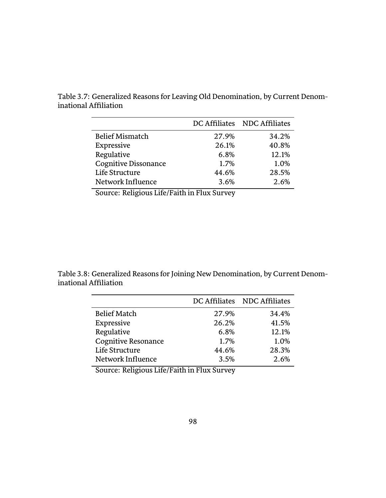|                             |       | DC Affiliates NDC Affiliates |
|-----------------------------|-------|------------------------------|
| <b>Belief Mismatch</b>      | 27.9% | 34.2%                        |
| Expressive                  | 26.1% | 40.8%                        |
| Regulative                  | 6.8%  | 12.1%                        |
| <b>Cognitive Dissonance</b> | 1.7%  | 1.0%                         |
| Life Structure              | 44.6% | 28.5%                        |
| Network Influence           | 3.6%  | 2.6%                         |

Table 3.7: Generalized Reasons for Leaving Old Denomination, by Current Denominational Affiliation

Source: Religious Life/Faith in Flux Survey

Table 3.8: Generalized Reasons for Joining New Denomination, by Current Denominational Affiliation

|                            |       | DC Affiliates NDC Affiliates |
|----------------------------|-------|------------------------------|
| <b>Belief Match</b>        | 27.9% | 34.4%                        |
| Expressive                 | 26.2% | 41.5%                        |
| Regulative                 | 6.8%  | 12.1%                        |
| <b>Cognitive Resonance</b> | 1.7%  | 1.0%                         |
| Life Structure             | 44.6% | 28.3%                        |
| Network Influence          | 3.5%  | 2.6%                         |

Source: Religious Life/Faith in Flux Survey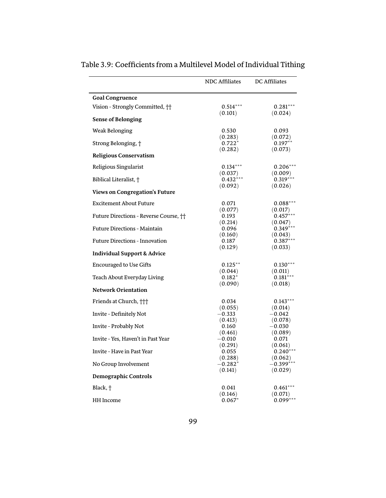|                                        | <b>NDC Affiliates</b> | <b>DC</b> Affiliates |
|----------------------------------------|-----------------------|----------------------|
| <b>Goal Congruence</b>                 |                       |                      |
| Vision - Strongly Committed, ††        | $0.514***$            | $0.281***$           |
|                                        | (0.101)               | (0.024)              |
| <b>Sense of Belonging</b>              |                       |                      |
| Weak Belonging                         | 0.530                 | 0.093                |
|                                        | (0.283)               | (0.072)              |
| Strong Belonging, +                    | $0.722*$              | $0.197**$            |
| <b>Religious Conservatism</b>          | (0.282)               | (0.073)              |
| Religious Singularist                  | $0.134***$            | $0.206***$           |
|                                        | (0.037)               | (0.009)              |
| Biblical Literalist, †                 | $0.432***$            | $0.319***$           |
|                                        | (0.092)               | (0.026)              |
| Views on Congregation's Future         |                       |                      |
| <b>Excitement About Future</b>         | 0.071                 | $0.088***$           |
|                                        | (0.077)               | (0.017)              |
| Future Directions - Reverse Course, †† | 0.193                 | $0.457***$           |
|                                        | (0.214)               | (0.047)              |
| <b>Future Directions - Maintain</b>    | 0.096                 | $0.349***$           |
|                                        | (0.160)               | (0.043)              |
| <b>Future Directions - Innovation</b>  | 0.187                 | $0.387***$           |
| <b>Individual Support &amp; Advice</b> | (0.129)               | (0.033)              |
|                                        |                       |                      |
| <b>Encouraged to Use Gifts</b>         | $0.125***$            | $0.130***$           |
|                                        | (0.044)               | (0.011)              |
| Teach About Everyday Living            | $0.182*$              | $0.181***$           |
| <b>Network Orientation</b>             | (0.090)               | (0.018)              |
|                                        |                       |                      |
| Friends at Church, †††                 | 0.034                 | $0.143***$           |
| Invite - Definitely Not                | (0.055)<br>$-0.333$   | (0.014)<br>$-0.042$  |
|                                        | (0.413)               | (0.078)              |
| Invite - Probably Not                  | 0.160                 | $-0.030$             |
|                                        | (0.461)               | (0.089)              |
| Invite - Yes, Haven't in Past Year     | $-0.010$              | 0.071                |
|                                        | (0.291)               | (0.061)              |
| Invite - Have in Past Year             | 0.055                 | $0.240***$           |
|                                        | (0.288)               | (0.062)              |
| No Group Involvement                   | $-0.282*$             | $-0.399***$          |
| <b>Demographic Controls</b>            | (0.141)               | (0.029)              |
|                                        |                       |                      |
| Black, †                               | 0.041                 | $0.461***$           |
|                                        | (0.146)               | (0.071)              |
| HH Income                              | $0.067*$              | $0.099***$           |

Table 3.9: Coefficients from a Multilevel Model of Individual Tithing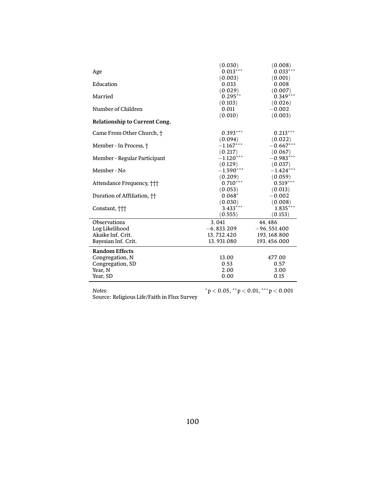| Age                                 | (0.030)<br>$0.013***$<br>(0.003) | (0.008)<br>$0.033***$<br>(0.001) |
|-------------------------------------|----------------------------------|----------------------------------|
| Education                           | 0.033<br>(0.029)                 | 0.008<br>(0.007)                 |
| Married                             | $0.295***$<br>(0.103)            | $0.349***$<br>(0.026)            |
| Number of Children                  | 0.011<br>(0.010)                 | $-0.002$<br>(0.003)              |
| Relationship to Current Cong.       |                                  |                                  |
| Came From Other Church, †           | $0.393***$                       | $0.213***$                       |
| Member - In Process, †              | (0.094)<br>$-1.167***$           | (0.022)<br>$-0.667***$           |
| Member - Regular Participant        | (0.217)<br>$-1.120***$           | (0.067)<br>$-0.983***$           |
| Member - No                         | (0.129)<br>$-1.590***$           | (0.037)<br>$-1.424***$           |
| Attendance Frequency, <sup>11</sup> | (0.209)<br>$0.710***$            | (0.059)<br>$0.519***$            |
| Duration of Affiliation, ††         | (0.053)<br>$0.068*$              | (0.013)<br>$-0.002$              |
| Constant, †††                       | (0.030)<br>$3.433***$<br>(0.555) | (0.008)<br>$1.835***$<br>(0.153) |
| <b>Observations</b>                 | 3,041                            | 44,486                           |
| Log Likelihood                      | $-6,833.209$                     | $-96,551.400$                    |
| Akaike Inf. Crit.                   | 13,732.420                       | 193, 168.800                     |
| Bayesian Inf. Crit.                 | 13,931.080                       | 193, 456.000                     |
| <b>Random Effects</b>               |                                  |                                  |
| Congregation, N                     | 13.00                            | 477.00                           |
| Congregation, SD                    | 0.53                             | 0.57                             |
| Year, N                             | 2.00                             | 3.00                             |
| Year, SD                            | 0.00                             | 0.15                             |
|                                     |                                  |                                  |

*Notes: <sup>∗</sup>* Source: Religious Life/Faith in Flux Survey

p *<* 0.05, *∗∗*p *<* 0.01, *∗∗∗*p *<* 0.001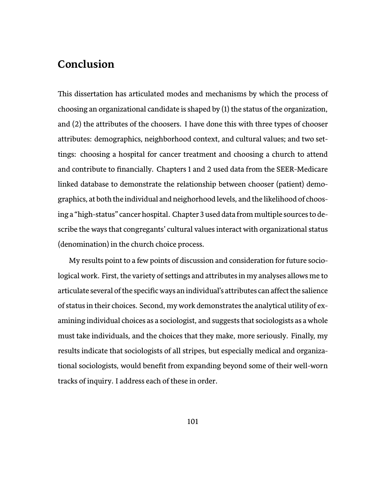## **Conclusion**

This dissertation has articulated modes and mechanisms by which the process of choosing an organizational candidate is shaped by (1) the status of the organization, and  $(2)$  the attributes of the choosers. I have done this with three types of chooser attributes: demographics, neighborhood context, and cultural values; and two settings: choosing a hospital for cancer treatment and choosing a church to attend and contribute to financially. Chapters 1 and 2 used data from the SEER-Medicare linked database to demonstrate the relationship between chooser (patient) demographics, at both the individual and neighorhood levels, and the likelihood of choosing a "high-status" cancer hospital. Chapter 3 used data from multiple sources to describe the ways that congregants' cultural values interact with organizational status (denomination) in the church choice process.

My results point to a few points of discussion and consideration for future sociological work. First, the variety of settings and attributes in my analyses allows me to articulate several of the specific ways an individual's attributes can affect the salience of status in their choices. Second, my work demonstrates the analytical utility of examining individual choices as a sociologist, and suggests that sociologists as a whole must take individuals, and the choices that they make, more seriously. Finally, my results indicate that sociologists of all stripes, but especially medical and organizational sociologists, would benefit from expanding beyond some of their well-worn tracks of inquiry. I address each of these in order.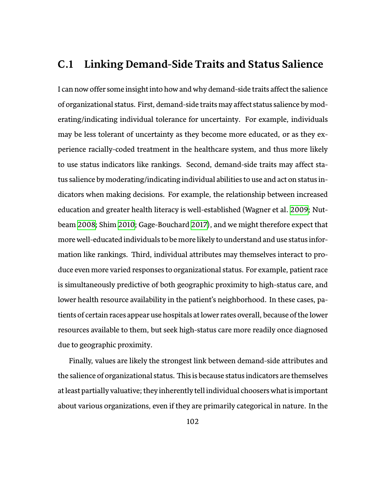### **C.1 Linking Demand-Side Traits and Status Salience**

I can now offer some insight into how and why demand-side traits affect the salience of organizational status. First, demand-side traits may affect status salience by moderating/indicating individual tolerance for uncertainty. For example, individuals may be less tolerant of uncertainty as they become more educated, or as they experience racially-coded treatment in the healthcare system, and thus more likely to use status indicators like rankings. Second, demand-side traits may affect status salience by moderating/indicating individual abilities to use and act on status indicators when making decisions. For example, the relationship between increased education and greater health literacy is well-established (Wagner et al. [2009;](#page-142-0) Nutbeam [2008](#page-137-2); Shim [2010](#page-141-1); Gage-Bouchard [2017\)](#page-130-0), and we might therefore expect that more well-educated individuals to be more likely to understand and use status information like rankings. Third, individual attributes may themselves interact to produce even more varied responses to organizational status. For example, patient race is simultaneously predictive of both geographic proximity to high-status care, and lower health resource availability in the patient's neighborhood. In these cases, patients of certain races appear use hospitals at lower rates overall, because of the lower resources available to them, but seek high-status care more readily once diagnosed due to geographic proximity.

Finally, values are likely the strongest link between demand-side attributes and the salience of organizational status. This is because status indicators are themselves at least partially valuative; they inherently tell individual choosers what is important about various organizations, even if they are primarily categorical in nature. In the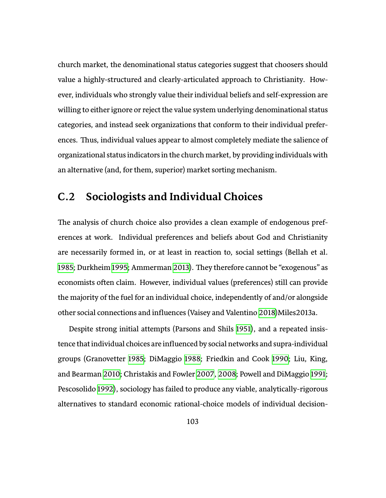church market, the denominational status categories suggest that choosers should value a highly-structured and clearly-articulated approach to Christianity. However, individuals who strongly value their individual beliefs and self-expression are willing to either ignore or reject the value system underlying denominational status categories, and instead seek organizations that conform to their individual preferences. Thus, individual values appear to almost completely mediate the salience of organizational status indicators in the church market, by providing individuals with an alternative (and, for them, superior) market sorting mechanism.

### **C.2 Sociologists and Individual Choices**

The analysis of church choice also provides a clean example of endogenous preferences at work. Individual preferences and beliefs about God and Christianity are necessarily formed in, or at least in reaction to, social settings (Bellah et al. [1985](#page-126-0); Durkheim [1995;](#page-129-0) Ammerman [2013](#page-125-0)). They therefore cannot be "exogenous" as economists oŘen claim. However, individual values (preferences) still can provide the majority of the fuel for an individual choice, independently of and/or alongside other social connections and influences (Vaisey and Valentino [2018\)](#page-142-1)Miles2013a.

Despite strong initial attempts (Parsons and Shils [1951\)](#page-137-3), and a repeated insistence that individual choices are influenced by social networks and supra-individual groups (Granovetter [1985](#page-131-0); DiMaggio [1988](#page-128-0); Friedkin and Cook [1990;](#page-130-1) Liu, King, and Bearman [2010;](#page-134-0) Christakis and Fowler [2007,](#page-128-1) [2008;](#page-128-2) Powell and DiMaggio [1991;](#page-138-1) Pescosolido [1992\)](#page-138-2), sociology has failed to produce any viable, analytically-rigorous alternatives to standard economic rational-choice models of individual decision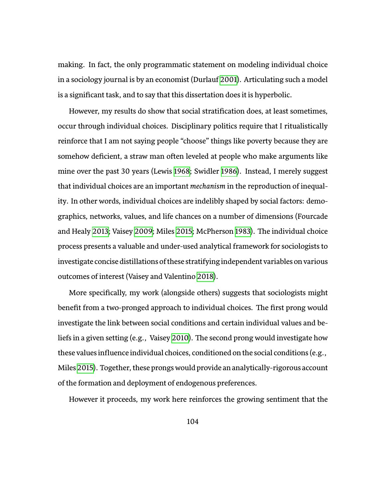making. In fact, the only programmatic statement on modeling individual choice in a sociology journal is by an economist (Durlauf [2001\)](#page-129-1). Articulating such a model is a significant task, and to say that this dissertation does it is hyperbolic.

However, my results do show that social stratification does, at least sometimes, occur through individual choices. Disciplinary politics require that I ritualistically reinforce that I am not saying people "choose" things like poverty because they are somehow deficient, a straw man often leveled at people who make arguments like mine over the past 30 years (Lewis [1968](#page-134-1); Swidler [1986\)](#page-141-2). Instead, I merely suggest that individual choices are an important *mechanism* in the reproduction of inequality. In other words, individual choices are indelibly shaped by social factors: demographics, networks, values, and life chances on a number of dimensions (Fourcade and Healy [2013](#page-130-2); Vaisey [2009;](#page-142-2) Miles [2015](#page-136-0); McPherson [1983\)](#page-135-3). The individual choice process presents a valuable and under-used analytical framework for sociologists to investigate concise distillations of these stratifying independent variables on various outcomes of interest (Vaisey and Valentino [2018\)](#page-142-1).

More specifically, my work (alongside others) suggests that sociologists might benefit from a two-pronged approach to individual choices. The first prong would investigate the link between social conditions and certain individual values and be-liefs in a given setting (e.g., Vaisey [2010](#page-142-3)). The second prong would investigate how these values influence individual choices, conditioned on the social conditions (e.g., Miles [2015](#page-136-0)). Together, these prongs would provide an analytically-rigorous account of the formation and deployment of endogenous preferences.

However it proceeds, my work here reinforces the growing sentiment that the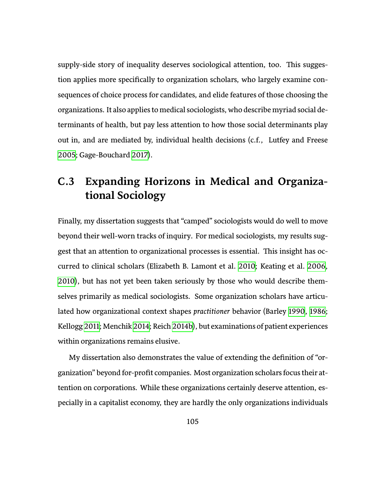supply-side story of inequality deserves sociological attention, too. This suggestion applies more specifically to organization scholars, who largely examine consequences of choice process for candidates, and elide features of those choosing the organizations. It also applies to medical sociologists, who describe myriad social determinants of health, but pay less attention to how those social determinants play out in, and are mediated by, individual health decisions (c.f., Lutfey and Freese [2005](#page-135-4); Gage-Bouchard [2017\)](#page-130-0).

## **C.3 Expanding Horizons in Medical and Organizational Sociology**

Finally, my dissertation suggests that "camped" sociologists would do well to move beyond their well-worn tracks of inquiry. For medical sociologists, my results suggest that an attention to organizational processes is essential. This insight has occurred to clinical scholars (Elizabeth B. Lamont et al. [2010](#page-133-0); Keating et al. [2006](#page-133-1), [2010\)](#page-132-0), but has not yet been taken seriously by those who would describe themselves primarily as medical sociologists. Some organization scholars have articulated how organizational context shapes *practitioner* behavior (Barley [1990,](#page-125-1) [1986;](#page-125-2) Kellogg [2011;](#page-133-2) Menchik [2014](#page-136-1); Reich [2014b\)](#page-139-1), but examinations of patient experiences within organizations remains elusive.

My dissertation also demonstrates the value of extending the definition of "organization" beyond for-profit companies. Most organization scholars focus their attention on corporations. While these organizations certainly deserve attention, especially in a capitalist economy, they are hardly the only organizations individuals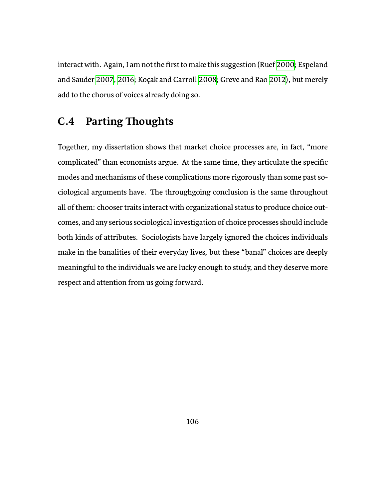interact with. Again, I am not the first to make this suggestion (Ruef [2000](#page-139-2); Espeland and Sauder [2007](#page-129-2), [2016;](#page-129-3) Koçak and Carroll [2008;](#page-133-3) Greve and Rao [2012](#page-131-1)), but merely add to the chorus of voices already doing so.

### **C.4 Parting Thoughts**

Together, my dissertation shows that market choice processes are, in fact, "more complicated" than economists argue. At the same time, they articulate the specific modes and mechanisms of these complications more rigorously than some past sociological arguments have. The throughgoing conclusion is the same throughout all of them: chooser traits interact with organizational status to produce choice outcomes, and any serious sociological investigation of choice processes should include both kinds of attributes. Sociologists have largely ignored the choices individuals make in the banalities of their everyday lives, but these "banal" choices are deeply meaningful to the individuals we are lucky enough to study, and they deserve more respect and attention from us going forward.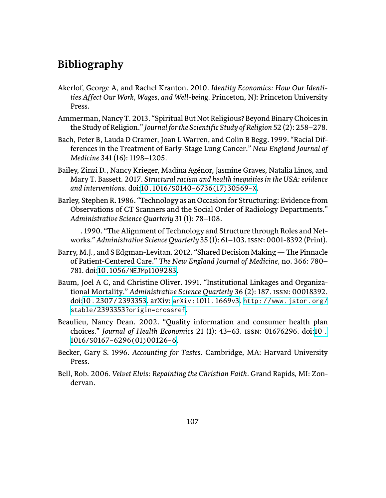## **Bibliography**

- Akerlof, George A, and Rachel Kranton. 2010. *Identity Economics: How Our Identities Affect Our Work, Wages, and Well-being.* Princeton, NJ: Princeton University Press.
- <span id="page-125-0"></span>Ammerman, Nancy T. 2013. "Spiritual But Not Religious? Beyond Binary Choices in the Study of Religion." *Journal for the Scientific Study of Religion* 52 (2): 258–278.
- Bach, Peter B, Lauda D Cramer, Joan L Warren, and Colin B Begg. 1999. "Racial Differences in the Treatment of Early-Stage Lung Cancer." *New England Journal of Medicine* 341 (16): 1198–1205.
- Bailey, Zinzi D., Nancy Krieger, Madina Agénor, Jasmine Graves, Natalia Linos, and Mary T. Bassett. 2017. *Structural racism and health inequities in the USA: evidence and interventions.* doi:10.1016/S0140-6736(17)[30569](http://dx.doi.org/10.1016/S0140-6736(17)30569-X)-X.
- <span id="page-125-2"></span>Barley, Stephen R. 1986. "Technology as an Occasion for Structuring: Evidence from Observations of CT Scanners and the Social Order of Radiology Departments." *Administrative Science Quarterly* 31 (1): 78–108.

<span id="page-125-1"></span>-. 1990. "The Alignment of Technology and Structure through Roles and Networks."*Administrative Science Quarterly* 35 (1): 61–103.issn: 0001-8392 (Print).

- Barry, M.J., and S Edgman-Levitan. 2012. "Shared Decision Making The Pinnacle of Patient-Centered Care." The New England Journal of Medicine, no. 366: 780– 781. doi:10.1056/NEJMp[1109283.](http://dx.doi.org/10.1056/NEJMp1109283)
- Baum, Joel A C, and Christine Oliver. 1991. "Institutional Linkages and Organizational Mortality." *Administrative Science Quarterly* 36 (2): 187. issn: 00018392. doi:10.2307/[2393353](http://dx.doi.org/10.2307/2393353). arXiv: [arXiv:](http://arxiv.org/abs/arXiv:1011.1669v3)1011.1669v3. [http://www.jstor.org/](http://www.jstor.org/stable/2393353?origin=crossref) stable/2393353[?origin=crossref](http://www.jstor.org/stable/2393353?origin=crossref).
- Beaulieu, Nancy Dean. 2002. "Quality information and consumer health plan choices." *Journal of Health Economics* 21 (1): 43–63. issn: 01676296. doi:[10](http://dx.doi.org/10.1016/S0167-6296(01)00126-6) . 1016/S0167-6296(01)[00126](http://dx.doi.org/10.1016/S0167-6296(01)00126-6)-6.
- Becker, Gary S. 1996. *Accounting for Tastes.* Cambridge, MA: Harvard University Press.
- Bell, Rob. 2006. *Velvet Elvis: Repainting the Christian Faith.* Grand Rapids, MI: Zondervan.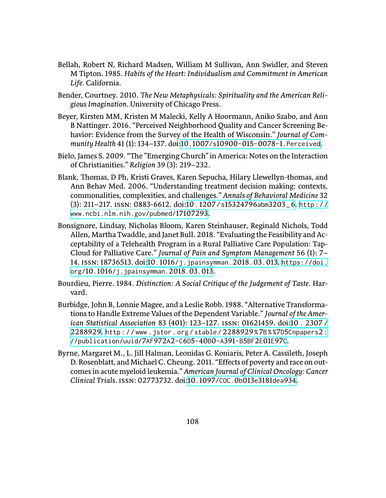- <span id="page-126-0"></span>Bellah, Robert N, Richard Madsen, William M Sullivan, Ann Swidler, and Steven M Tipton. 1985. *Habits of the Heart: Individualism and Commitment in American Life.* California.
- Bender, Courtney. 2010. The New Metaphysicals: Spirituality and the American Reli*gious Imagination.* University of Chicago Press.
- Beyer, Kirsten MM, Kristen M Malecki, Kelly A Hoormann, Aniko Szabo, and Ann B Nattinger. 2016. "Perceived Neighborhood Quality and Cancer Screening Behavior: Evidence from the Survey of the Health of Wisconsin." *Journal of Community Health* 41 (1): 134–137. doi:10.1007/s10900-015-0078-1[.Perceived](http://dx.doi.org/10.1007/s10900-015-0078-1.Perceived).
- Bielo, James S. 2009. "The "Emerging Church" in America: Notes on the Interaction of Christianities." *Religion* 39 (3): 219–232.
- Blank, Thomas, D Ph, Kristi Graves, Karen Sepucha, Hilary Llewellyn-thomas, and Ann Behav Med. 2006. "Understanding treatment decision making: contexts, commonalities, complexities, and challenges." *Annals of Behavioral Medicine* 32 (3): 211–217. issn: 0883-6612. doi:10.1207/ s[15324796](http://dx.doi.org/10.1207/s15324796abm3203_6)abm3203\_6. [http : / /](http://www.ncbi.nlm.nih.gov/pubmed/17107293) [www.ncbi.nlm.nih.gov/pubmed/](http://www.ncbi.nlm.nih.gov/pubmed/17107293)17107293.
- Bonsignore, Lindsay, Nicholas Bloom, Karen Steinhauser, Reginald Nichols, Todd Allen, Martha Twaddle, and Janet Bull. 2018. "Evaluating the Feasibility and Acceptability of a Telehealth Program in a Rural Palliative Care Population: Tap-Cloud for Palliative Care." *Journal of Pain and Symptom Management* 56 (1): 7– 14. issn: 18736513. doi:10.1016[/j.jpainsymman.](http://dx.doi.org/10.1016/j.jpainsymman.2018.03.013)2018.03.013. [https://doi.](https://doi.org/10.1016/j.jpainsymman.2018.03.013) org/10.1016[/j.jpainsymman.](https://doi.org/10.1016/j.jpainsymman.2018.03.013)2018.03.013.
- Bourdieu, Pierre. 1984. *Distinction: A Social Critique of the Judgement of Taste.* Harvard.
- Burbidge, John B, Lonnie Magee, and a Leslie Robb. 1988. "Alternative Transformations to Handle Extreme Values of the Dependent Variable." *Journal of the American Statistical Association* 83 (401): 123–127. issn: 01621459. doi:10 . [2307](http://dx.doi.org/10.2307/2288929) / [2288929](http://dx.doi.org/10.2307/2288929). [http : / / www . jstor . org / stable /](http://www.jstor.org/stable/2288929%7B%%7D5Cnpapers2://publication/uuid/7AF972A2-C6D5-40B0-A391-B5BF2E01E97C)2288929%7B % %7D5Cnpapers2: [//publication/uuid/](http://www.jstor.org/stable/2288929%7B%%7D5Cnpapers2://publication/uuid/7AF972A2-C6D5-40B0-A391-B5BF2E01E97C)7AF972A2-C6D5-40B0-A391-B5BF2E01E97C.
- Byrne, Margaret M., L. Jill Halman, Leonidas G. Koniaris, Peter A. Cassileth, Joseph D. Rosenblatt, and Michael C. Cheung. 2011. "Effects of poverty and race on outcomes in acute myeloid leukemia." *American Journal of Clinical Oncology: Cancer Clinical Trials.* issn: 02773732. doi:10.1097[/COC.](http://dx.doi.org/10.1097/COC.0b013e3181dea934)0b013e3181dea934.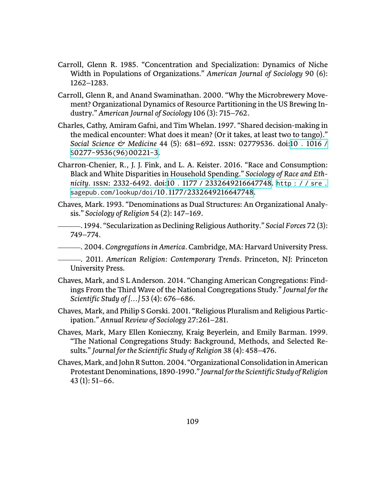- Carroll, Glenn R. 1985. "Concentration and Specialization: Dynamics of Niche Width in Populations of Organizations." *American Journal of Sociology* 90 (6): 1262–1283.
- <span id="page-127-0"></span>Carroll, Glenn R, and Anand Swaminathan. 2000. "Why the Microbrewery Movement? Organizational Dynamics of Resource Partitioning in the US Brewing Industry." *American Journal of Sociology* 106 (3): 715–762.
- Charles, Cathy, Amiram Gafni, and Tim Whelan. 1997. "Shared decision-making in the medical encounter: What does it mean? (Or it takes, at least two to tango)." *Social Science & Medicine* 44 (5): 681–692. issn: 02779536. doi:10 . [1016](http://dx.doi.org/10.1016/S0277-9536(96)00221-3) / S0277-9536(96)[00221](http://dx.doi.org/10.1016/S0277-9536(96)00221-3)-3.
- Charron-Chenier, R., J. J. Fink, and L. A. Keister. 2016. "Race and Consumption: Black and White Disparities in Household Spending." *Sociology of Race and Ethnicity.* issn: 2332-6492. doi:10 . 1177 / [2332649216647748.](http://dx.doi.org/10.1177/2332649216647748) [http : / / sre .](http://sre.sagepub.com/lookup/doi/10.1177/2332649216647748) [sagepub.com/lookup/doi/](http://sre.sagepub.com/lookup/doi/10.1177/2332649216647748)10.1177/2332649216647748.
- Chaves, Mark. 1993. "Denominations as Dual Structures: An Organizational Analysis." *Sociology of Religion* 54 (2): 147–169.
- . 1994. "Secularization as Declining Religious Authority." *Social Forces* 72 (3): 749–774.
- . 2004. *Congregations in America.* Cambridge, MA: Harvard University Press.
- . 2011. *American Religion: Contemporary Trends.* Princeton, NJ: Princeton University Press.
- Chaves, Mark, and S L Anderson. 2014. "Changing American Congregations: Findings From the Third Wave of the National Congregations Study." *Journal for the Scientific Study of {…}* 53 (4): 676–686.
- Chaves, Mark, and Philip S Gorski. 2001. "Religious Pluralism and Religious Participation." *Annual Review of Sociology* 27:261–281.
- Chaves, Mark, Mary Ellen Konieczny, Kraig Beyerlein, and Emily Barman. 1999. "The National Congregations Study: Background, Methods, and Selected Results." *Journal for the Scientific Study of Religion* 38 (4): 458–476.
- Chaves, Mark, and John R Sutton. 2004. "Organizational Consolidation in American Protestant Denominations, 1890-1990." *Journal for the Scientific Study of Religion* 43 (1): 51–66.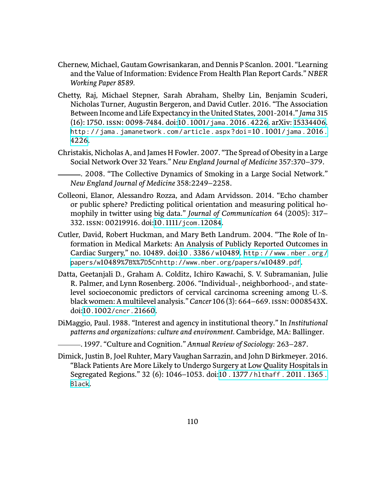- Chernew, Michael, Gautam Gowrisankaran, and Dennis P Scanlon. 2001. "Learning and the Value of Information: Evidence From Health Plan Report Cards." *NBER Working Paper 8589.*
- Chetty, Raj, Michael Stepner, Sarah Abraham, Shelby Lin, Benjamin Scuderi, Nicholas Turner, Augustin Bergeron, and David Cutler. 2016. "The Association Between Income and Life Expectancy in the United States, 2001-2014." *Jama* 315 (16): 1750. issn: 0098-7484. doi:10.1001[/jama.](http://dx.doi.org/10.1001/jama.2016.4226)2016.4226. arXiv: [15334406.](http://arxiv.org/abs/15334406) http://jama.jamanetwork.com/article.aspx?doi=10.1001/jama.2016. [4226](http://jama.jamanetwork.com/article.aspx?doi=10.1001/jama.2016.4226).
- <span id="page-128-1"></span>Christakis, Nicholas A, and James H Fowler. 2007. "The Spread of Obesity in a Large Social Network Over 32 Years." *New England Journal of Medicine* 357:370–379.

<span id="page-128-2"></span>. 2008. "ũe Collective Dynamics of Smoking in a Large Social Network." *New England Journal of Medicine* 358:2249–2258.

- Colleoni, Elanor, Alessandro Rozza, and Adam Arvidsson. 2014. "Echo chamber or public sphere? Predicting political orientation and measuring political homophily in twitter using big data." *Journal of Communication* 64 (2005): 317– 332. issn: 00219916. doi:10.1111[/jcom.](http://dx.doi.org/10.1111/jcom.12084)12084.
- Cutler, David, Robert Huckman, and Mary Beth Landrum. 2004. "The Role of Information in Medical Markets: An Analysis of Publicly Reported Outcomes in Cardiac Surgery," no. 10489. doi:10. 3386/ w[10489](http://dx.doi.org/10.3386/w10489). [http : / / www . nber . org /](http://www.nber.org/papers/w10489%7B%%7D5Cnhttp://www.nber.org/papers/w10489.pdf) papers/w10489%7B%%7D5[Cnhttp://www.nber.org/papers/w](http://www.nber.org/papers/w10489%7B%%7D5Cnhttp://www.nber.org/papers/w10489.pdf)10489.pdf.
- Datta, Geetanjali D., Graham A. Colditz, Ichiro Kawachi, S. V. Subramanian, Julie R. Palmer, and Lynn Rosenberg. 2006. "Individual-, neighborhood-, and statelevel socioeconomic predictors of cervical carcinoma screening among U.-S. black women: A multilevel analysis."*Cancer* 106 (3): 664–669.issn: 0008543X. doi:10.1002[/cncr.](http://dx.doi.org/10.1002/cncr.21660)21660.
- <span id="page-128-0"></span>DiMaggio, Paul. 1988. "Interest and agency in institutional theory." In *Institutional* patterns and organizations: culture and environment. Cambridge, MA: Ballinger.
- . 1997. "Culture and Cognition." *Annual Review of Sociology:* 263–287.
- Dimick, Justin B, Joel Ruhter, Mary Vaughan Sarrazin, and John D Birkmeyer. 2016. "Black Patients Are More Likely to Undergo Surgery at Low Quality Hospitals in Segregated Regions." 32 (6): 1046–1053. doi:10. 1377 [/ hlthaff .](http://dx.doi.org/10.1377/hlthaff.2011.1365.Black)2011 . 1365 . [Black](http://dx.doi.org/10.1377/hlthaff.2011.1365.Black).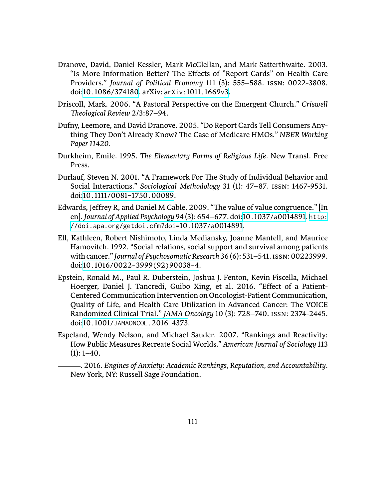- Dranove, David, Daniel Kessler, Mark McClellan, and Mark Satterthwaite. 2003. "Is More Information Better? The Effects of "Report Cards" on Health Care Providers." *Journal of Political Economy* 111 (3): 555–588. issn: 0022-3808. doi:10.1086/[374180](http://dx.doi.org/10.1086/374180). arXiv: [arXiv:](http://arxiv.org/abs/arXiv:1011.1669v3)1011.1669v3.
- Driscoll, Mark. 2006. "A Pastoral Perspective on the Emergent Church." *Criswell ũeological Review* 2/3:87–94.
- Dufny, Leemore, and David Dranove. 2005. "Do Report Cards Tell Consumers Anything They Don't Already Know? The Case of Medicare HMOs." *NBER Working Paper 11420.*
- <span id="page-129-0"></span>Durkheim, Emile. 1995. *The Elementary Forms of Religious Life*. New Transl. Free Press.
- <span id="page-129-1"></span>Durlauf, Steven N. 2001. "A Framework For The Study of Individual Behavior and Social Interactions." *Sociological Methodology* 31 (1): 47–87. issn: 1467-9531. doi:10.1111/0081-1750.[00089.](http://dx.doi.org/10.1111/0081-1750.00089)
- Edwards, Jeffrey R, and Daniel M Cable. 2009. "The value of value congruence." [In en].*Journal of Applied Psychology* 94 (3): 654–677. doi:10.1037/a[0014891](http://dx.doi.org/10.1037/a0014891). [http:](http://doi.apa.org/getdoi.cfm?doi=10.1037/a0014891) [//doi.apa.org/getdoi.cfm?doi=](http://doi.apa.org/getdoi.cfm?doi=10.1037/a0014891)10.1037/a0014891.
- Ell, Kathleen, Robert Nishimoto, Linda Mediansky, Joanne Mantell, and Maurice Hamovitch. 1992. "Social relations, social support and survival among patients with cancer." *Journal of Psychosomatic Research* 36 (6): 531–541.issn: 00223999. doi:10.1016/0022-3999(92)[90038](http://dx.doi.org/10.1016/0022-3999(92)90038-4)-4.
- Epstein, Ronald M., Paul R. Duberstein, Joshua J. Fenton, Kevin Fiscella, Michael Hoerger, Daniel J. Tancredi, Guibo Xing, et al. 2016. "Effect of a Patient-Centered Communication Intervention on Oncologist-Patient Communication, Quality of Life, and Health Care Utilization in Advanced Cancer: The VOICE Randomized Clinical Trial." *JAMA Oncology* 10 (3): 728–740. issn: 2374-2445. doi:10.1001[/JAMAONCOL.](http://dx.doi.org/10.1001/JAMAONCOL.2016.4373)2016.4373.
- <span id="page-129-3"></span><span id="page-129-2"></span>Espeland, Wendy Nelson, and Michael Sauder. 2007. "Rankings and Reactivity: How Public Measures Recreate Social Worlds." *American Journal of Sociology* 113  $(1): 1-40.$ 
	- . 2016. *Engines of Anxiety: Academic Rankings, Reputation, and Accountability.* New York, NY: Russell Sage Foundation.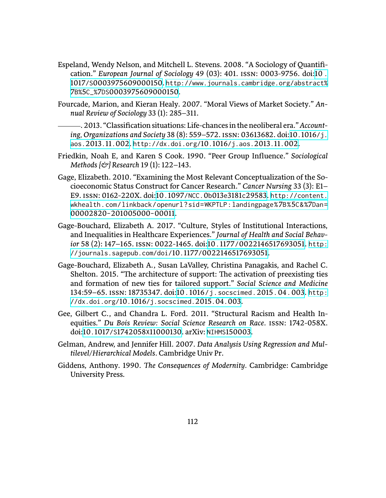- Espeland, Wendy Nelson, and Mitchell L. Stevens. 2008. "A Sociology of Quantification." *European Journal of Sociology* 49 (03): 401. issn: 0003-9756. doi[:10](http://dx.doi.org/10.1017/S0003975609000150) . 1017/S[0003975609000150.](http://dx.doi.org/10.1017/S0003975609000150) [http://www.journals.cambridge.org/abstract%](http://www.journals.cambridge.org/abstract%7B%5C_%7DS0003975609000150) 7B%5C\_%7DS[0003975609000150](http://www.journals.cambridge.org/abstract%7B%5C_%7DS0003975609000150).
- <span id="page-130-2"></span>Fourcade, Marion, and Kieran Healy. 2007. "Moral Views of Market Society." *Annual Review of Sociology* 33 (1): 285–311.
	- . 2013. "Classification situations: Life-chances in the neoliberal era."*Accounting, Organizations and Society* 38 (8): 559–572. issn: 03613682. doi:10.[1016](http://dx.doi.org/10.1016/j.aos.2013.11.002)/j. aos.[2013](http://dx.doi.org/10.1016/j.aos.2013.11.002).11.002. [http://dx.doi.org/](http://dx.doi.org/10.1016/j.aos.2013.11.002)10.1016/j.aos.2013.11.002.
- <span id="page-130-1"></span>Friedkin, Noah E, and Karen S Cook. 1990. "Peer Group Influence." *Sociological Methods {&} Research* 19 (1): 122–143.
- Gage, Elizabeth. 2010. "Examining the Most Relevant Conceptualization of the Socioeconomic Status Construct for Cancer Research." *Cancer Nursing* 33 (3): E1– E9. issn: 0162-220X. doi:10.1097/NCC.0b013e3181c[29583](http://dx.doi.org/10.1097/NCC.0b013e3181c29583). [http://content.](http://content.wkhealth.com/linkback/openurl?sid=WKPTLP:landingpage%7B%5C&%7Dan=00002820-201005000-00011) [wkhealth.com/linkback/openurl?sid=WKPTLP:landingpage%](http://content.wkhealth.com/linkback/openurl?sid=WKPTLP:landingpage%7B%5C&%7Dan=00002820-201005000-00011)7B%5C&%7Dan= 00002820-[201005000](http://content.wkhealth.com/linkback/openurl?sid=WKPTLP:landingpage%7B%5C&%7Dan=00002820-201005000-00011)-00011.
- <span id="page-130-0"></span>Gage-Bouchard, Elizabeth A. 2017. "Culture, Styles of Institutional Interactions, and Inequalities in Healthcare Experiences." *Journal of Health and Social Behavior* 58 (2): 147–165. issn: 0022-1465. doi:10.1177/[0022146517693051](http://dx.doi.org/10.1177/0022146517693051). [http:](http://journals.sagepub.com/doi/10.1177/0022146517693051) [//journals.sagepub.com/doi/](http://journals.sagepub.com/doi/10.1177/0022146517693051)10.1177/0022146517693051.
- Gage-Bouchard, Elizabeth A., Susan LaValley, Christina Panagakis, and Rachel C. Shelton. 2015. "The architecture of support: The activation of preexisting ties and formation of new ties for tailored support." *Social Science and Medicine* 134:59–65. issn: 18735347. doi:10.1016[/j.socscimed.](http://dx.doi.org/10.1016/j.socscimed.2015.04.003)2015.04.003. [http:](http://dx.doi.org/10.1016/j.socscimed.2015.04.003) //dx.doi.org/10.1016[/j.socscimed.](http://dx.doi.org/10.1016/j.socscimed.2015.04.003)2015.04.003.
- Gee, Gilbert C., and Chandra L. Ford. 2011. "Structural Racism and Health Inequities." *Du Bois Review: Social Science Research on Race.* issn: 1742-058X. doi:10.1017/S1742058X[11000130](http://dx.doi.org/10.1017/S1742058X11000130). arXiv: NIHMS[150003.](http://arxiv.org/abs/NIHMS150003)
- Gelman, Andrew, and Jennifer Hill. 2007. *Data Analysis Using Regression and Multilevel/Hierarchical Models.* Cambridge Univ Pr.
- Giddens, Anthony. 1990. *The Consequences of Modernity*. Cambridge: Cambridge University Press.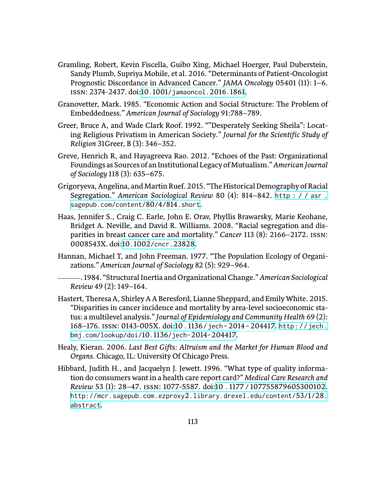- Gramling, Robert, Kevin Fiscella, Guibo Xing, Michael Hoerger, Paul Duberstein, Sandy Plumb, Supriya Mohile, et al. 2016. "Determinants of Patient-Oncologist Prognostic Discordance in Advanced Cancer." *JAMA Oncology* 05401 (11): 1–6. issn: 2374-2437. doi:10.1001[/jamaoncol.](http://dx.doi.org/10.1001/jamaoncol.2016.1861)2016.1861.
- <span id="page-131-0"></span>Granovetter, Mark. 1985. "Economic Action and Social Structure: The Problem of Embeddedness." *American Journal of Sociology* 91:788–789.
- Greer, Bruce A, and Wade Clark Roof. 1992. ""Desperately Seeking Sheila": Locating Religious Privatism in American Society." *Journal for the Scientific Study of Religion* 31Greer, B (3): 346–352.
- <span id="page-131-1"></span>Greve, Henrich R, and Hayagreeva Rao. 2012. "Echoes of the Past: Organizational Foundings as Sources of an Institutional Legacy of Mutualism."*American Journal of Sociology* 118 (3): 635–675.
- Grigoryeva, Angelina, and Martin Ruef. 2015. "The Historical Demography of Racial Segregation." *American Sociological Review* 80 (4): 814–842. [http : / / asr .](http://asr.sagepub.com/content/80/4/814.short) [sagepub.com/content/](http://asr.sagepub.com/content/80/4/814.short)80/4/814.short.
- Haas, Jennifer S., Craig C. Earle, John E. Orav, Phyllis Brawarsky, Marie Keohane, Bridget A. Neville, and David R. Williams. 2008. "Racial segregation and disparities in breast cancer care and mortality." *Cancer* 113 (8): 2166–2172. issn: 0008543X. doi:10.1002[/cncr.](http://dx.doi.org/10.1002/cncr.23828)23828.
- Hannan, Michael T, and John Freeman. 1977. "The Population Ecology of Organizations." *American Journal of Sociology* 82 (5): 929–964.

. 1984. "Structural Inertia and Organizational Change." *American Sociological Review* 49 (2): 149–164.

- Hastert, Theresa A, Shirley A A Beresford, Lianne Sheppard, and Emily White. 2015. "Disparities in cancer incidence and mortality by area-level socioeconomic status: a multilevel analysis." *Journal of Epidemiology and Community Health* 69 (2): 168–176. issn: 0143-005X. doi:10.1136/jech-2014-[204417](http://dx.doi.org/10.1136/jech-2014-204417). [http: / /jech .](http://jech.bmj.com/lookup/doi/10.1136/jech-2014-204417) [bmj.com/lookup/doi/](http://jech.bmj.com/lookup/doi/10.1136/jech-2014-204417)10.1136/jech-2014-204417.
- Healy, Kieran. 2006. *Last Best GiŘs: Altruism and the Market for Human Blood and Organs.* Chicago, IL: University Of Chicago Press.
- Hibbard, Judith H., and Jacquelyn J. Jewett. 1996. "What type of quality information do consumers want in a health care report card?" *Medical Care Research and Review* 53 (1): 28–47. issn: 1077-5587. doi:10 . 1177 / [107755879605300102.](http://dx.doi.org/10.1177/107755879605300102) [http://mcr.sagepub.com.ezproxy](http://mcr.sagepub.com.ezproxy2.library.drexel.edu/content/53/1/28.abstract)2.library.drexel.edu/content/53/1/28. [abstract](http://mcr.sagepub.com.ezproxy2.library.drexel.edu/content/53/1/28.abstract).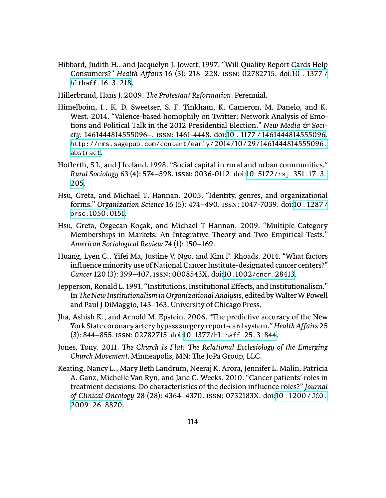- Hibbard, Judith H., and Jacquelyn J. Jowett. 1997. "Will Quality Report Cards Help Consumers?" *Health Affairs* 16 (3): 218–228. issn: 02782715. doi:10 . [1377](http://dx.doi.org/10.1377/hlthaff.16.3.218) / [hlthaff.](http://dx.doi.org/10.1377/hlthaff.16.3.218)16.3.218.
- Hillerbrand, Hans J. 2009. *The Protestant Reformation*. Perennial.
- Himelboim, I., K. D. Sweetser, S. F. Tinkham, K. Cameron, M. Danelo, and K. West. 2014. "Valence-based homophily on Twitter: Network Analysis of Emotions and Political Talk in the 2012 Presidential Election." *New Media & Society:* 1461444814555096–. issn: 1461-4448. doi:10 . 1177 / [1461444814555096.](http://dx.doi.org/10.1177/1461444814555096) [http://nms.sagepub.com/content/early/](http://nms.sagepub.com/content/early/2014/10/29/1461444814555096.abstract)2014/10/29/1461444814555096. [abstract](http://nms.sagepub.com/content/early/2014/10/29/1461444814555096.abstract).
- Hofferth, S L, and J Iceland. 1998. "Social capital in rural and urban communities." *Rural Sociology* 63 (4): 574–598. issn: 0036-0112. doi:10.5172[/rsj.](http://dx.doi.org/10.5172/rsj.351.17.3.205)351.17.3. [205.](http://dx.doi.org/10.5172/rsj.351.17.3.205)
- Hsu, Greta, and Michael T. Hannan. 2005. "Identity, genres, and organizational forms." *Organization Science* 16 (5): 474–490. issn: 1047-7039. doi:10. [1287](http://dx.doi.org/10.1287/orsc.1050.0151)/ [orsc.](http://dx.doi.org/10.1287/orsc.1050.0151)1050.0151.
- Hsu, Greta, Özgecan Koçak, and Michael T Hannan. 2009. "Multiple Category Memberships in Markets: An Integrative Theory and Two Empirical Tests." *American Sociological Review* 74 (1): 150–169.
- Huang, Lyen C., Yifei Ma, Justine V. Ngo, and Kim F. Rhoads. 2014. "What factors influence minority use of National Cancer Institute-designated cancer centers?" *Cancer* 120 (3): 399–407. issn: 0008543X. doi:10.1002[/cncr.](http://dx.doi.org/10.1002/cncr.28413)28413.
- Jepperson, Ronald L. 1991. "Institutions, Institutional Effects, and Institutionalism." In*ũe New Institutionalism in Organizational Analysis,* edited by Walter W Powell and Paul J DiMaggio, 143–163. University of Chicago Press.
- Jha, Ashish K., and Arnold M. Epstein. 2006. "The predictive accuracy of the New York State coronary artery bypass surgery report-card system."*Health Affairs*25 (3): 844–855. issn: 02782715. doi:10.1377[/hlthaff.](http://dx.doi.org/10.1377/hlthaff.25.3.844)25.3.844.
- Jones, Tony. 2011. *The Church Is Flat: The Relational Ecclesiology of the Emerging Church Movement.* Minneapolis, MN: The JoPa Group, LLC.
- <span id="page-132-0"></span>Keating, Nancy L., Mary Beth Landrum, Neeraj K. Arora, Jennifer L. Malin, Patricia A. Ganz, Michelle Van Ryn, and Jane C. Weeks. 2010. "Cancer patients' roles in treatment decisions: Do characteristics of the decision influence roles?" *Journal of Clinical Oncology* 28 (28): 4364–4370. issn: 0732183X. doi:10. 1200[/ JCO .](http://dx.doi.org/10.1200/JCO.2009.26.8870) [2009](http://dx.doi.org/10.1200/JCO.2009.26.8870).26.8870.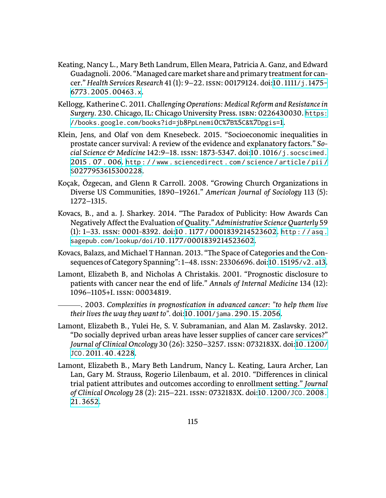- <span id="page-133-1"></span>Keating, Nancy L., Mary Beth Landrum, Ellen Meara, Patricia A. Ganz, and Edward Guadagnoli. 2006. "Managed care market share and primary treatment for cancer." *Health Services Research* 41 (1): 9–22. issn: 00179124. doi:10.1111/j.[1475](http://dx.doi.org/10.1111/j.1475-6773.2005.00463.x)- 6773.2005.[00463](http://dx.doi.org/10.1111/j.1475-6773.2005.00463.x).x.
- <span id="page-133-2"></span>Kellogg, Katherine C. 2011.*Challenging Operations: Medical Reform and Resistance in Surgery.* 230. Chicago, IL: Chicago University Press. isbn: 0226430030. [https:](https://books.google.com/books?id=jb8PpLnemi0C%7B%5C&%7Dpgis=1) [//books.google.com/books?id=jb](https://books.google.com/books?id=jb8PpLnemi0C%7B%5C&%7Dpgis=1)8PpLnemi0C%7B%5C&%7Dpgis=1.
- Klein, Jens, and Olaf von dem Knesebeck. 2015. "Socioeconomic inequalities in prostate cancer survival: A review of the evidence and explanatory factors." *Social Science & Medicine* 142:9–18. issn: 1873-5347. doi:10.1016[/j.socscimed.](http://dx.doi.org/10.1016/j.socscimed.2015.07.006) [2015](http://dx.doi.org/10.1016/j.socscimed.2015.07.006) . 07 . 006. [http : / / www . sciencedirect . com / science / article / pii /](http://www.sciencedirect.com/science/article/pii/S0277953615300228) S[0277953615300228](http://www.sciencedirect.com/science/article/pii/S0277953615300228).
- <span id="page-133-3"></span>Koçak, Özgecan, and Glenn R Carroll. 2008. "Growing Church Organizations in Diverse US Communities, 1890–19261." *American Journal of Sociology* 113 (5): 1272–1315.
- Kovacs, B., and a. J. Sharkey. 2014. "The Paradox of Publicity: How Awards Can Negatively Affect the Evaluation of Quality." *Administrative Science Quarterly* 59 (1): 1–33. issn: 0001-8392. doi:10. 1177 /[0001839214523602](http://dx.doi.org/10.1177/0001839214523602). [http : / / asq .](http://asq.sagepub.com/lookup/doi/10.1177/0001839214523602) [sagepub.com/lookup/doi/](http://asq.sagepub.com/lookup/doi/10.1177/0001839214523602)10.1177/0001839214523602.
- Kovacs, Balazs, and Michael T Hannan. 2013. "The Space of Categories and the Con-sequences of Category Spanning": 1–48. ISSN: 23306696. doi:10.[15195](http://dx.doi.org/10.15195/v2.a13)/v2. a13.
- Lamont, Elizabeth B, and Nicholas A Christakis. 2001. "Prognostic disclosure to patients with cancer near the end of life." *Annals of Internal Medicine* 134 (12): 1096–1105+I. issn: 00034819.

. 2003. *Complexities in prognostication in advanced cancer: "to help them live their lives the way they want to".* doi:10.1001[/jama.](http://dx.doi.org/10.1001/jama.290.15.2056)290.15.2056.

- Lamont, Elizabeth B., Yulei He, S. V. Subramanian, and Alan M. Zaslavsky. 2012. "Do socially deprived urban areas have lesser supplies of cancer care services?" *Journal of Clinical Oncology* 30 (26): 3250–3257. issn: 0732183X. doi:10.[1200](http://dx.doi.org/10.1200/JCO.2011.40.4228)/ JCO.2011.40.[4228](http://dx.doi.org/10.1200/JCO.2011.40.4228).
- <span id="page-133-0"></span>Lamont, Elizabeth B., Mary Beth Landrum, Nancy L. Keating, Laura Archer, Lan Lan, Gary M. Strauss, Rogerio Lilenbaum, et al. 2010. "Differences in clinical trial patient attributes and outcomes according to enrollment setting." *Journal of Clinical Oncology* 28 (2): 215–221. issn: 0732183X. doi:10.1200[/JCO.](http://dx.doi.org/10.1200/JCO.2008.21.3652)2008. 21.[3652.](http://dx.doi.org/10.1200/JCO.2008.21.3652)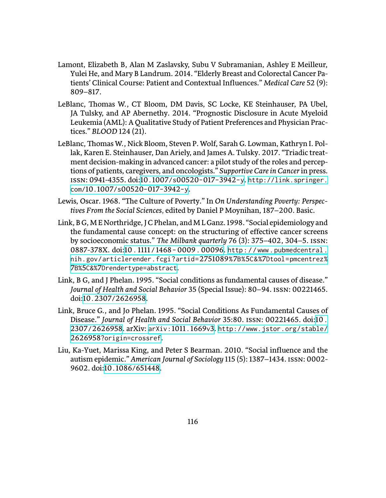- Lamont, Elizabeth B, Alan M Zaslavsky, Subu V Subramanian, Ashley E Meilleur, Yulei He, and Mary B Landrum. 2014. "Elderly Breast and Colorectal Cancer Patients' Clinical Course: Patient and Contextual Influences." *Medical Care* 52 (9): 809–817.
- LeBlanc, Thomas W., CT Bloom, DM Davis, SC Locke, KE Steinhauser, PA Ubel, JA Tulsky, and AP Abernethy. 2014. "Prognostic Disclosure in Acute Myeloid Leukemia (AML): A Qualitative Study of Patient Preferences and Physician Practices." *BLOOD* 124 (21).
- LeBlanc, Thomas W., Nick Bloom, Steven P. Wolf, Sarah G. Lowman, Kathryn I. Pollak, Karen E. Steinhauser, Dan Ariely, and James A. Tulsky. 2017. "Triadic treatment decision-making in advanced cancer: a pilot study of the roles and perceptions of patients, caregivers, and oncologists." *Supportive Care in Cancer* in press. issn: 0941-4355. doi:10.1007/s[00520](http://dx.doi.org/10.1007/s00520-017-3942-y)-017-3942-y. [http://link.springer.](http://link.springer.com/10.1007/s00520-017-3942-y) com/10.1007/s[00520](http://link.springer.com/10.1007/s00520-017-3942-y)-017-3942-y.
- <span id="page-134-1"></span>Lewis, Oscar. 1968. "The Culture of Poverty." In *On Understanding Poverty: Perspectives From the Social Sciences,* edited by Daniel P Moynihan, 187–200. Basic.
- Link, B G, M E Northridge, J C Phelan, and M L Ganz. 1998. "Social epidemiology and the fundamental cause concept: on the structuring of effective cancer screens by socioeconomic status." *The Milbank quarterly* 76 (3): 375–402, 304–5. ISSN: 0887-378X. doi:10.1111/1468-0009.[00096.](http://dx.doi.org/10.1111/1468-0009.00096)http://www.pubmedcentral. [nih.gov/articlerender.fcgi?artid=](http://www.pubmedcentral.nih.gov/articlerender.fcgi?artid=2751089%7B%5C&%7Dtool=pmcentrez%7B%5C&%7Drendertype=abstract)2751089%7B%5C&%7Dtool=pmcentrez% 7B%5C&%7[Drendertype=abstract](http://www.pubmedcentral.nih.gov/articlerender.fcgi?artid=2751089%7B%5C&%7Dtool=pmcentrez%7B%5C&%7Drendertype=abstract).
- Link, B G, and J Phelan. 1995. "Social conditions as fundamental causes of disease." *Journal of Health and Social Behavior* 35 (Special Issue): 80–94. issn: 00221465. doi:10.2307/[2626958](http://dx.doi.org/10.2307/2626958).
- Link, Bruce G., and Jo Phelan. 1995. "Social Conditions As Fundamental Causes of Disease." *Journal of Health and Social Behavior* 35:80. issn: 00221465. doi:[10](http://dx.doi.org/10.2307/2626958). 2307/[2626958](http://dx.doi.org/10.2307/2626958). arXiv: [arXiv:](http://arxiv.org/abs/arXiv:1011.1669v3)1011.1669v3. [http://www.jstor.org/stable/](http://www.jstor.org/stable/2626958?origin=crossref) 2626958[?origin=crossref](http://www.jstor.org/stable/2626958?origin=crossref).
- <span id="page-134-0"></span>Liu, Ka-Yuet, Marissa King, and Peter S Bearman. 2010. "Social influence and the autism epidemic." *American Journal of Sociology* 115 (5): 1387–1434. issn: 0002- 9602. doi:10.1086/[651448](http://dx.doi.org/10.1086/651448).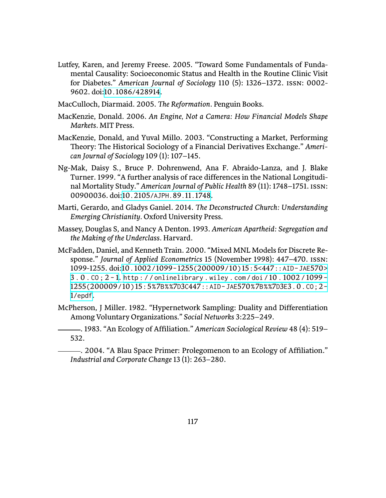- <span id="page-135-4"></span>Lutfey, Karen, and Jeremy Freese. 2005. "Toward Some Fundamentals of Fundamental Causality: Socioeconomic Status and Health in the Routine Clinic Visit for Diabetes." *American Journal of Sociology* 110 (5): 1326–1372. issn: 0002- 9602. doi:10.1086/[428914.](http://dx.doi.org/10.1086/428914)
- MacCulloch, Diarmaid. 2005. *The Reformation*. Penguin Books.
- <span id="page-135-2"></span>MacKenzie, Donald. 2006. *An Engine, Not a Camera: How Financial Models Shape Markets.* MIT Press.
- <span id="page-135-1"></span>MacKenzie, Donald, and Yuval Millo. 2003. "Constructing a Market, Performing Theory: The Historical Sociology of a Financial Derivatives Exchange." *American Journal of Sociology* 109 (1): 107–145.
- Ng-Mak, Daisy S., Bruce P. Dohrenwend, Ana F. Abraido-Lanza, and J. Blake Turner. 1999. "A further analysis of race differences in the National Longitudinal Mortality Study." *American Journal of Public Health* 89 (11): 1748–1751. issn: 00900036. doi:10.2105[/AJPH.](http://dx.doi.org/10.2105/AJPH.89.11.1748)89.11.1748.
- <span id="page-135-0"></span>Marti, Gerardo, and Gladys Ganiel. 2014. *The Deconstructed Church: Understanding Emerging Christianity.* Oxford University Press.
- Massey, Douglas S, and Nancy A Denton. 1993. *American Apartheid: Segregation and the Making of the Underclass.* Harvard.
- McFadden, Daniel, and Kenneth Train. 2000. "Mixed MNL Models for Discrete Response." *Journal of Applied Econometrics* 15 (November 1998): 447–470. issn: 1099-1255. doi:10.1002/1099-1255(200009/10)15:5<447[::AID- JAE](http://dx.doi.org/10.1002/1099-1255(200009/10)15:5<447::AID-JAE570>3.0.CO;2-1)570> 3 . 0 [. CO ;](http://dx.doi.org/10.1002/1099-1255(200009/10)15:5<447::AID-JAE570>3.0.CO;2-1) 2 - 1. [http : / / onlinelibrary . wiley . com / doi /](http://onlinelibrary.wiley.com/doi/10.1002/1099-1255(200009/10)15:5%7B%%7D3C447::AID-JAE570%7B%%7D3E3.0.CO;2-1/epdf) 10 . 1002 / 1099 - 1255(200009/10)15:5%7B%%7D3C447[::AID- JAE](http://onlinelibrary.wiley.com/doi/10.1002/1099-1255(200009/10)15:5%7B%%7D3C447::AID-JAE570%7B%%7D3E3.0.CO;2-1/epdf)570%7B%%7D3E3.0.CO;2- 1[/epdf](http://onlinelibrary.wiley.com/doi/10.1002/1099-1255(200009/10)15:5%7B%%7D3C447::AID-JAE570%7B%%7D3E3.0.CO;2-1/epdf).
- McPherson, J Miller. 1982. "Hypernetwork Sampling: Duality and Differentiation Among Voluntary Organizations." *Social Networks* 3:225–249.
- <span id="page-135-3"></span>. 1983. "An Ecology of Affiliation." *American Sociological Review* 48 (4): 519– 532.

. 2004. "A Blau Space Primer: Prolegomenon to an Ecology of Affiliation." *Industrial and Corporate Change* 13 (1): 263–280.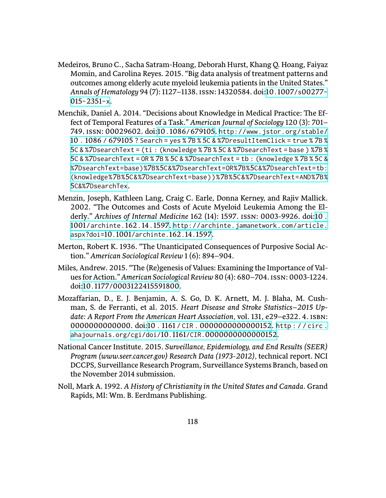- Medeiros, Bruno C., Sacha Satram-Hoang, Deborah Hurst, Khang Q. Hoang, Faiyaz Momin, and Carolina Reyes. 2015. "Big data analysis of treatment patterns and outcomes among elderly acute myeloid leukemia patients in the United States." *Annals of Hematology* 94 (7): 1127–1138. issn: 14320584. doi:10.1007/s[00277](http://dx.doi.org/10.1007/s00277-015-2351-x)- 015-[2351](http://dx.doi.org/10.1007/s00277-015-2351-x)-x.
- <span id="page-136-1"></span>Menchik, Daniel A. 2014. "Decisions about Knowledge in Medical Practice: The Effect of Temporal Features of a Task." *American Journal of Sociology* 120 (3): 701– 749. issn: 00029602. doi:10.1086/[679105](http://dx.doi.org/10.1086/679105). [http://www.jstor.org/stable/](http://www.jstor.org/stable/10.1086/679105?Search=yes%7B%5C&%7DresultItemClick=true%7B%5C&%7DsearchText=(ti:(knowledge%7B%5C&%7DsearchText=base)%7B%5C&%7DsearchText=OR%7B%5C&%7DsearchText=tb:(knowledge%7B%5C&%7DsearchText=base)%7B%5C&%7DsearchText=OR%7B%5C&%7DsearchText=tb:(knowledge%7B%5C&%7DsearchText=base))%7B%5C&%7DsearchText=AND%7B%5C&%7DsearchTex) 10 . 1086 / 679105 ? Search = yes % 7B % 5C & %7[DresultItemClick = true %](http://www.jstor.org/stable/10.1086/679105?Search=yes%7B%5C&%7DresultItemClick=true%7B%5C&%7DsearchText=(ti:(knowledge%7B%5C&%7DsearchText=base)%7B%5C&%7DsearchText=OR%7B%5C&%7DsearchText=tb:(knowledge%7B%5C&%7DsearchText=base)%7B%5C&%7DsearchText=OR%7B%5C&%7DsearchText=tb:(knowledge%7B%5C&%7DsearchText=base))%7B%5C&%7DsearchText=AND%7B%5C&%7DsearchTex) 7B % 5C & %7[DsearchText = \(ti : \(knowledge %](http://www.jstor.org/stable/10.1086/679105?Search=yes%7B%5C&%7DresultItemClick=true%7B%5C&%7DsearchText=(ti:(knowledge%7B%5C&%7DsearchText=base)%7B%5C&%7DsearchText=OR%7B%5C&%7DsearchText=tb:(knowledge%7B%5C&%7DsearchText=base)%7B%5C&%7DsearchText=OR%7B%5C&%7DsearchText=tb:(knowledge%7B%5C&%7DsearchText=base))%7B%5C&%7DsearchText=AND%7B%5C&%7DsearchTex) 7B % 5C & %7DsearchText = base ) %7B % 5C & %7DsearchText = OR % 7B % 5C & %7[DsearchText = tb : \(knowledge %](http://www.jstor.org/stable/10.1086/679105?Search=yes%7B%5C&%7DresultItemClick=true%7B%5C&%7DsearchText=(ti:(knowledge%7B%5C&%7DsearchText=base)%7B%5C&%7DsearchText=OR%7B%5C&%7DsearchText=tb:(knowledge%7B%5C&%7DsearchText=base)%7B%5C&%7DsearchText=OR%7B%5C&%7DsearchText=tb:(knowledge%7B%5C&%7DsearchText=base))%7B%5C&%7DsearchText=AND%7B%5C&%7DsearchTex) 7B % 5C & %7[DsearchText=base\)%](http://www.jstor.org/stable/10.1086/679105?Search=yes%7B%5C&%7DresultItemClick=true%7B%5C&%7DsearchText=(ti:(knowledge%7B%5C&%7DsearchText=base)%7B%5C&%7DsearchText=OR%7B%5C&%7DsearchText=tb:(knowledge%7B%5C&%7DsearchText=base)%7B%5C&%7DsearchText=OR%7B%5C&%7DsearchText=tb:(knowledge%7B%5C&%7DsearchText=base))%7B%5C&%7DsearchText=AND%7B%5C&%7DsearchTex)7B%5C&%7DsearchText=OR%7B%5C&%7DsearchText=tb: (knowledge%7B%5C&%7[DsearchText=base\)\)%](http://www.jstor.org/stable/10.1086/679105?Search=yes%7B%5C&%7DresultItemClick=true%7B%5C&%7DsearchText=(ti:(knowledge%7B%5C&%7DsearchText=base)%7B%5C&%7DsearchText=OR%7B%5C&%7DsearchText=tb:(knowledge%7B%5C&%7DsearchText=base)%7B%5C&%7DsearchText=OR%7B%5C&%7DsearchText=tb:(knowledge%7B%5C&%7DsearchText=base))%7B%5C&%7DsearchText=AND%7B%5C&%7DsearchTex)7B%5C&%7DsearchText=AND%7B% 5C&%7[DsearchTex](http://www.jstor.org/stable/10.1086/679105?Search=yes%7B%5C&%7DresultItemClick=true%7B%5C&%7DsearchText=(ti:(knowledge%7B%5C&%7DsearchText=base)%7B%5C&%7DsearchText=OR%7B%5C&%7DsearchText=tb:(knowledge%7B%5C&%7DsearchText=base)%7B%5C&%7DsearchText=OR%7B%5C&%7DsearchText=tb:(knowledge%7B%5C&%7DsearchText=base))%7B%5C&%7DsearchText=AND%7B%5C&%7DsearchTex).
- Menzin, Joseph, Kathleen Lang, Craig C. Earle, Donna Kerney, and Rajiv Mallick. 2002. "The Outcomes and Costs of Acute Myeloid Leukemia Among the Elderly." *Archives of Internal Medicine* 162 (14): 1597. issn: 0003-9926. doi:[10](http://dx.doi.org/10.1001/archinte.162.14.1597) . 1001[/archinte.](http://dx.doi.org/10.1001/archinte.162.14.1597)162.14.1597. [http://archinte.jamanetwork.com/article.](http://archinte.jamanetwork.com/article.aspx?doi=10.1001/archinte.162.14.1597) aspx?doi=10.1001[/archinte.](http://archinte.jamanetwork.com/article.aspx?doi=10.1001/archinte.162.14.1597)162.14.1597.
- Merton, Robert K. 1936. "The Unanticipated Consequences of Purposive Social Action." *American Sociological Review* 1 (6): 894–904.
- <span id="page-136-0"></span>Miles, Andrew. 2015. "The (Re)genesis of Values: Examining the Importance of Values for Action."*American Sociological Review* 80 (4): 680–704.issn: 0003-1224. doi:10.1177/[0003122415591800](http://dx.doi.org/10.1177/0003122415591800).
- Mozaffarian, D., E. J. Benjamin, A. S. Go, D. K. Arnett, M. J. Blaha, M. Cushman, S. de Ferranti, et al. 2015. *Heart Disease and Stroke Statistics–2015 Update: A Report From the American Heart Association,* vol. 131, e29–e322. 4. isbn: 0000000000000. doi:10 . 1161 / CIR . [0000000000000152.](http://dx.doi.org/10.1161/CIR.0000000000000152) [http : / / circ .](http://circ.ahajournals.org/cgi/doi/10.1161/CIR.0000000000000152) [ahajournals.org/cgi/doi/](http://circ.ahajournals.org/cgi/doi/10.1161/CIR.0000000000000152)10.1161/CIR.0000000000000152.
- National Cancer Institute. 2015. *Surveillance, Epidemiology, and End Results (SEER) Program (www.seer.cancer.gov) Research Data (1973-2012),* technical report. NCI DCCPS, Surveillance Research Program, Surveillance Systems Branch, based on the November 2014 submission.
- Noll, Mark A. 1992. *A History of Christianity in the United States and Canada.* Grand Rapids, MI: Wm. B. Eerdmans Publishing.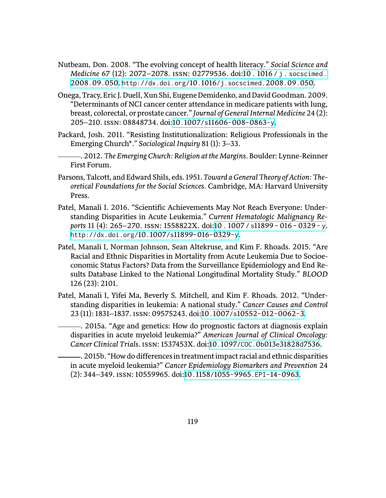- <span id="page-137-2"></span>Nutbeam, Don. 2008. "The evolving concept of health literacy." *Social Science and Medicine* 67 (12): 2072–2078. issn: 02779536. doi:10 . 1016 [/ j . socscimed .](http://dx.doi.org/10.1016/j.socscimed.2008.09.050) [2008](http://dx.doi.org/10.1016/j.socscimed.2008.09.050).09.050. [http://dx.doi.org/](http://dx.doi.org/10.1016/j.socscimed.2008.09.050)10.1016/j.socscimed.2008.09.050.
- Onega, Tracy, Eric J. Duell, Xun Shi, Eugene Demidenko, and David Goodman. 2009. "Determinants of NCI cancer center attendance in medicare patients with lung, breast, colorectal, or prostate cancer." *Journal of General Internal Medicine* 24 (2): 205–210. issn: 08848734. doi:10.1007/s[11606](http://dx.doi.org/10.1007/s11606-008-0863-y)-008-0863-y.
- <span id="page-137-0"></span>Packard, Josh. 2011. "Resisting Institutionalization: Religious Professionals in the Emerging Church\*." *Sociological Inquiry* 81 (1): 3–33.
- <span id="page-137-1"></span>. 2012.*ũe Emerging Church: Religion at the Margins.* Boulder: Lynne-Reinner First Forum.
- <span id="page-137-3"></span>Parsons, Talcott, and Edward Shils, eds. 1951. Toward a General Theory of Action: The*oretical Foundations for the Social Sciences.* Cambridge, MA: Harvard University Press.
- Patel, Manali I. 2016. "Scientific Achievements May Not Reach Everyone: Understanding Disparities in Acute Leukemia." *Current Hematologic Malignancy Reports* 11 (4): 265–270. issn: 1558822X. doi:10. 1007 / s[11899](http://dx.doi.org/10.1007/s11899-016-0329-y) - 016 - 0329 - y. [http://dx.doi.org/](http://dx.doi.org/10.1007/s11899-016-0329-y)10.1007/s11899-016-0329-y.
- Patel, Manali I, Norman Johnson, Sean Altekruse, and Kim F. Rhoads. 2015. "Are Racial and Ethnic Disparities in Mortality from Acute Leukemia Due to Socioeconomic Status Factors? Data from the Surveillance Epidemiology and End Results Database Linked to the National Longitudinal Mortality Study." *BLOOD* 126 (23): 2101.
- Patel, Manali I, Yifei Ma, Beverly S. Mitchell, and Kim F. Rhoads. 2012. "Understanding disparities in leukemia: A national study." *Cancer Causes and Control* 23 (11): 1831–1837. issn: 09575243. doi:10.1007/s[10552](http://dx.doi.org/10.1007/s10552-012-0062-3)-012-0062-3.
	- <sup>2015</sup>a. "Age and genetics: How do prognostic factors at diagnosis explain disparities in acute myeloid leukemia?" *American Journal of Clinical Oncology: Cancer Clinical Trials.* issn: 1537453X. doi:10.1097/COC.0b013e[31828](http://dx.doi.org/10.1097/COC.0b013e31828d7536)d7536.

. 2015b. "How do differences in treatment impact racial and ethnic disparities in acute myeloid leukemia?" *Cancer Epidemiology Biomarkers and Prevention* 24 (2): 344–349. issn: 10559965. doi:10.1158/1055-9965[.EPI-](http://dx.doi.org/10.1158/1055-9965.EPI-14-0963)14-0963.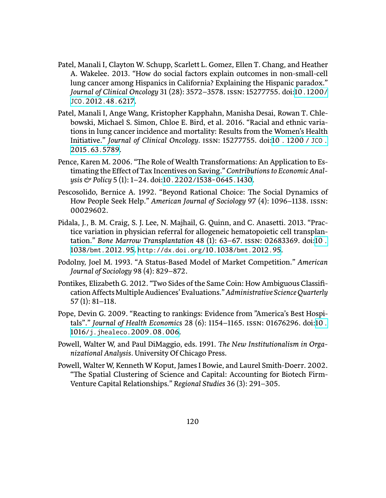- Patel, Manali I, Clayton W. Schupp, Scarlett L. Gomez, Ellen T. Chang, and Heather A. Wakelee. 2013. "How do social factors explain outcomes in non-small-cell lung cancer among Hispanics in California? Explaining the Hispanic paradox." *Journal of Clinical Oncology* 31 (28): 3572–3578. issn: 15277755. doi:10.[1200](http://dx.doi.org/10.1200/JCO.2012.48.6217)/ JCO.[2012](http://dx.doi.org/10.1200/JCO.2012.48.6217).48.6217.
- Patel, Manali I, Ange Wang, Kristopher Kapphahn, Manisha Desai, Rowan T. Chlebowski, Michael S. Simon, Chloe E. Bird, et al. 2016. "Racial and ethnic variations in lung cancer incidence and mortality: Results from the Women's Health Initiative." *Journal of Clinical Oncology.* issn: 15277755. doi:10 . 1200 [/ JCO .](http://dx.doi.org/10.1200/JCO.2015.63.5789) 2015.63.[5789](http://dx.doi.org/10.1200/JCO.2015.63.5789).
- Pence, Karen M. 2006. "The Role of Wealth Transformations: An Application to Estimating the Effect of Tax Incentives on Saving."*Contributions to Economic Analysis & Policy* 5 (1): 1–24. doi:10.[2202](http://dx.doi.org/10.2202/1538-0645.1430)/1538-0645.1430.
- <span id="page-138-2"></span>Pescosolido, Bernice A. 1992. "Beyond Rational Choice: The Social Dynamics of How People Seek Help." *American Journal of Sociology* 97 (4): 1096–1138. issn: 00029602.
- Pidala, J., B. M. Craig, S. J. Lee, N. Majhail, G. Quinn, and C. Anasetti. 2013. "Practice variation in physician referral for allogeneic hematopoietic cell transplantation." *Bone Marrow Transplantation* 48 (1): 63–67. issn: 02683369. doi:[10](http://dx.doi.org/10.1038/bmt.2012.95) . 1038[/bmt.](http://dx.doi.org/10.1038/bmt.2012.95)2012.95. [http://dx.doi.org/](http://dx.doi.org/10.1038/bmt.2012.95)10.1038/bmt.2012.95.
- Podolny, Joel M. 1993. "A Status-Based Model of Market Competition." *American Journal of Sociology* 98 (4): 829–872.
- <span id="page-138-0"></span>Pontikes, Elizabeth G. 2012. "Two Sides of the Same Coin: How Ambiguous Classification Affects Multiple Audiences' Evaluations."*Administrative Science Quarterly* 57 (1): 81–118.
- Pope, Devin G. 2009. "Reacting to rankings: Evidence from "America's Best Hospitals"." *Journal of Health Economics* 28 (6): 1154–1165. issn: 01676296. doi[:10](http://dx.doi.org/10.1016/j.jhealeco.2009.08.006). 1016[/j.jhealeco.](http://dx.doi.org/10.1016/j.jhealeco.2009.08.006)2009.08.006.
- <span id="page-138-1"></span>Powell, Walter W, and Paul DiMaggio, eds. 1991. The New Institutionalism in Orga*nizational Analysis.* University Of Chicago Press.
- Powell, Walter W, Kenneth W Koput, James I Bowie, and Laurel Smith-Doerr. 2002. "The Spatial Clustering of Science and Capital: Accounting for Biotech Firm-Venture Capital Relationships." *Regional Studies* 36 (3): 291–305.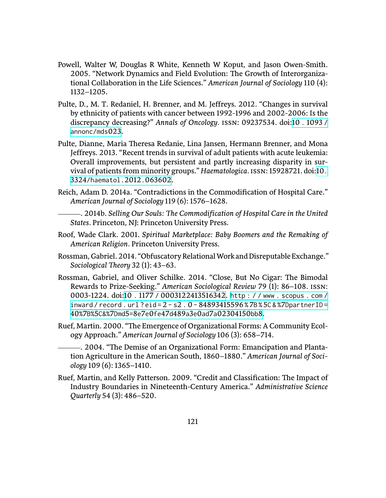- Powell, Walter W, Douglas R White, Kenneth W Koput, and Jason Owen-Smith. 2005. "Network Dynamics and Field Evolution: The Growth of Interorganizational Collaboration in the Life Sciences." *American Journal of Sociology* 110 (4): 1132–1205.
- Pulte, D., M. T. Redaniel, H. Brenner, and M. Jeffreys. 2012. "Changes in survival by ethnicity of patients with cancer between 1992-1996 and 2002-2006: Is the discrepancy decreasing?" *Annals of Oncology.* issn: 09237534. doi:10 . [1093](http://dx.doi.org/10.1093/annonc/mds023) / [annonc/mds](http://dx.doi.org/10.1093/annonc/mds023)023.
- Pulte, Dianne, Maria Theresa Redanie, Lina Jansen, Hermann Brenner, and Mona Jeffreys. 2013. "Recent trends in survival of adult patients with acute leukemia: Overall improvements, but persistent and partly increasing disparity in survival of patients from minority groups." *Haematologica.* issn: 15928721. doi:[10](http://dx.doi.org/10.3324/haematol.2012.063602). 3324[/haematol.](http://dx.doi.org/10.3324/haematol.2012.063602)2012.063602.
- <span id="page-139-1"></span>Reich, Adam D. 2014a. "Contradictions in the Commodification of Hospital Care." *American Journal of Sociology* 119 (6): 1576–1628.
	- . 2014b. *Selling Our Souls: ũe Commodification of Hospital Care in the United States.* Princeton, NJ: Princeton University Press.
- Roof, Wade Clark. 2001. *Spiritual Marketplace: Baby Boomers and the Remaking of American Religion.* Princeton University Press.
- <span id="page-139-0"></span>Rossman, Gabriel. 2014. "Obfuscatory Relational Work and Disreputable Exchange." *Sociological Theory* 32 (1): 43–63.
- Rossman, Gabriel, and Oliver Schilke. 2014. "Close, But No Cigar: The Bimodal Rewards to Prize-Seeking." *American Sociological Review* 79 (1): 86–108. issn: 0003-1224. doi:10 . 1177 / [0003122413516342](http://dx.doi.org/10.1177/0003122413516342). [http : / / www . scopus . com /](http://www.scopus.com/inward/record.url?eid=2-s2.0-84893415596%7B%5C&%7DpartnerID=40%7B%5C&%7Dmd5=8e7e0fe47d489a3e0ad7a02304150bb8) [inward / record . url ? eid =](http://www.scopus.com/inward/record.url?eid=2-s2.0-84893415596%7B%5C&%7DpartnerID=40%7B%5C&%7Dmd5=8e7e0fe47d489a3e0ad7a02304150bb8) 2 - s2 . 0- 84893415596 % 7B % 5C & %7DpartnerID = 40%7B%5C&%7Dmd5=8e7e0fe47d489a3e0ad7a[02304150](http://www.scopus.com/inward/record.url?eid=2-s2.0-84893415596%7B%5C&%7DpartnerID=40%7B%5C&%7Dmd5=8e7e0fe47d489a3e0ad7a02304150bb8)bb8.
- <span id="page-139-2"></span>Ruef, Martin. 2000. "The Emergence of Organizational Forms: A Community Ecology Approach." *American Journal of Sociology* 106 (3): 658–714.

. 2004. "The Demise of an Organizational Form: Emancipation and Plantation Agriculture in the American South, 1860–1880." *American Journal of Sociology* 109 (6): 1365–1410.

Ruef, Martin, and Kelly Patterson. 2009. "Credit and Classification: The Impact of Industry Boundaries in Nineteenth-Century America." *Administrative Science Quarterly* 54 (3): 486–520.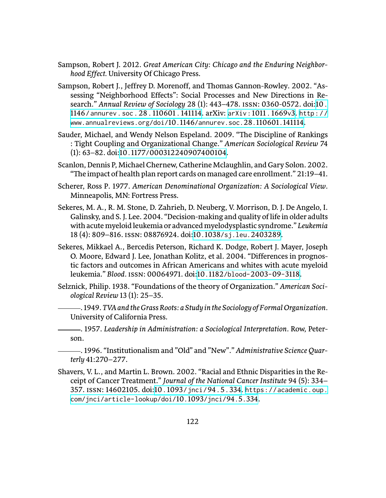- Sampson, Robert J. 2012. *Great American City: Chicago and the Enduring Neighborhood Effect.* University Of Chicago Press.
- Sampson, Robert J., Jeffrey D. Morenoff, and Thomas Gannon-Rowley. 2002. "Assessing "Neighborhood Effects": Social Processes and New Directions in Research." *Annual Review of Sociology* 28 (1): 443–478. issn: 0360-0572. doi:[10](http://dx.doi.org/10.1146/annurev.soc.28.110601.141114). 1146[/ annurev . soc .](http://dx.doi.org/10.1146/annurev.soc.28.110601.141114)28.110601.141114. arXiv: [arXiv :](http://arxiv.org/abs/arXiv:1011.1669v3)1011.1669v3. [http : / /](http://www.annualreviews.org/doi/10.1146/annurev.soc.28.110601.141114) [www.annualreviews.org/doi/](http://www.annualreviews.org/doi/10.1146/annurev.soc.28.110601.141114)10.1146/annurev.soc.28.110601.141114.
- Sauder, Michael, and Wendy Nelson Espeland. 2009. "The Discipline of Rankings : Tight Coupling and Organizational Change." *American Sociological Review* 74 (1): 63–82. doi:10.1177/[000312240907400104](http://dx.doi.org/10.1177/000312240907400104).
- Scanlon, Dennis P, Michael Chernew, Catherine Mclaughlin, and Gary Solon. 2002. "The impact of health plan report cards on managed care enrollment." 21:19–41.
- Scherer, Ross P. 1977. *American Denominational Organization: A Sociological View.* Minneapolis, MN: Fortress Press.
- Sekeres, M. A., R. M. Stone, D. Zahrieh, D. Neuberg, V. Morrison, D. J. De Angelo, I. Galinsky, and S. J. Lee. 2004. "Decision-making and quality of life in older adults with acute myeloid leukemia or advanced myelodysplastic syndrome." *Leukemia* 18 (4): 809–816. issn: 08876924. doi:10.1038/sj.leu.[2403289.](http://dx.doi.org/10.1038/sj.leu.2403289)
- Sekeres, Mikkael A., Bercedis Peterson, Richard K. Dodge, Robert J. Mayer, Joseph O. Moore, Edward J. Lee, Jonathan Kolitz, et al. 2004. "Differences in prognostic factors and outcomes in African Americans and whites with acute myeloid leukemia." *Blood.* issn: 00064971. doi:10.1182[/blood-](http://dx.doi.org/10.1182/blood-2003-09-3118)2003-09-3118.
- Selznick, Philip. 1938. "Foundations of the theory of Organization." *American Sociological Review* 13 (1): 25–35.
- . 1949.*TVA and the Grass Roots: a Study in the Sociology of Formal Organization.* University of California Press.
- . 1957. *Leadership in Administration: a Sociological Interpretation.* Row, Peterson.
	- . 1996. "Institutionalism and "Old" and "New"." *Administrative Science Quarterly* 41:270–277.
- Shavers, V. L., and Martin L. Brown. 2002. "Racial and Ethnic Disparities in the Receipt of Cancer Treatment." *Journal of the National Cancer Institute* 94 (5): 334– 357. issn: 14602105. doi:10.1093[/jnci/](http://dx.doi.org/10.1093/jnci/94.5.334)94.5.334. [https://academic.oup.](https://academic.oup.com/jnci/article-lookup/doi/10.1093/jnci/94.5.334) [com/jnci/article-lookup/doi/](https://academic.oup.com/jnci/article-lookup/doi/10.1093/jnci/94.5.334)10.1093/jnci/94.5.334.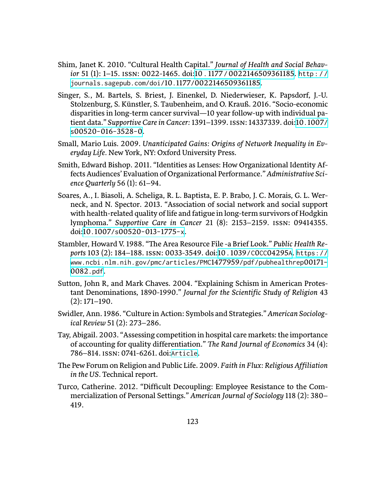- <span id="page-141-1"></span>Shim, Janet K. 2010. "Cultural Health Capital." *Journal of Health and Social Behavior* 51 (1): 1–15. issn: 0022-1465. doi:10. 1177/[0022146509361185.](http://dx.doi.org/10.1177/0022146509361185) [http : / /](http://journals.sagepub.com/doi/10.1177/0022146509361185) [journals.sagepub.com/doi/](http://journals.sagepub.com/doi/10.1177/0022146509361185)10.1177/0022146509361185.
- Singer, S., M. Bartels, S. Briest, J. Einenkel, D. Niederwieser, K. Papsdorf, J.-U. Stolzenburg, S. Künstler, S. Taubenheim, and O. Krauß. 2016. "Socio-economic disparities in long-term cancer survival—10 year follow-up with individual patient data." *Supportive Care in Cancer:* 1391–1399. issn: 14337339. doi:10.[1007](http://dx.doi.org/10.1007/s00520-016-3528-0)/ s[00520](http://dx.doi.org/10.1007/s00520-016-3528-0)-016-3528-0.
- Small, Mario Luis. 2009. *Unanticipated Gains: Origins of Network Inequality in Everyday Life.* New York, NY: Oxford University Press.
- <span id="page-141-0"></span>Smith, Edward Bishop. 2011. "Identities as Lenses: How Organizational Identity Affects Audiences' Evaluation of Organizational Performance." *Administrative Science Quarterly* 56 (1): 61–94.
- Soares, A., I. Biasoli, A. Scheliga, R. L. Baptista, E. P. Brabo, J. C. Morais, G. L. Werneck, and N. Spector. 2013. "Association of social network and social support with health-related quality of life and fatigue in long-term survivors of Hodgkin lymphoma." *Supportive Care in Cancer* 21 (8): 2153–2159. issn: 09414355. doi:10.1007/s[00520](http://dx.doi.org/10.1007/s00520-013-1775-x)-013-1775-x.
- Stambler, Howard V. 1988. "The Area Resource File -a Brief Look." Public Health Re*ports* 103 (2): 184–188. issn: 0033-3549. doi:10.1039/C0CC[04295](http://dx.doi.org/10.1039/C0CC04295A)A. [https://](https://www.ncbi.nlm.nih.gov/pmc/articles/PMC1477959/pdf/pubhealthrep00171-0082.pdf) [www.ncbi.nlm.nih.gov/pmc/articles/PMC](https://www.ncbi.nlm.nih.gov/pmc/articles/PMC1477959/pdf/pubhealthrep00171-0082.pdf)1477959/pdf/pubhealthrep00171- [0082](https://www.ncbi.nlm.nih.gov/pmc/articles/PMC1477959/pdf/pubhealthrep00171-0082.pdf).pdf.
- Sutton, John R, and Mark Chaves. 2004. "Explaining Schism in American Protestant Denominations, 1890-1990." *Journal for the Scientific Study of Religion* 43 (2): 171–190.
- <span id="page-141-2"></span>Swidler, Ann. 1986. "Culture in Action: Symbols and Strategies." *American Sociological Review* 51 (2): 273–286.
- Tay, Abigail. 2003. "Assessing competition in hospital care markets: the importance of accounting for quality differentiation." The Rand Journal of Economics 34 (4): 786–814. issn: 0741-6261. doi:[Article](http://dx.doi.org/Article).
- ũe Pew Forum on Religion and Public Life. 2009. *Faith in Flux: Religious Affiliation in the US.* Technical report.
- Turco, Catherine. 2012. "Difficult Decoupling: Employee Resistance to the Commercialization of Personal Settings." *American Journal of Sociology* 118 (2): 380– 419.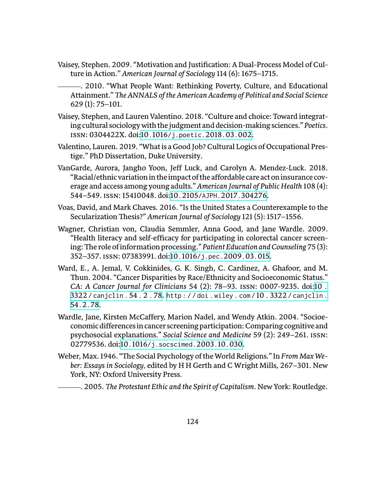<span id="page-142-2"></span>Vaisey, Stephen. 2009. "Motivation and Justification: A Dual-Process Model of Culture in Action." *American Journal of Sociology* 114 (6): 1675–1715.

<span id="page-142-3"></span>. 2010. "What People Want: Rethinking Poverty, Culture, and Educational Attainment." The ANNALS of the American Academy of Political and Social Science 629 (1): 75–101.

- <span id="page-142-1"></span>Vaisey, Stephen, and Lauren Valentino. 2018. "Culture and choice: Toward integrating cultural sociology with the judgment and decision-making sciences." *Poetics.* issn: 0304422X. doi:10.1016[/j.poetic.](http://dx.doi.org/10.1016/j.poetic.2018.03.002)2018.03.002.
- Valentino, Lauren. 2019. "What is a Good Job? Cultural Logics of Occupational Prestige." PhD Dissertation, Duke University.
- VanGarde, Aurora, Jangho Yoon, Jeff Luck, and Carolyn A. Mendez-Luck. 2018. "Racial/ethnic variation in the impact of the affordable care act on insurance coverage and access among young adults." *American Journal of Public Health* 108 (4): 544–549. issn: 15410048. doi:10.2105/AJPH.2017.[304276](http://dx.doi.org/10.2105/AJPH.2017.304276).
- Voas, David, and Mark Chaves. 2016. "Is the United States a Counterexample to the Secularization Thesis?" American Journal of Sociology 121 (5): 1517–1556.
- <span id="page-142-0"></span>Wagner, Christian von, Claudia Semmler, Anna Good, and Jane Wardle. 2009. "Health literacy and self-efficacy for participating in colorectal cancer screening: The role of information processing." *Patient Education and Counseling* 75(3): 352–357. issn: 07383991. doi:10.1016[/j.pec.](http://dx.doi.org/10.1016/j.pec.2009.03.015)2009.03.015.
- Ward, E., A. Jemal, V. Cokkinides, G. K. Singh, C. Cardinez, A. Ghafoor, and M. Thun. 2004. "Cancer Disparities by Race/Ethnicity and Socioeconomic Status." *CA: A Cancer Journal for Clinicians* 54 (2): 78–93. issn: 0007-9235. doi:[10](http://dx.doi.org/10.3322/canjclin.54.2.78) . 3322[/ canjclin .](http://dx.doi.org/10.3322/canjclin.54.2.78) 54 .2. 78. [http : / / doi . wiley . com /](http://doi.wiley.com/10.3322/canjclin.54.2.78) 10. 3322/ canjclin . 54.2.[78.](http://doi.wiley.com/10.3322/canjclin.54.2.78)
- Wardle, Jane, Kirsten McCaffery, Marion Nadel, and Wendy Atkin. 2004. "Socioeconomic differences in cancer screening participation: Comparing cognitive and psychosocial explanations." *Social Science and Medicine* 59 (2): 249–261. issn: 02779536. doi:10.1016[/j.socscimed.](http://dx.doi.org/10.1016/j.socscimed.2003.10.030)2003.10.030.
- Weber, Max. 1946. "The Social Psychology of the World Religions." In From Max We*ber: Essays in Sociology,* edited by H H Gerth and C Wright Mills, 267–301. New York, NY: Oxford University Press.
	- . 2005.*ũe Protestant Ethic and the Spirit of Capitalism.* New York: Routledge.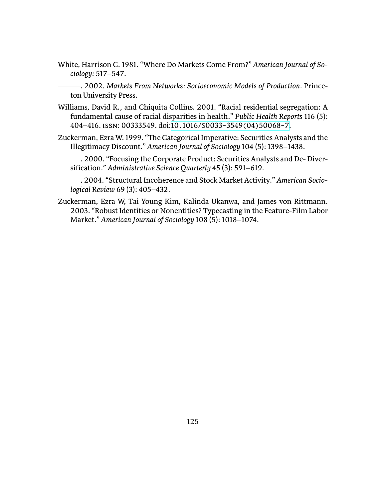White, Harrison C. 1981. "Where Do Markets Come From?" *American Journal of Sociology:* 517–547.

. 2002. *Markets From Networks: Socioeconomic Models of Production.* Princeton University Press.

- Williams, David R., and Chiquita Collins. 2001. "Racial residential segregation: A fundamental cause of racial disparities in health." *Public Health Reports* 116 (5): 404–416. issn: 00333549. doi:10.1016/S0033-3549(04)[50068](http://dx.doi.org/10.1016/S0033-3549(04)50068-7)-7.
- Zuckerman, Ezra W. 1999. "The Categorical Imperative: Securities Analysts and the Illegitimacy Discount." *American Journal of Sociology* 104 (5): 1398–1438.

. 2000. "Focusing the Corporate Product: Securities Analysts and De- Diversification." *Administrative Science Quarterly* 45 (3): 591–619.

- . 2004. "Structural Incoherence and Stock Market Activity." *American Sociological Review* 69 (3): 405–432.
- Zuckerman, Ezra W, Tai Young Kim, Kalinda Ukanwa, and James von Rittmann. 2003. "Robust Identities or Nonentities? Typecasting in the Feature-Film Labor Market." *American Journal of Sociology* 108 (5): 1018–1074.